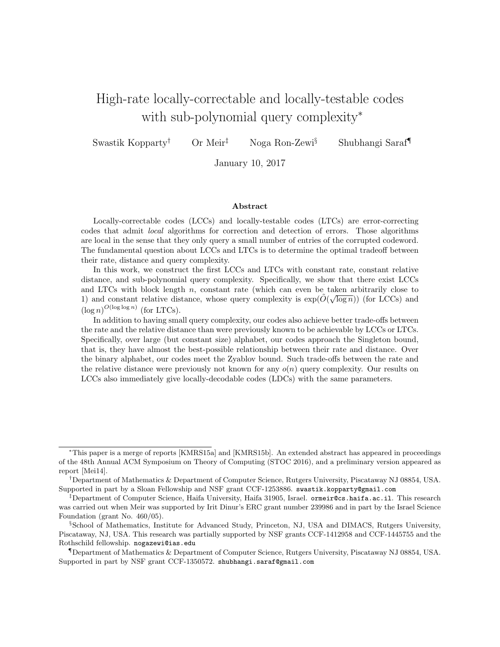# High-rate locally-correctable and locally-testable codes with sub-polynomial query complexity<sup>∗</sup>

Swastik Kopparty<sup>†</sup> Or Meir<sup>‡</sup> Noga Ron-Zewi<sup>§</sup> Shubhangi Saraf<sup>¶</sup>

January 10, 2017

#### Abstract

Locally-correctable codes (LCCs) and locally-testable codes (LTCs) are error-correcting codes that admit local algorithms for correction and detection of errors. Those algorithms are local in the sense that they only query a small number of entries of the corrupted codeword. The fundamental question about LCCs and LTCs is to determine the optimal tradeoff between their rate, distance and query complexity.

In this work, we construct the first LCCs and LTCs with constant rate, constant relative distance, and sub-polynomial query complexity. Specifically, we show that there exist LCCs and LTCs with block length *n*, constant rate (which can even be taken arbitrarily close to 1) and constant relative distance, whose query complexity is  $\exp(\tilde{O}(\sqrt{\log n}))$  (for LCCs) and  $(\log n)^{O(\log \log n)}$  (for LTCs).

In addition to having small query complexity, our codes also achieve better trade-offs between the rate and the relative distance than were previously known to be achievable by LCCs or LTCs. Specifically, over large (but constant size) alphabet, our codes approach the Singleton bound, that is, they have almost the best-possible relationship between their rate and distance. Over the binary alphabet, our codes meet the Zyablov bound. Such trade-offs between the rate and the relative distance were previously not known for any  $o(n)$  query complexity. Our results on LCCs also immediately give locally-decodable codes (LDCs) with the same parameters.

<sup>∗</sup>This paper is a merge of reports [KMRS15a] and [KMRS15b]. An extended abstract has appeared in proceedings of the 48th Annual ACM Symposium on Theory of Computing (STOC 2016), and a preliminary version appeared as report [Mei14].

<sup>†</sup>Department of Mathematics & Department of Computer Science, Rutgers University, Piscataway NJ 08854, USA. Supported in part by a Sloan Fellowship and NSF grant CCF-1253886. swastik.kopparty@gmail.com

<sup>‡</sup>Department of Computer Science, Haifa University, Haifa 31905, Israel. ormeir@cs.haifa.ac.il. This research was carried out when Meir was supported by Irit Dinur's ERC grant number 239986 and in part by the Israel Science Foundation (grant No. 460/05).

<sup>§</sup>School of Mathematics, Institute for Advanced Study, Princeton, NJ, USA and DIMACS, Rutgers University, Piscataway, NJ, USA. This research was partially supported by NSF grants CCF-1412958 and CCF-1445755 and the Rothschild fellowship. nogazewi@ias.edu

<sup>¶</sup>Department of Mathematics & Department of Computer Science, Rutgers University, Piscataway NJ 08854, USA. Supported in part by NSF grant CCF-1350572. shubhangi.saraf@gmail.com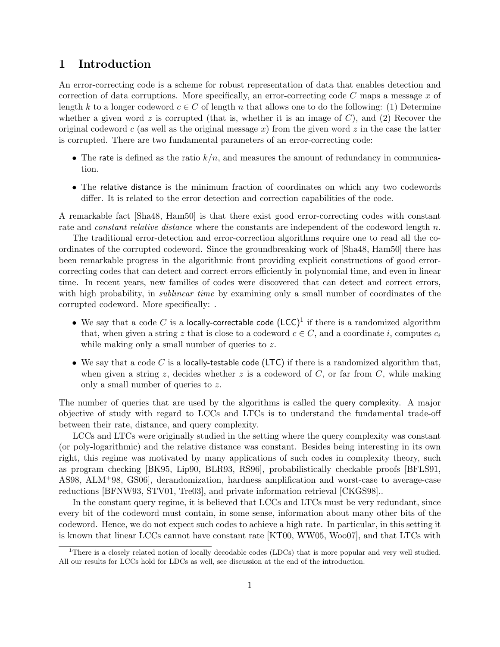# 1 Introduction

An error-correcting code is a scheme for robust representation of data that enables detection and correction of data corruptions. More specifically, an error-correcting code C maps a message  $x$  of length k to a longer codeword  $c \in C$  of length n that allows one to do the following: (1) Determine whether a given word z is corrupted (that is, whether it is an image of  $C$ ), and (2) Recover the original codeword c (as well as the original message x) from the given word z in the case the latter is corrupted. There are two fundamental parameters of an error-correcting code:

- The rate is defined as the ratio  $k/n$ , and measures the amount of redundancy in communication.
- The relative distance is the minimum fraction of coordinates on which any two codewords differ. It is related to the error detection and correction capabilities of the code.

A remarkable fact [Sha48, Ham50] is that there exist good error-correcting codes with constant rate and *constant relative distance* where the constants are independent of the codeword length  $n$ .

The traditional error-detection and error-correction algorithms require one to read all the coordinates of the corrupted codeword. Since the groundbreaking work of [Sha48, Ham50] there has been remarkable progress in the algorithmic front providing explicit constructions of good errorcorrecting codes that can detect and correct errors efficiently in polynomial time, and even in linear time. In recent years, new families of codes were discovered that can detect and correct errors, with high probability, in *sublinear time* by examining only a small number of coordinates of the corrupted codeword. More specifically: .

- We say that a code C is a locally-correctable code  $(LCC)^{1}$  if there is a randomized algorithm that, when given a string z that is close to a codeword  $c \in C$ , and a coordinate i, computes  $c_i$ while making only a small number of queries to z.
- We say that a code C is a locally-testable code (LTC) if there is a randomized algorithm that, when given a string z, decides whether z is a codeword of  $C$ , or far from  $C$ , while making only a small number of queries to z.

The number of queries that are used by the algorithms is called the query complexity. A major objective of study with regard to LCCs and LTCs is to understand the fundamental trade-off between their rate, distance, and query complexity.

LCCs and LTCs were originally studied in the setting where the query complexity was constant (or poly-logarithmic) and the relative distance was constant. Besides being interesting in its own right, this regime was motivated by many applications of such codes in complexity theory, such as program checking [BK95, Lip90, BLR93, RS96], probabilistically checkable proofs [BFLS91, AS98, ALM+98, GS06], derandomization, hardness amplification and worst-case to average-case reductions [BFNW93, STV01, Tre03], and private information retrieval [CKGS98]..

In the constant query regime, it is believed that LCCs and LTCs must be very redundant, since every bit of the codeword must contain, in some sense, information about many other bits of the codeword. Hence, we do not expect such codes to achieve a high rate. In particular, in this setting it is known that linear LCCs cannot have constant rate [KT00, WW05, Woo07], and that LTCs with

<sup>&</sup>lt;sup>1</sup>There is a closely related notion of locally decodable codes (LDCs) that is more popular and very well studied. All our results for LCCs hold for LDCs as well, see discussion at the end of the introduction.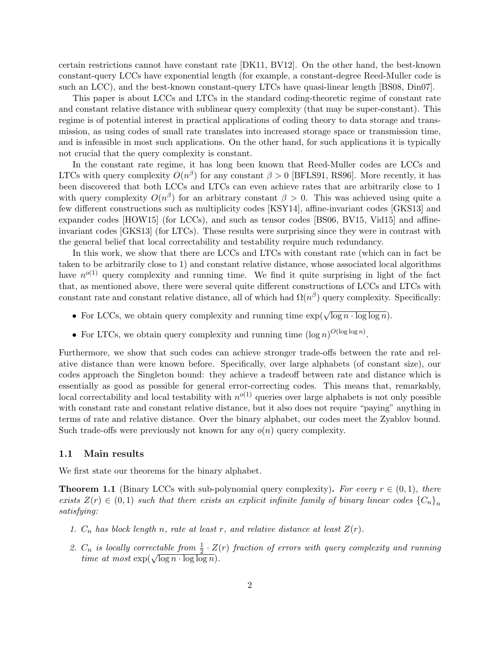certain restrictions cannot have constant rate [DK11, BV12]. On the other hand, the best-known constant-query LCCs have exponential length (for example, a constant-degree Reed-Muller code is such an LCC), and the best-known constant-query LTCs have quasi-linear length [BS08, Din07].

This paper is about LCCs and LTCs in the standard coding-theoretic regime of constant rate and constant relative distance with sublinear query complexity (that may be super-constant). This regime is of potential interest in practical applications of coding theory to data storage and transmission, as using codes of small rate translates into increased storage space or transmission time, and is infeasible in most such applications. On the other hand, for such applications it is typically not crucial that the query complexity is constant.

In the constant rate regime, it has long been known that Reed-Muller codes are LCCs and LTCs with query complexity  $O(n^{\beta})$  for any constant  $\beta > 0$  [BFLS91, RS96]. More recently, it has been discovered that both LCCs and LTCs can even achieve rates that are arbitrarily close to 1 with query complexity  $O(n^{\beta})$  for an arbitrary constant  $\beta > 0$ . This was achieved using quite a few different constructions such as multiplicity codes [KSY14], affine-invariant codes [GKS13] and expander codes [HOW15] (for LCCs), and such as tensor codes [BS06, BV15, Vid15] and affineinvariant codes [GKS13] (for LTCs). These results were surprising since they were in contrast with the general belief that local correctability and testability require much redundancy.

In this work, we show that there are LCCs and LTCs with constant rate (which can in fact be taken to be arbitrarily close to 1) and constant relative distance, whose associated local algorithms have  $n^{o(1)}$  query complexity and running time. We find it quite surprising in light of the fact that, as mentioned above, there were several quite different constructions of LCCs and LTCs with constant rate and constant relative distance, all of which had  $\Omega(n^{\beta})$  query complexity. Specifically:

- For LCCs, we obtain query complexity and running time  $\exp(\sqrt{\log n \cdot \log \log n})$ .
- For LTCs, we obtain query complexity and running time  $(\log n)^{O(\log \log n)}$ .

Furthermore, we show that such codes can achieve stronger trade-offs between the rate and relative distance than were known before. Specifically, over large alphabets (of constant size), our codes approach the Singleton bound: they achieve a tradeoff between rate and distance which is essentially as good as possible for general error-correcting codes. This means that, remarkably, local correctability and local testability with  $n^{o(1)}$  queries over large alphabets is not only possible with constant rate and constant relative distance, but it also does not require "paying" anything in terms of rate and relative distance. Over the binary alphabet, our codes meet the Zyablov bound. Such trade-offs were previously not known for any  $o(n)$  query complexity.

#### 1.1 Main results

We first state our theorems for the binary alphabet.

**Theorem 1.1** (Binary LCCs with sub-polynomial query complexity). For every  $r \in (0,1)$ , there exists  $Z(r) \in (0,1)$  such that there exists an explicit infinite family of binary linear codes  ${C_n}_n$ satisfying:

- 1.  $C_n$  has block length n, rate at least r, and relative distance at least  $Z(r)$ .
- 2.  $C_n$  is locally correctable from  $\frac{1}{2} \cdot Z(r)$  fraction of errors with query complexity and running  $C_n$  is to<br>caty correctable from  $\frac{1}{2} \cdot Z(n)$ .<br>time at most  $\exp(\sqrt{\log n \cdot \log \log n})$ .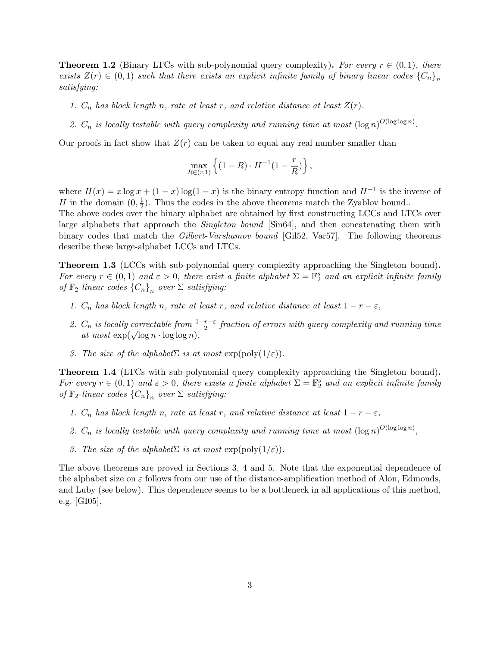**Theorem 1.2** (Binary LTCs with sub-polynomial query complexity). For every  $r \in (0,1)$ , there exists  $Z(r) \in (0,1)$  such that there exists an explicit infinite family of binary linear codes  ${C_n}_n$ satisfying:

- 1.  $C_n$  has block length n, rate at least r, and relative distance at least  $Z(r)$ .
- 2.  $C_n$  is locally testable with query complexity and running time at most  $(\log n)^{O(\log \log n)}$ .

Our proofs in fact show that  $Z(r)$  can be taken to equal any real number smaller than

$$
\max_{R \in (r,1)} \left\{ (1 - R) \cdot H^{-1} (1 - \frac{r}{R}) \right\},\,
$$

where  $H(x) = x \log x + (1 - x) \log(1 - x)$  is the binary entropy function and  $H^{-1}$  is the inverse of H in the domain  $(0, \frac{1}{2})$  $\frac{1}{2}$ ). Thus the codes in the above theorems match the Zyablov bound.. The above codes over the binary alphabet are obtained by first constructing LCCs and LTCs over large alphabets that approach the Singleton bound [Sin64], and then concatenating them with binary codes that match the Gilbert-Varshamov bound [Gil52, Var57]. The following theorems describe these large-alphabet LCCs and LTCs.

Theorem 1.3 (LCCs with sub-polynomial query complexity approaching the Singleton bound). For every  $r \in (0,1)$  and  $\varepsilon > 0$ , there exist a finite alphabet  $\Sigma = \mathbb{F}_2^s$  and an explicit infinite family of  $\mathbb{F}_2$ -linear codes  $\{C_n\}_n$  over  $\Sigma$  satisfying:

- 1.  $C_n$  has block length n, rate at least r, and relative distance at least  $1 r \varepsilon$ ,
- 2.  $C_n$  is locally correctable from  $\frac{1-r-\varepsilon}{2}$  fraction of errors with query complexity and running time at most  $\exp(\sqrt{\log n \cdot \log \log n})$ ,
- 3. The size of the alphabet is at most  $\exp(\text{poly}(1/\varepsilon)).$

Theorem 1.4 (LTCs with sub-polynomial query complexity approaching the Singleton bound). For every  $r \in (0,1)$  and  $\varepsilon > 0$ , there exists a finite alphabet  $\Sigma = \mathbb{F}_2^s$  and an explicit infinite family of  $\mathbb{F}_2$ -linear codes  $\{C_n\}_n$  over  $\Sigma$  satisfying:

- 1.  $C_n$  has block length n, rate at least r, and relative distance at least  $1 r \varepsilon$ ,
- 2.  $C_n$  is locally testable with query complexity and running time at most  $(\log n)^{O(\log \log n)}$ ,
- 3. The size of the alphabet is at most  $\exp(\text{poly}(1/\varepsilon)).$

The above theorems are proved in Sections 3, 4 and 5. Note that the exponential dependence of the alphabet size on  $\varepsilon$  follows from our use of the distance-amplification method of Alon, Edmonds, and Luby (see below). This dependence seems to be a bottleneck in all applications of this method, e.g. [GI05].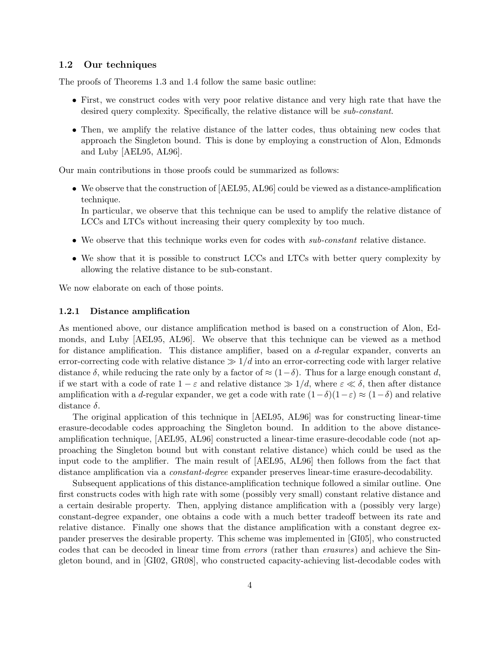#### 1.2 Our techniques

The proofs of Theorems 1.3 and 1.4 follow the same basic outline:

- First, we construct codes with very poor relative distance and very high rate that have the desired query complexity. Specifically, the relative distance will be sub-constant.
- Then, we amplify the relative distance of the latter codes, thus obtaining new codes that approach the Singleton bound. This is done by employing a construction of Alon, Edmonds and Luby [AEL95, AL96].

Our main contributions in those proofs could be summarized as follows:

- We observe that the construction of [AEL95, AL96] could be viewed as a distance-amplification technique. In particular, we observe that this technique can be used to amplify the relative distance of LCCs and LTCs without increasing their query complexity by too much.
- We observe that this technique works even for codes with *sub-constant* relative distance.
- We show that it is possible to construct LCCs and LTCs with better query complexity by allowing the relative distance to be sub-constant.

We now elaborate on each of those points.

#### 1.2.1 Distance amplification

As mentioned above, our distance amplification method is based on a construction of Alon, Edmonds, and Luby [AEL95, AL96]. We observe that this technique can be viewed as a method for distance amplification. This distance amplifier, based on a  $d$ -regular expander, converts an error-correcting code with relative distance  $\gg 1/d$  into an error-correcting code with larger relative distance  $\delta$ , while reducing the rate only by a factor of  $\approx (1-\delta)$ . Thus for a large enough constant d, if we start with a code of rate  $1 - \varepsilon$  and relative distance  $\gg 1/d$ , where  $\varepsilon \ll \delta$ , then after distance amplification with a d-regular expander, we get a code with rate  $(1-\delta)(1-\varepsilon) \approx (1-\delta)$  and relative distance  $\delta$ .

The original application of this technique in [AEL95, AL96] was for constructing linear-time erasure-decodable codes approaching the Singleton bound. In addition to the above distanceamplification technique, [AEL95, AL96] constructed a linear-time erasure-decodable code (not approaching the Singleton bound but with constant relative distance) which could be used as the input code to the amplifier. The main result of [AEL95, AL96] then follows from the fact that distance amplification via a constant-degree expander preserves linear-time erasure-decodability.

Subsequent applications of this distance-amplification technique followed a similar outline. One first constructs codes with high rate with some (possibly very small) constant relative distance and a certain desirable property. Then, applying distance amplification with a (possibly very large) constant-degree expander, one obtains a code with a much better tradeoff between its rate and relative distance. Finally one shows that the distance amplification with a constant degree expander preserves the desirable property. This scheme was implemented in [GI05], who constructed codes that can be decoded in linear time from errors (rather than erasures) and achieve the Singleton bound, and in [GI02, GR08], who constructed capacity-achieving list-decodable codes with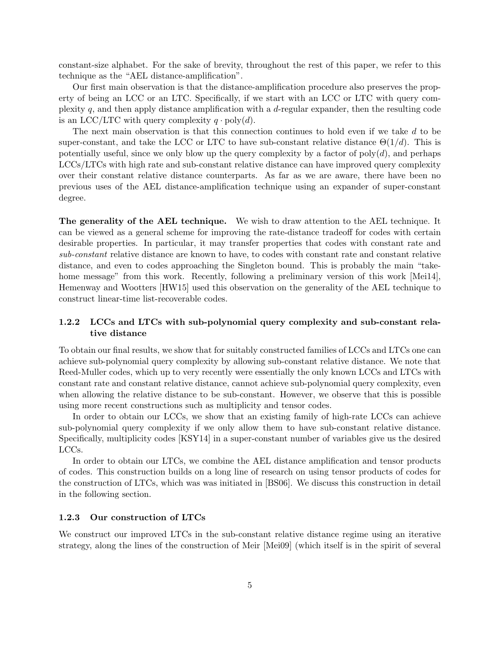constant-size alphabet. For the sake of brevity, throughout the rest of this paper, we refer to this technique as the "AEL distance-amplification".

Our first main observation is that the distance-amplification procedure also preserves the property of being an LCC or an LTC. Specifically, if we start with an LCC or LTC with query complexity q, and then apply distance amplification with a  $d$ -regular expander, then the resulting code is an LCC/LTC with query complexity  $q \cdot \text{poly}(d)$ .

The next main observation is that this connection continues to hold even if we take d to be super-constant, and take the LCC or LTC to have sub-constant relative distance  $\Theta(1/d)$ . This is potentially useful, since we only blow up the query complexity by a factor of  $poly(d)$ , and perhaps LCCs/LTCs with high rate and sub-constant relative distance can have improved query complexity over their constant relative distance counterparts. As far as we are aware, there have been no previous uses of the AEL distance-amplification technique using an expander of super-constant degree.

The generality of the AEL technique. We wish to draw attention to the AEL technique. It can be viewed as a general scheme for improving the rate-distance tradeoff for codes with certain desirable properties. In particular, it may transfer properties that codes with constant rate and sub-constant relative distance are known to have, to codes with constant rate and constant relative distance, and even to codes approaching the Singleton bound. This is probably the main "takehome message" from this work. Recently, following a preliminary version of this work [Mei14], Hemenway and Wootters [HW15] used this observation on the generality of the AEL technique to construct linear-time list-recoverable codes.

### 1.2.2 LCCs and LTCs with sub-polynomial query complexity and sub-constant relative distance

To obtain our final results, we show that for suitably constructed families of LCCs and LTCs one can achieve sub-polynomial query complexity by allowing sub-constant relative distance. We note that Reed-Muller codes, which up to very recently were essentially the only known LCCs and LTCs with constant rate and constant relative distance, cannot achieve sub-polynomial query complexity, even when allowing the relative distance to be sub-constant. However, we observe that this is possible using more recent constructions such as multiplicity and tensor codes.

In order to obtain our LCCs, we show that an existing family of high-rate LCCs can achieve sub-polynomial query complexity if we only allow them to have sub-constant relative distance. Specifically, multiplicity codes [KSY14] in a super-constant number of variables give us the desired LCCs.

In order to obtain our LTCs, we combine the AEL distance amplification and tensor products of codes. This construction builds on a long line of research on using tensor products of codes for the construction of LTCs, which was was initiated in [BS06]. We discuss this construction in detail in the following section.

#### 1.2.3 Our construction of LTCs

We construct our improved LTCs in the sub-constant relative distance regime using an iterative strategy, along the lines of the construction of Meir [Mei09] (which itself is in the spirit of several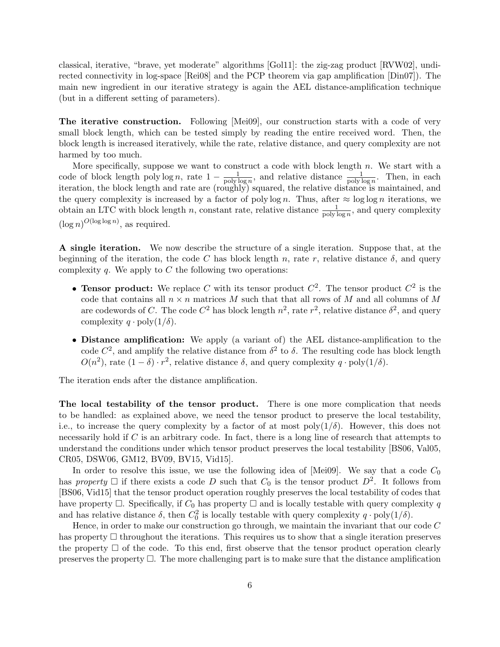classical, iterative, "brave, yet moderate" algorithms [Gol11]: the zig-zag product [RVW02], undirected connectivity in log-space [Rei08] and the PCP theorem via gap amplification [Din07]). The main new ingredient in our iterative strategy is again the AEL distance-amplification technique (but in a different setting of parameters).

The iterative construction. Following [Mei09], our construction starts with a code of very small block length, which can be tested simply by reading the entire received word. Then, the block length is increased iteratively, while the rate, relative distance, and query complexity are not harmed by too much.

More specifically, suppose we want to construct a code with block length  $n$ . We start with a code of block length poly log n, rate  $1 - \frac{1}{\text{poly}}$  $\frac{1}{\text{poly}\log n}$ , and relative distance  $\frac{1}{\text{poly}\log n}$ . Then, in each iteration, the block length and rate are (roughly) squared, the relative distance is maintained, and the query complexity is increased by a factor of poly log n. Thus, after  $\approx \log \log n$  iterations, we obtain an LTC with block length n, constant rate, relative distance  $\frac{1}{\text{poly}\log n}$ , and query complexity  $(\log n)^{O(\log \log n)}$ , as required.

A single iteration. We now describe the structure of a single iteration. Suppose that, at the beginning of the iteration, the code C has block length n, rate r, relative distance  $\delta$ , and query complexity q. We apply to  $C$  the following two operations:

- Tensor product: We replace C with its tensor product  $C^2$ . The tensor product  $C^2$  is the code that contains all  $n \times n$  matrices M such that that all rows of M and all columns of M are codewords of C. The code  $C^2$  has block length  $n^2$ , rate  $r^2$ , relative distance  $\delta^2$ , and query complexity  $q \cdot \text{poly}(1/\delta)$ .
- Distance amplification: We apply (a variant of) the AEL distance-amplification to the code  $C^2$ , and amplify the relative distance from  $\delta^2$  to  $\delta$ . The resulting code has block length  $O(n^2)$ , rate  $(1 - \delta) \cdot r^2$ , relative distance  $\delta$ , and query complexity  $q \cdot \text{poly}(1/\delta)$ .

The iteration ends after the distance amplification.

The local testability of the tensor product. There is one more complication that needs to be handled: as explained above, we need the tensor product to preserve the local testability, i.e., to increase the query complexity by a factor of at most  $poly(1/\delta)$ . However, this does not necessarily hold if  $C$  is an arbitrary code. In fact, there is a long line of research that attempts to understand the conditions under which tensor product preserves the local testability [BS06, Val05, CR05, DSW06, GM12, BV09, BV15, Vid15].

In order to resolve this issue, we use the following idea of [Mei09]. We say that a code  $C_0$ has property  $\Box$  if there exists a code D such that  $C_0$  is the tensor product  $D^2$ . It follows from [BS06, Vid15] that the tensor product operation roughly preserves the local testability of codes that have property  $\Box$ . Specifically, if  $C_0$  has property  $\Box$  and is locally testable with query complexity q and has relative distance  $\delta$ , then  $C_0^2$  is locally testable with query complexity  $q \cdot \text{poly}(1/\delta)$ .

Hence, in order to make our construction go through, we maintain the invariant that our code  $C$ has property  $\Box$  throughout the iterations. This requires us to show that a single iteration preserves the property  $\Box$  of the code. To this end, first observe that the tensor product operation clearly preserves the property  $\Box$ . The more challenging part is to make sure that the distance amplification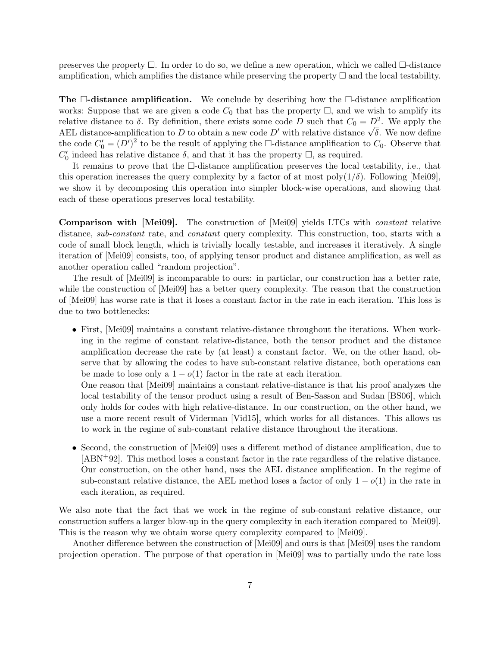preserves the property  $\Box$ . In order to do so, we define a new operation, which we called  $\Box$ -distance amplification, which amplifies the distance while preserving the property  $\Box$  and the local testability.

The  $\Box$ -distance amplification. We conclude by describing how the  $\Box$ -distance amplification works: Suppose that we are given a code  $C_0$  that has the property  $\Box$ , and we wish to amplify its relative distance to  $\delta$ . By definition, there exists some code D such that  $C_0 = D^2$ . We apply the relative distance to *o*. By definition, there exists some code D such that  $C_0 = D^2$ . We apply the AEL distance-amplification to D to obtain a new code D' with relative distance  $\sqrt{\delta}$ . We now define the code  $C'_0 = (D')^2$  to be the result of applying the  $\Box$ -distance amplification to  $C_0$ . Observe that  $C'_0$  indeed has relative distance  $\delta$ , and that it has the property  $\Box$ , as required.

It remains to prove that the  $\Box$ -distance amplification preserves the local testability, i.e., that this operation increases the query complexity by a factor of at most poly $(1/\delta)$ . Following [Mei09], we show it by decomposing this operation into simpler block-wise operations, and showing that each of these operations preserves local testability.

Comparison with [Mei09]. The construction of [Mei09] yields LTCs with constant relative distance, *sub-constant* rate, and *constant* query complexity. This construction, too, starts with a code of small block length, which is trivially locally testable, and increases it iteratively. A single iteration of [Mei09] consists, too, of applying tensor product and distance amplification, as well as another operation called "random projection".

The result of [Mei09] is incomparable to ours: in particlar, our construction has a better rate, while the construction of [Mei09] has a better query complexity. The reason that the construction of [Mei09] has worse rate is that it loses a constant factor in the rate in each iteration. This loss is due to two bottlenecks:

• First, [Mei09] maintains a constant relative-distance throughout the iterations. When working in the regime of constant relative-distance, both the tensor product and the distance amplification decrease the rate by (at least) a constant factor. We, on the other hand, observe that by allowing the codes to have sub-constant relative distance, both operations can be made to lose only a  $1 - o(1)$  factor in the rate at each iteration.

One reason that [Mei09] maintains a constant relative-distance is that his proof analyzes the local testability of the tensor product using a result of Ben-Sasson and Sudan [BS06], which only holds for codes with high relative-distance. In our construction, on the other hand, we use a more recent result of Viderman [Vid15], which works for all distances. This allows us to work in the regime of sub-constant relative distance throughout the iterations.

• Second, the construction of [Mei09] uses a different method of distance amplification, due to [ABN+92]. This method loses a constant factor in the rate regardless of the relative distance. Our construction, on the other hand, uses the AEL distance amplification. In the regime of sub-constant relative distance, the AEL method loses a factor of only  $1 - o(1)$  in the rate in each iteration, as required.

We also note that the fact that we work in the regime of sub-constant relative distance, our construction suffers a larger blow-up in the query complexity in each iteration compared to [Mei09]. This is the reason why we obtain worse query complexity compared to [Mei09].

Another difference between the construction of [Mei09] and ours is that [Mei09] uses the random projection operation. The purpose of that operation in [Mei09] was to partially undo the rate loss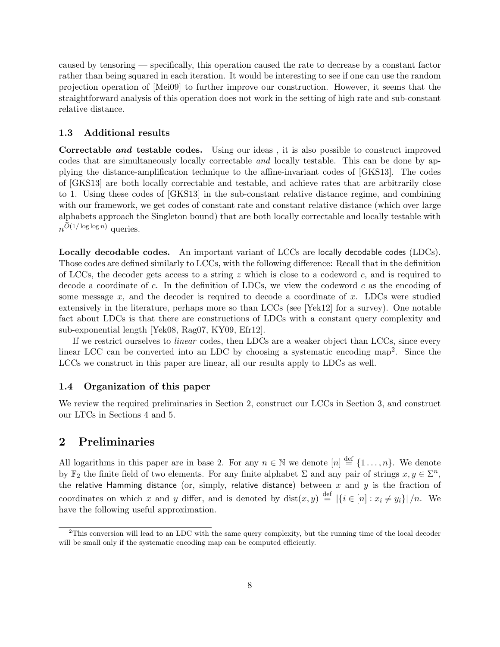caused by tensoring — specifically, this operation caused the rate to decrease by a constant factor rather than being squared in each iteration. It would be interesting to see if one can use the random projection operation of [Mei09] to further improve our construction. However, it seems that the straightforward analysis of this operation does not work in the setting of high rate and sub-constant relative distance.

#### 1.3 Additional results

Correctable and testable codes. Using our ideas , it is also possible to construct improved codes that are simultaneously locally correctable and locally testable. This can be done by applying the distance-amplification technique to the affine-invariant codes of [GKS13]. The codes of [GKS13] are both locally correctable and testable, and achieve rates that are arbitrarily close to 1. Using these codes of [GKS13] in the sub-constant relative distance regime, and combining with our framework, we get codes of constant rate and constant relative distance (which over large alphabets approach the Singleton bound) that are both locally correctable and locally testable with  $n^{O(1/\log \log n)}$  queries.

Locally decodable codes. An important variant of LCCs are locally decodable codes (LDCs). Those codes are defined similarly to LCCs, with the following difference: Recall that in the definition of LCCs, the decoder gets access to a string z which is close to a codeword c, and is required to decode a coordinate of c. In the definition of LDCs, we view the codeword c as the encoding of some message  $x$ , and the decoder is required to decode a coordinate of  $x$ . LDCs were studied extensively in the literature, perhaps more so than LCCs (see [Yek12] for a survey). One notable fact about LDCs is that there are constructions of LDCs with a constant query complexity and sub-exponential length [Yek08, Rag07, KY09, Efr12].

If we restrict ourselves to linear codes, then LDCs are a weaker object than LCCs, since every linear LCC can be converted into an LDC by choosing a systematic encoding map<sup>2</sup>. Since the LCCs we construct in this paper are linear, all our results apply to LDCs as well.

#### 1.4 Organization of this paper

We review the required preliminaries in Section 2, construct our LCCs in Section 3, and construct our LTCs in Sections 4 and 5.

## 2 Preliminaries

All logarithms in this paper are in base 2. For any  $n \in \mathbb{N}$  we denote  $[n] \stackrel{\text{def}}{=} \{1 \ldots, n\}$ . We denote by  $\mathbb{F}_2$  the finite field of two elements. For any finite alphabet  $\Sigma$  and any pair of strings  $x, y \in \Sigma^n$ , the relative Hamming distance (or, simply, relative distance) between  $x$  and  $y$  is the fraction of coordinates on which x and y differ, and is denoted by  $dist(x, y) \stackrel{\text{def}}{=} |\{i \in [n] : x_i \neq y_i\}|/n$ . We have the following useful approximation.

<sup>&</sup>lt;sup>2</sup>This conversion will lead to an LDC with the same query complexity, but the running time of the local decoder will be small only if the systematic encoding map can be computed efficiently.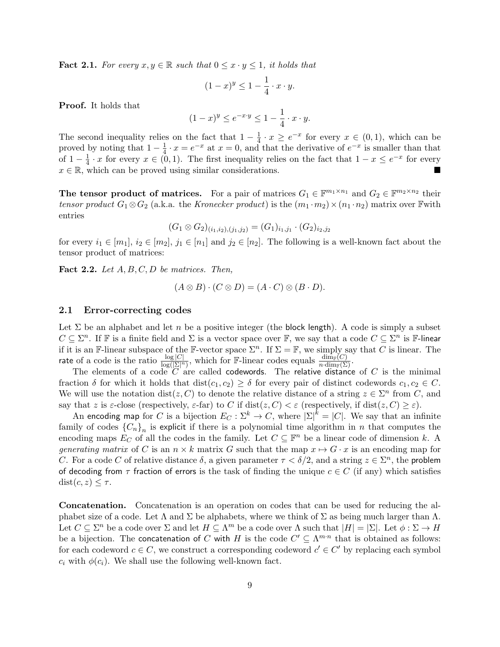**Fact 2.1.** For every  $x, y \in \mathbb{R}$  such that  $0 \leq x \cdot y \leq 1$ , it holds that

$$
(1-x)^y \le 1 - \frac{1}{4} \cdot x \cdot y.
$$

Proof. It holds that

$$
(1-x)^y \le e^{-x \cdot y} \le 1 - \frac{1}{4} \cdot x \cdot y.
$$

The second inequality relies on the fact that  $1 - \frac{1}{4}$  $\frac{1}{4} \cdot x \geq e^{-x}$  for every  $x \in (0,1)$ , which can be proved by noting that  $1-\frac{1}{4}$  $\frac{1}{4} \cdot x = e^{-x}$  at  $x = 0$ , and that the derivative of  $e^{-x}$  is smaller than that of  $1-\frac{1}{4}$  $\frac{1}{4} \cdot x$  for every  $x \in (0,1)$ . The first inequality relies on the fact that  $1-x \leq e^{-x}$  for every  $x \in \mathbb{R}$ , which can be proved using similar considerations.

The tensor product of matrices. For a pair of matrices  $G_1 \in \mathbb{F}^{m_1 \times n_1}$  and  $G_2 \in \mathbb{F}^{m_2 \times n_2}$  their tensor product  $G_1 \otimes G_2$  (a.k.a. the Kronecker product) is the  $(m_1 \cdot m_2) \times (n_1 \cdot n_2)$  matrix over Fwith entries

$$
(G_1 \otimes G_2)_{(i_1,i_2),(j_1,j_2)} = (G_1)_{i_1,j_1} \cdot (G_2)_{i_2,j_2}
$$

for every  $i_1 \in [m_1]$ ,  $i_2 \in [m_2]$ ,  $j_1 \in [n_1]$  and  $j_2 \in [n_2]$ . The following is a well-known fact about the tensor product of matrices:

Fact 2.2. Let  $A, B, C, D$  be matrices. Then,

$$
(A \otimes B) \cdot (C \otimes D) = (A \cdot C) \otimes (B \cdot D).
$$

#### 2.1 Error-correcting codes

Let  $\Sigma$  be an alphabet and let n be a positive integer (the block length). A code is simply a subset  $C \subseteq \Sigma^n$ . If F is a finite field and  $\Sigma$  is a vector space over F, we say that a code  $C \subseteq \Sigma^n$  is F-linear if it is an F-linear subspace of the F-vector space  $\Sigma<sup>n</sup>$ . If  $\Sigma = \mathbb{F}$ , we simply say that C is linear. The rate of a code is the ratio  $\frac{\log|C|}{\log(|\Sigma|^n)}$ , which for F-linear codes equals  $\frac{\dim_F(C)}{n \cdot \dim_F(\Sigma)}$ .

The elements of a code  $C'$  are called codewords. The relative distance of  $C$  is the minimal fraction  $\delta$  for which it holds that  $dist(c_1, c_2) \geq \delta$  for every pair of distinct codewords  $c_1, c_2 \in C$ . We will use the notation  $dist(z, C)$  to denote the relative distance of a string  $z \in \Sigma^n$  from C, and say that z is  $\varepsilon$ -close (respectively,  $\varepsilon$ -far) to C if  $dist(z, C) < \varepsilon$  (respectively, if  $dist(z, C) \geq \varepsilon$ ).

An encoding map for  $C$  is a bijection  $E_C: \Sigma^k \to C,$  where  $|\Sigma|^k = |C|.$  We say that an infinite family of codes  ${C_n}_n$  is explicit if there is a polynomial time algorithm in n that computes the encoding maps  $E_C$  of all the codes in the family. Let  $C \subseteq \mathbb{F}^n$  be a linear code of dimension k. A generating matrix of C is an  $n \times k$  matrix G such that the map  $x \mapsto G \cdot x$  is an encoding map for C. For a code C of relative distance  $\delta$ , a given parameter  $\tau < \delta/2$ , and a string  $z \in \Sigma^n$ , the problem of decoding from  $\tau$  fraction of errors is the task of finding the unique  $c \in C$  (if any) which satisfies  $dist(c, z) \leq \tau$ .

Concatenation. Concatenation is an operation on codes that can be used for reducing the alphabet size of a code. Let  $\Lambda$  and  $\Sigma$  be alphabets, where we think of  $\Sigma$  as being much larger than  $\Lambda$ . Let  $C \subseteq \Sigma^n$  be a code over  $\Sigma$  and let  $H \subseteq \Lambda^m$  be a code over  $\Lambda$  such that  $|H| = |\Sigma|$ . Let  $\phi : \Sigma \to H$ be a bijection. The concatenation of C with H is the code  $C' \subseteq \Lambda^{m,n}$  that is obtained as follows: for each codeword  $c \in C$ , we construct a corresponding codeword  $c' \in C'$  by replacing each symbol  $c_i$  with  $\phi(c_i)$ . We shall use the following well-known fact.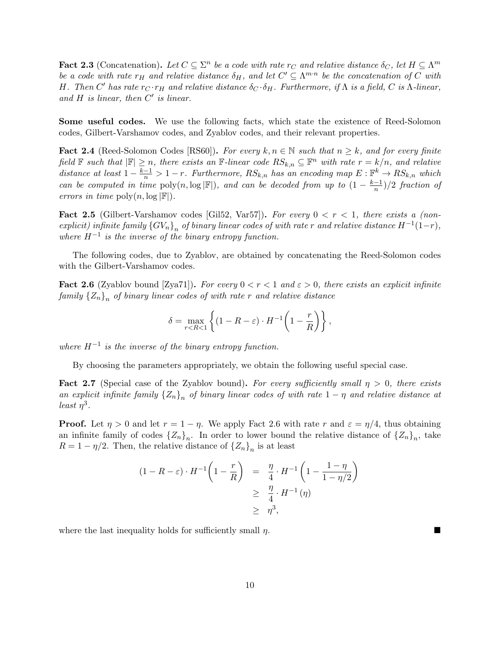**Fact 2.3** (Concatenation). Let  $C \subseteq \Sigma^n$  be a code with rate  $r_C$  and relative distance  $\delta_C$ , let  $H \subseteq \Lambda^m$ be a code with rate  $r_H$  and relative distance  $\delta_H$ , and let  $C' \subseteq \Lambda^{m \cdot n}$  be the concatenation of C with H. Then C' has rate  $r_C \cdot r_H$  and relative distance  $\delta_C \cdot \delta_H$ . Furthermore, if  $\Lambda$  is a field, C is  $\Lambda$ -linear, and  $H$  is linear, then  $C'$  is linear.

Some useful codes. We use the following facts, which state the existence of Reed-Solomon codes, Gilbert-Varshamov codes, and Zyablov codes, and their relevant properties.

**Fact 2.4** (Reed-Solomon Codes [RS60]). For every k,  $n \in \mathbb{N}$  such that  $n \geq k$ , and for every finite field  $\mathbb F$  such that  $|\mathbb F|\geq n$ , there exists an  $\mathbb F$ -linear code  $RS_{k,n}\subseteq \mathbb F^n$  with rate  $r=k/n$ , and relative distance at least  $1 - \frac{k-1}{n} > 1 - r$ . Furthermore,  $RS_{k,n}$  has an encoding map  $E: \mathbb{F}^k \to RS_{k,n}$  which can be computed in time poly(n, log |F|), and can be decoded from up to  $(1 - \frac{k-1}{n})$  $\frac{-1}{n}$  $/2$  fraction of errors in time  $\text{poly}(n, \log |\mathbb{F}|)$ .

**Fact 2.5** (Gilbert-Varshamov codes [Gil52, Var57]). For every  $0 < r < 1$ , there exists a (nonexplicit) infinite family  $\{GV_n\}_n$  of binary linear codes of with rate r and relative distance  $H^{-1}(1-r)$ , where  $H^{-1}$  is the inverse of the binary entropy function.

The following codes, due to Zyablov, are obtained by concatenating the Reed-Solomon codes with the Gilbert-Varshamov codes.

**Fact 2.6** (Zyablov bound [Zya71]). For every  $0 < r < 1$  and  $\varepsilon > 0$ , there exists an explicit infinite  $family\ \{Z_n\}_n$  of binary linear codes of with rate  $r$  and relative distance

$$
\delta = \max_{r < R < 1} \left\{ (1 - R - \varepsilon) \cdot H^{-1} \left( 1 - \frac{r}{R} \right) \right\},\,
$$

where  $H^{-1}$  is the inverse of the binary entropy function.

By choosing the parameters appropriately, we obtain the following useful special case.

**Fact 2.7** (Special case of the Zyablov bound). For every sufficiently small  $\eta > 0$ , there exists an explicit infinite family  ${Z_n}_n$  of binary linear codes of with rate  $1 - \eta$  and relative distance at least  $\eta^3$ .

**Proof.** Let  $\eta > 0$  and let  $r = 1 - \eta$ . We apply Fact 2.6 with rate r and  $\varepsilon = \eta/4$ , thus obtaining an infinite family of codes  ${Z_n}_n$ . In order to lower bound the relative distance of  ${Z_n}_n$ , take  $R = 1 - \eta/2$ . Then, the relative distance of  $\{Z_n\}_n$  is at least

$$
(1 - R - \varepsilon) \cdot H^{-1} \left( 1 - \frac{r}{R} \right) = \frac{\eta}{4} \cdot H^{-1} \left( 1 - \frac{1 - \eta}{1 - \eta/2} \right)
$$
  

$$
\geq \frac{\eta}{4} \cdot H^{-1} (\eta)
$$
  

$$
\geq \eta^3,
$$

where the last inequality holds for sufficiently small  $\eta$ .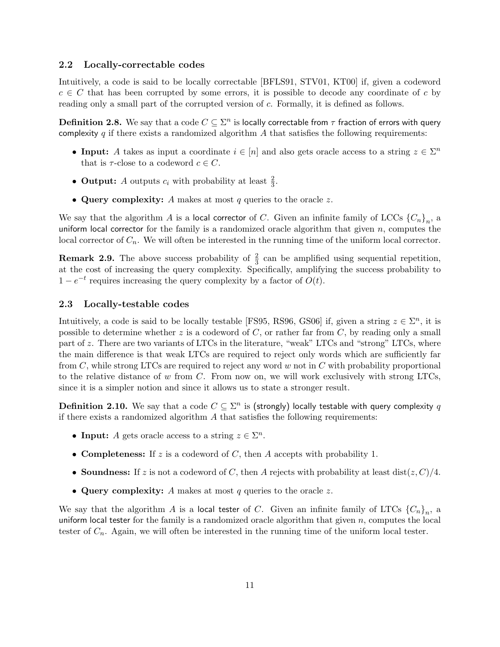#### 2.2 Locally-correctable codes

Intuitively, a code is said to be locally correctable [BFLS91, STV01, KT00] if, given a codeword  $c \in C$  that has been corrupted by some errors, it is possible to decode any coordinate of c by reading only a small part of the corrupted version of c. Formally, it is defined as follows.

 $\bf{Definition 2.8.}$  We say that a  $\operatorname{code} C \subseteq \Sigma^n$  is locally correctable from  $\tau$  fraction of errors with query complexity  $q$  if there exists a randomized algorithm  $A$  that satisfies the following requirements:

- Input: A takes as input a coordinate  $i \in [n]$  and also gets oracle access to a string  $z \in \Sigma^n$ that is  $\tau$ -close to a codeword  $c \in C$ .
- Output: A outputs  $c_i$  with probability at least  $\frac{2}{3}$ .
- Query complexity: A makes at most q queries to the oracle z.

We say that the algorithm A is a local corrector of C. Given an infinite family of LCCs  ${C_n}_n$ , a uniform local corrector for the family is a randomized oracle algorithm that given  $n$ , computes the local corrector of  $C_n$ . We will often be interested in the running time of the uniform local corrector.

**Remark 2.9.** The above success probability of  $\frac{2}{3}$  can be amplified using sequential repetition, at the cost of increasing the query complexity. Specifically, amplifying the success probability to  $1 - e^{-t}$  requires increasing the query complexity by a factor of  $O(t)$ .

#### 2.3 Locally-testable codes

Intuitively, a code is said to be locally testable [FS95, RS96, GS06] if, given a string  $z \in \Sigma^n$ , it is possible to determine whether  $z$  is a codeword of  $C$ , or rather far from  $C$ , by reading only a small part of z. There are two variants of LTCs in the literature, "weak" LTCs and "strong" LTCs, where the main difference is that weak LTCs are required to reject only words which are sufficiently far from  $C$ , while strong LTCs are required to reject any word  $w$  not in  $C$  with probability proportional to the relative distance of  $w$  from  $C$ . From now on, we will work exclusively with strong LTCs, since it is a simpler notion and since it allows us to state a stronger result.

 $\mathbf D$ efinition 2.10. We say that a code  $C \subseteq \Sigma^n$  is (strongly) locally testable with query complexity  $q$ if there exists a randomized algorithm  $A$  that satisfies the following requirements:

- Input: A gets oracle access to a string  $z \in \Sigma^n$ .
- **Completeness:** If  $z$  is a codeword of  $C$ , then  $A$  accepts with probability 1.
- Soundness: If z is not a codeword of C, then A rejects with probability at least dist $(z, C)/4$ .
- Query complexity: A makes at most  $q$  queries to the oracle  $z$ .

We say that the algorithm A is a local tester of C. Given an infinite family of LTCs  ${C_n}_n$ , a uniform local tester for the family is a randomized oracle algorithm that given  $n$ , computes the local tester of  $C_n$ . Again, we will often be interested in the running time of the uniform local tester.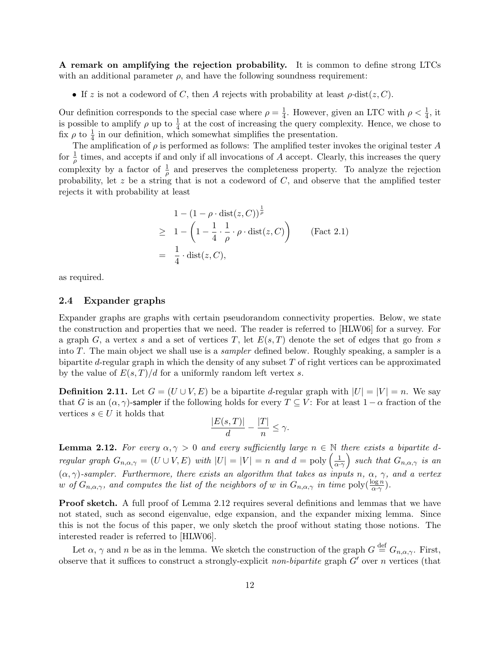A remark on amplifying the rejection probability. It is common to define strong LTCs with an additional parameter  $\rho$ , and have the following soundness requirement:

• If z is not a codeword of C, then A rejects with probability at least  $\rho$ -dist $(z, C)$ .

Our definition corresponds to the special case where  $\rho = \frac{1}{4}$  $\frac{1}{4}$ . However, given an LTC with  $\rho < \frac{1}{4}$ , it is possible to amplify  $\rho$  up to  $\frac{1}{4}$  at the cost of increasing the query complexity. Hence, we chose to fix  $\rho$  to  $\frac{1}{4}$  in our definition, which somewhat simplifies the presentation.

The amplification of  $\rho$  is performed as follows: The amplified tester invokes the original tester A for  $\frac{1}{\rho}$  times, and accepts if and only if all invocations of A accept. Clearly, this increases the query complexity by a factor of  $\frac{1}{\rho}$  and preserves the completeness property. To analyze the rejection probability, let z be a string that is not a codeword of  $C$ , and observe that the amplified tester rejects it with probability at least

$$
1 - (1 - \rho \cdot \text{dist}(z, C))^{\frac{1}{\rho}}
$$
  
\n
$$
\geq 1 - \left(1 - \frac{1}{4} \cdot \frac{1}{\rho} \cdot \rho \cdot \text{dist}(z, C)\right) \quad \text{(Fact 2.1)}
$$
  
\n
$$
= \frac{1}{4} \cdot \text{dist}(z, C),
$$

as required.

#### 2.4 Expander graphs

Expander graphs are graphs with certain pseudorandom connectivity properties. Below, we state the construction and properties that we need. The reader is referred to [HLW06] for a survey. For a graph G, a vertex s and a set of vertices T, let  $E(s,T)$  denote the set of edges that go from s into T. The main object we shall use is a *sampler* defined below. Roughly speaking, a sampler is a bipartite d-regular graph in which the density of any subset  $T$  of right vertices can be approximated by the value of  $E(s,T)/d$  for a uniformly random left vertex s.

**Definition 2.11.** Let  $G = (U \cup V, E)$  be a bipartite d-regular graph with  $|U| = |V| = n$ . We say that G is an  $(\alpha, \gamma)$ -sampler if the following holds for every  $T \subseteq V$ : For at least  $1 - \alpha$  fraction of the vertices  $s \in U$  it holds that

$$
\frac{|E(s,T)|}{d} - \frac{|T|}{n} \le \gamma.
$$

**Lemma 2.12.** For every  $\alpha, \gamma > 0$  and every sufficiently large  $n \in \mathbb{N}$  there exists a bipartite dregular graph  $G_{n,\alpha,\gamma} = (U \cup V, E)$  with  $|U| = |V| = n$  and  $d = \text{poly}\left(\frac{1}{\alpha \cdot \gamma}\right)$  such that  $G_{n,\alpha,\gamma}$  is an  $(\alpha, \gamma)$ -sampler. Furthermore, there exists an algorithm that takes as inputs n,  $\alpha$ ,  $\gamma$ , and a vertex w of  $G_{n,\alpha,\gamma}$ , and computes the list of the neighbors of w in  $G_{n,\alpha,\gamma}$  in time poly $(\frac{\log n}{\alpha \cdot \gamma})$ .

**Proof sketch.** A full proof of Lemma 2.12 requires several definitions and lemmas that we have not stated, such as second eigenvalue, edge expansion, and the expander mixing lemma. Since this is not the focus of this paper, we only sketch the proof without stating those notions. The interested reader is referred to [HLW06].

Let  $\alpha$ ,  $\gamma$  and n be as in the lemma. We sketch the construction of the graph  $G \stackrel{\text{def}}{=} G_{n,\alpha,\gamma}$ . First, observe that it suffices to construct a strongly-explicit non-bipartite graph  $G'$  over n vertices (that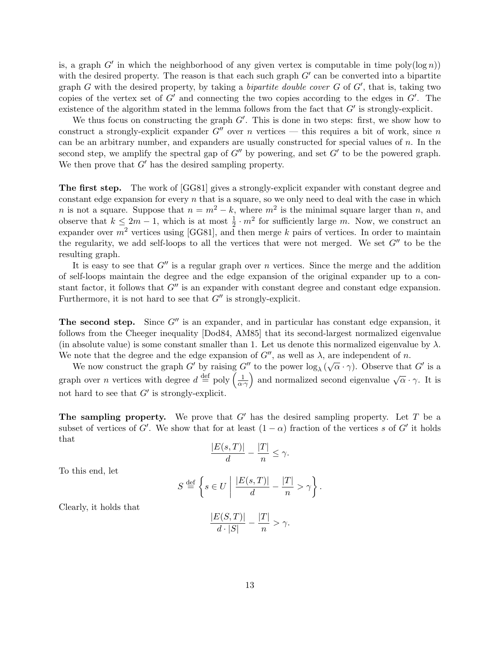is, a graph  $G'$  in which the neighborhood of any given vertex is computable in time  $poly(log n)$ with the desired property. The reason is that each such graph  $G'$  can be converted into a bipartite graph  $G$  with the desired property, by taking a *bipartite double cover*  $G$  of  $G'$ , that is, taking two copies of the vertex set of  $G'$  and connecting the two copies according to the edges in  $G'$ . The existence of the algorithm stated in the lemma follows from the fact that  $G'$  is strongly-explicit.

We thus focus on constructing the graph  $G'$ . This is done in two steps: first, we show how to construct a strongly-explicit expander  $G''$  over n vertices — this requires a bit of work, since n can be an arbitrary number, and expanders are usually constructed for special values of  $n$ . In the second step, we amplify the spectral gap of  $G''$  by powering, and set  $G'$  to be the powered graph. We then prove that  $G'$  has the desired sampling property.

The first step. The work of [GG81] gives a strongly-explicit expander with constant degree and constant edge expansion for every  $n$  that is a square, so we only need to deal with the case in which n is not a square. Suppose that  $n = m^2 - k$ , where  $m^2$  is the minimal square larger than n, and observe that  $k \leq 2m-1$ , which is at most  $\frac{1}{2} \cdot m^2$  for sufficiently large m. Now, we construct an expander over  $m^2$  vertices using [GG81], and then merge k pairs of vertices. In order to maintain the regularity, we add self-loops to all the vertices that were not merged. We set  $G''$  to be the resulting graph.

It is easy to see that  $G''$  is a regular graph over n vertices. Since the merge and the addition of self-loops maintain the degree and the edge expansion of the original expander up to a constant factor, it follows that  $G''$  is an expander with constant degree and constant edge expansion. Furthermore, it is not hard to see that  $G''$  is strongly-explicit.

The second step. Since  $G''$  is an expander, and in particular has constant edge expansion, it follows from the Cheeger inequality [Dod84, AM85] that its second-largest normalized eigenvalue (in absolute value) is some constant smaller than 1. Let us denote this normalized eigenvalue by  $\lambda$ . We note that the degree and the edge expansion of  $G''$ , as well as  $\lambda$ , are independent of n.

We now construct the graph G' by raising G'' to the power  $\log_{\lambda}(\sqrt{\alpha} \cdot \gamma)$ . Observe that G' is a graph over *n* vertices with degree  $d \stackrel{\text{def}}{=} \text{poly}\left(\frac{1}{\alpha \gamma}\right)$  and normalized second eigenvalue  $\sqrt{\alpha} \cdot \gamma$ . It is not hard to see that  $G'$  is strongly-explicit.

The sampling property. We prove that  $G'$  has the desired sampling property. Let T be a subset of vertices of G'. We show that for at least  $(1 - \alpha)$  fraction of the vertices s of G' it holds that

$$
\frac{|E(s,T)|}{d} - \frac{|T|}{n} \le \gamma.
$$

To this end, let

$$
S \stackrel{\text{def}}{=} \left\{ s \in U \mid \frac{|E(s,T)|}{d} - \frac{|T|}{n} > \gamma \right\}.
$$

Clearly, it holds that

$$
\frac{|E(S,T)|}{d \cdot |S|} - \frac{|T|}{n} > \gamma.
$$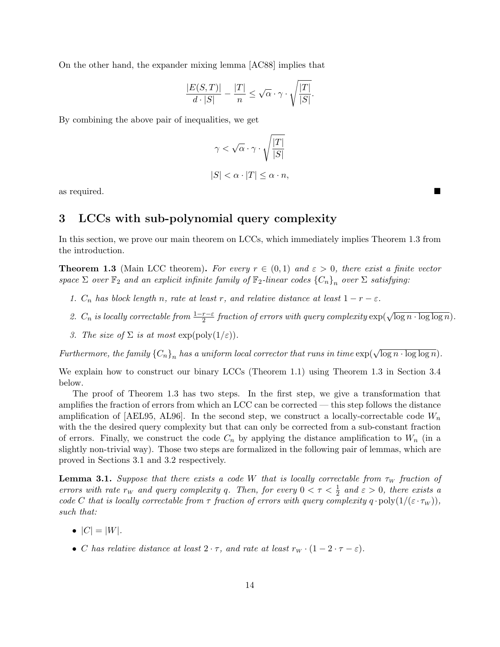On the other hand, the expander mixing lemma [AC88] implies that

$$
\frac{|E(S,T)|}{d\cdot|S|}-\frac{|T|}{n}\leq \sqrt{\alpha}\cdot \gamma\cdot \sqrt{\frac{|T|}{|S|}}.
$$

By combining the above pair of inequalities, we get

$$
\gamma < \sqrt{\alpha} \cdot \gamma \cdot \sqrt{\frac{|T|}{|S|}}
$$
\n
$$
|S| < \alpha \cdot |T| \le \alpha \cdot n,
$$

as required.

## 3 LCCs with sub-polynomial query complexity

In this section, we prove our main theorem on LCCs, which immediately implies Theorem 1.3 from the introduction.

**Theorem 1.3** (Main LCC theorem). For every  $r \in (0,1)$  and  $\varepsilon > 0$ , there exist a finite vector space  $\Sigma$  over  $\mathbb{F}_2$  and an explicit infinite family of  $\mathbb{F}_2$ -linear codes  $\{C_n\}_n$  over  $\Sigma$  satisfying:

- 1.  $C_n$  has block length n, rate at least r, and relative distance at least  $1 r \varepsilon$ .
- 2.  $C_n$  is locally correctable from  $\frac{1-r-\varepsilon}{2}$  fraction of errors with query complexity  $\exp(\sqrt{\log n \cdot \log \log n})$ .
- 3. The size of  $\Sigma$  is at most  $\exp(\text{poly}(1/\varepsilon))$ .

Furthermore, the family  ${C_n}_n$  has a uniform local corrector that runs in time  $\exp(\sqrt{\log n \cdot \log \log n})$ .

We explain how to construct our binary LCCs (Theorem 1.1) using Theorem 1.3 in Section 3.4 below.

The proof of Theorem 1.3 has two steps. In the first step, we give a transformation that amplifies the fraction of errors from which an LCC can be corrected — this step follows the distance amplification of  $[AEL95, AL96]$ . In the second step, we construct a locally-correctable code  $W_n$ with the the desired query complexity but that can only be corrected from a sub-constant fraction of errors. Finally, we construct the code  $C_n$  by applying the distance amplification to  $W_n$  (in a slightly non-trivial way). Those two steps are formalized in the following pair of lemmas, which are proved in Sections 3.1 and 3.2 respectively.

**Lemma 3.1.** Suppose that there exists a code W that is locally correctable from  $\tau_w$  fraction of errors with rate  $r_w$  and query complexity q. Then, for every  $0 < \tau < \frac{1}{2}$  and  $\varepsilon > 0$ , there exists a code C that is locally correctable from  $\tau$  fraction of errors with query complexity  $q \cdot \text{poly}(1/(\varepsilon \cdot \tau_W)),$ such that:

- $|C| = |W|$ .
- C has relative distance at least  $2 \cdot \tau$ , and rate at least  $r_W \cdot (1 2 \cdot \tau \varepsilon)$ .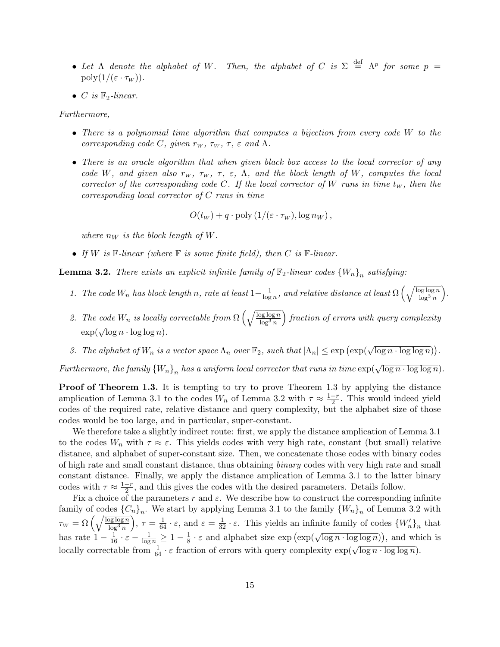- Let  $\Lambda$  denote the alphabet of W. Then, the alphabet of C is  $\Sigma \stackrel{\text{def}}{=} \Lambda^p$  for some  $p =$  $poly(1/(\varepsilon \cdot \tau_w)).$
- C is  $\mathbb{F}_2$ -linear.

#### Furthermore,

- There is a polynomial time algorithm that computes a bijection from every code W to the corresponding code C, given  $r_W$ ,  $\tau_W$ ,  $\tau$ ,  $\varepsilon$  and  $\Lambda$ .
- There is an oracle algorithm that when given black box access to the local corrector of any code W, and given also  $r_W$ ,  $\tau_W$ ,  $\tau$ ,  $\varepsilon$ ,  $\Lambda$ , and the block length of W, computes the local corrector of the corresponding code C. If the local corrector of W runs in time  $t<sub>W</sub>$ , then the corresponding local corrector of C runs in time

$$
O(t_W) + q \cdot \text{poly} (1/(\varepsilon \cdot \tau_W), \log n_W),
$$

where  $n_W$  is the block length of W.

• If W is  $\mathbb{F}\text{-}linear$  (where  $\mathbb F$  is some finite field), then C is  $\mathbb F\text{-}linear$ .

**Lemma 3.2.** There exists an explicit infinite family of  $\mathbb{F}_2$ -linear codes  $\{W_n\}_n$  satisfying:

- 1. The code  $W_n$  has block length n, rate at least  $1-\frac{1}{\log n}$  $\frac{1}{\log n}$ , and relative distance at least  $\Omega\left(\sqrt{\frac{\log\log n}{\log^3 n}}\right)$  $\log^3 n$ .
- 2. The code  $W_n$  is locally correctable from  $\Omega\left(\sqrt{\frac{\log\log n}{\log^3 n}}\right)$  $\log^3 n$  fraction of errors with query complexity  $\exp(\sqrt{\log n \cdot \log \log n}).$
- 3. The alphabet of  $W_n$  is a vector space  $\Lambda_n$  over  $\mathbb{F}_2$ , such that  $|\Lambda_n| \leq \exp(\exp(\sqrt{\log n \cdot \log \log n}))$ .

Furthermore, the family  ${W_n}_n$  has a uniform local corrector that runs in time  $\exp(\sqrt{\log n \cdot \log \log n})$ .

**Proof of Theorem 1.3.** It is tempting to try to prove Theorem 1.3 by applying the distance amplication of Lemma 3.1 to the codes  $W_n$  of Lemma 3.2 with  $\tau \approx \frac{1-r}{2}$  $\frac{-r}{2}$ . This would indeed yield codes of the required rate, relative distance and query complexity, but the alphabet size of those codes would be too large, and in particular, super-constant.

We therefore take a slightly indirect route: first, we apply the distance amplication of Lemma 3.1 to the codes  $W_n$  with  $\tau \approx \varepsilon$ . This yields codes with very high rate, constant (but small) relative distance, and alphabet of super-constant size. Then, we concatenate those codes with binary codes of high rate and small constant distance, thus obtaining binary codes with very high rate and small constant distance. Finally, we apply the distance amplication of Lemma 3.1 to the latter binary codes with  $\tau \approx \frac{1-r}{2}$  $\frac{-r}{2}$ , and this gives the codes with the desired parameters. Details follow.

Fix a choice of the parameters r and  $\varepsilon$ . We describe how to construct the corresponding infinite family of codes  ${C_n}_n$ . We start by applying Lemma 3.1 to the family  ${W_n}_n$  of Lemma 3.2 with  $\tau_{\scriptscriptstyle{W}} = \Omega\left(\sqrt{\frac{\log\log n}{\log^3 n}}\right)$ ),  $\tau = \frac{1}{64} \cdot \varepsilon$ , and  $\varepsilon = \frac{1}{32} \cdot \varepsilon$ . This yields an infinite family of codes  $\{W_n'\}_n$  that has rate  $1 - \frac{1}{16} \cdot \varepsilon - \frac{1}{\log n} \ge 1 - \frac{1}{8}$  $\frac{1}{8} \cdot \varepsilon$  and alphabet size  $\exp\left(\exp(\sqrt{\log n \cdot \log \log n})\right)$ , and which is locally correctable from  $\frac{1}{64} \cdot \varepsilon$  fraction of errors with query complexity  $\exp(\sqrt{\log n \cdot \log \log n})$ .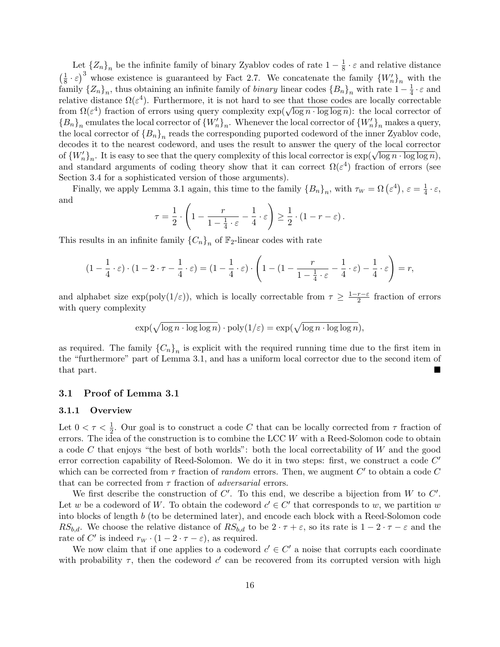Let  ${Z_n}_n$  be the infinite family of binary Zyablov codes of rate  $1-\frac{1}{8}$  $\frac{1}{8} \cdot \varepsilon$  and relative distance  $\left(\frac{1}{8}\right)$  $\frac{1}{8} \cdot \varepsilon$ <sup>3</sup> whose existence is guaranteed by Fact 2.7. We concatenate the family  $\{W_n'\}_n$  with the family  ${Z_n}_n$ , thus obtaining an infinite family of *binary* linear codes  ${B_n}_n$  with rate  $1-\frac{1}{4}$  $\frac{1}{4} \cdot \varepsilon$  and relative distance  $\Omega(\varepsilon^4)$ . Furthermore, it is not hard to see that those codes are locally correctable Fractive distance  $\Omega(\varepsilon)$ . Furthermore, it is not hard to see that those codes are locally correctable from  $\Omega(\varepsilon^4)$  fraction of errors using query complexity  $\exp(\sqrt{\log n \cdot \log \log n})$ : the local corrector of  ${B_n}_n$  emulates the local corrector of  ${W_n'}_n$ . Whenever the local corrector of  ${W_n'}_n$  makes a query, the local corrector of  ${B_n}_n$  reads the corresponding puported codeword of the inner Zyablov code, decodes it to the nearest codeword, and uses the result to answer the query of the local corrector decodes it to the heatest codeword, and uses the result to answer the query of the local corrector<br>of  ${W_n'}_n$ . It is easy to see that the query complexity of this local corrector is  $\exp(\sqrt{\log n \cdot \log \log n})$ , and standard arguments of coding theory show that it can correct  $\Omega(\varepsilon^4)$  fraction of errors (see Section 3.4 for a sophisticated version of those arguments).

Finally, we apply Lemma 3.1 again, this time to the family  ${B_n}_n$ , with  $\tau_w = \Omega(\varepsilon^4)$ ,  $\varepsilon = \frac{1}{4}$  $\frac{1}{4} \cdot \varepsilon,$ and

$$
\tau = \frac{1}{2} \cdot \left( 1 - \frac{r}{1 - \frac{1}{4} \cdot \varepsilon} - \frac{1}{4} \cdot \varepsilon \right) \ge \frac{1}{2} \cdot (1 - r - \varepsilon).
$$

This results in an infinite family  ${C_n}_n$  of  $\mathbb{F}_2$ -linear codes with rate

$$
(1 - \frac{1}{4} \cdot \varepsilon) \cdot (1 - 2 \cdot \tau - \frac{1}{4} \cdot \varepsilon) = (1 - \frac{1}{4} \cdot \varepsilon) \cdot \left(1 - (1 - \frac{r}{1 - \frac{1}{4} \cdot \varepsilon} - \frac{1}{4} \cdot \varepsilon) - \frac{1}{4} \cdot \varepsilon\right) = r,
$$

and alphabet size  $\exp(\text{poly}(1/\varepsilon))$ , which is locally correctable from  $\tau \geq \frac{1-r-\varepsilon}{2}$  $\frac{r-\varepsilon}{2}$  fraction of errors with query complexity

$$
\exp(\sqrt{\log n \cdot \log \log n}) \cdot \text{poly}(1/\varepsilon) = \exp(\sqrt{\log n \cdot \log \log n}),
$$

as required. The family  ${C_n}_n$  is explicit with the required running time due to the first item in the "furthermore" part of Lemma 3.1, and has a uniform local corrector due to the second item of that part.

#### 3.1 Proof of Lemma 3.1

#### 3.1.1 Overview

Let  $0 < \tau < \frac{1}{2}$ . Our goal is to construct a code C that can be locally corrected from  $\tau$  fraction of errors. The idea of the construction is to combine the LCC W with a Reed-Solomon code to obtain a code C that enjoys "the best of both worlds": both the local correctability of  $W$  and the good error correction capability of Reed-Solomon. We do it in two steps: first, we construct a code  $C'$ which can be corrected from  $\tau$  fraction of *random* errors. Then, we augment  $C'$  to obtain a code  $C$ that can be corrected from  $\tau$  fraction of *adversarial* errors.

We first describe the construction of  $C'$ . To this end, we describe a bijection from W to  $C'$ . Let w be a codeword of W. To obtain the codeword  $c' \in C'$  that corresponds to w, we partition w into blocks of length b (to be determined later), and encode each block with a Reed-Solomon code RS<sub>b,d</sub>. We choose the relative distance of  $RS_{b,d}$  to be  $2 \cdot \tau + \varepsilon$ , so its rate is  $1 - 2 \cdot \tau - \varepsilon$  and the rate of C' is indeed  $r_W \cdot (1 - 2 \cdot \tau - \varepsilon)$ , as required.

We now claim that if one applies to a codeword  $c' \in C'$  a noise that corrupts each coordinate with probability  $\tau$ , then the codeword c' can be recovered from its corrupted version with high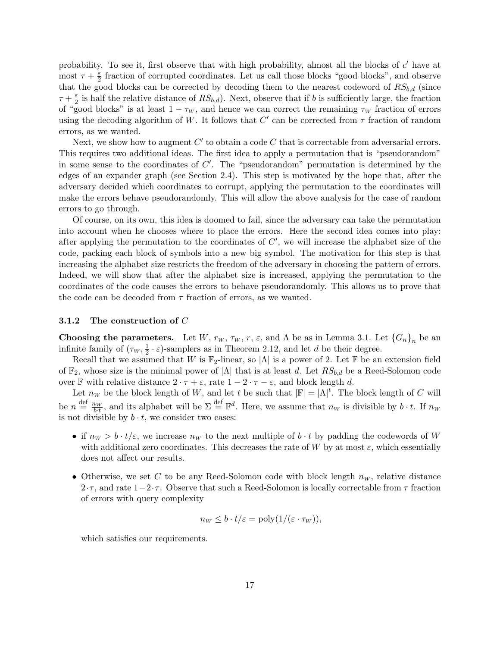probability. To see it, first observe that with high probability, almost all the blocks of  $c'$  have at most  $\tau + \frac{\varepsilon}{2}$  $\frac{\varepsilon}{2}$  fraction of corrupted coordinates. Let us call those blocks "good blocks", and observe that the good blocks can be corrected by decoding them to the nearest codeword of  $RS_{b,d}$  (since  $\tau + \frac{\varepsilon}{2}$  $\frac{\varepsilon}{2}$  is half the relative distance of  $RS_{b,d}$ ). Next, observe that if b is sufficiently large, the fraction of "good blocks" is at least  $1 - \tau_W$ , and hence we can correct the remaining  $\tau_W$  fraction of errors using the decoding algorithm of W. It follows that  $C'$  can be corrected from  $\tau$  fraction of random errors, as we wanted.

Next, we show how to augment  $C'$  to obtain a code  $C$  that is correctable from adversarial errors. This requires two additional ideas. The first idea to apply a permutation that is "pseudorandom" in some sense to the coordinates of  $C'$ . The "pseudorandom" permutation is determined by the edges of an expander graph (see Section 2.4). This step is motivated by the hope that, after the adversary decided which coordinates to corrupt, applying the permutation to the coordinates will make the errors behave pseudorandomly. This will allow the above analysis for the case of random errors to go through.

Of course, on its own, this idea is doomed to fail, since the adversary can take the permutation into account when he chooses where to place the errors. Here the second idea comes into play: after applying the permutation to the coordinates of  $C'$ , we will increase the alphabet size of the code, packing each block of symbols into a new big symbol. The motivation for this step is that increasing the alphabet size restricts the freedom of the adversary in choosing the pattern of errors. Indeed, we will show that after the alphabet size is increased, applying the permutation to the coordinates of the code causes the errors to behave pseudorandomly. This allows us to prove that the code can be decoded from  $\tau$  fraction of errors, as we wanted.

#### 3.1.2 The construction of C

**Choosing the parameters.** Let W,  $r_w$ ,  $r_w$ ,  $r$ ,  $\varepsilon$ , and  $\Lambda$  be as in Lemma 3.1. Let  $\{G_n\}_n$  be an infinite family of  $(\tau_w, \frac{1}{2})$  $\frac{1}{2} \cdot \varepsilon$ )-samplers as in Theorem 2.12, and let d be their degree.

Recall that we assumed that W is  $\mathbb{F}_2$ -linear, so  $|\Lambda|$  is a power of 2. Let F be an extension field of  $\mathbb{F}_2$ , whose size is the minimal power of  $|\Lambda|$  that is at least d. Let  $RS_{b,d}$  be a Reed-Solomon code over F with relative distance  $2 \cdot \tau + \varepsilon$ , rate  $1 - 2 \cdot \tau - \varepsilon$ , and block length d.

Let  $n_W$  be the block length of W, and let t be such that  $|\mathbb{F}| = |\Lambda|^t$ . The block length of C will be  $n \stackrel{\text{def}}{=} \frac{n_W}{b \cdot t}$ , and its alphabet will be  $\Sigma \stackrel{\text{def}}{=} \mathbb{F}^d$ . Here, we assume that  $n_W$  is divisible by  $b \cdot t$ . If  $n_W$ is not divisible by  $b \cdot t$ , we consider two cases:

- if  $n_W > b \cdot t/\varepsilon$ , we increase  $n_W$  to the next multiple of  $b \cdot t$  by padding the codewords of W with additional zero coordinates. This decreases the rate of W by at most  $\varepsilon$ , which essentially does not affect our results.
- Otherwise, we set C to be any Reed-Solomon code with block length  $n_W$ , relative distance  $2\cdot\tau$ , and rate  $1-2\cdot\tau$ . Observe that such a Reed-Solomon is locally correctable from  $\tau$  fraction of errors with query complexity

$$
n_W \leq b \cdot t/\varepsilon = \text{poly}(1/(\varepsilon \cdot \tau_W)),
$$

which satisfies our requirements.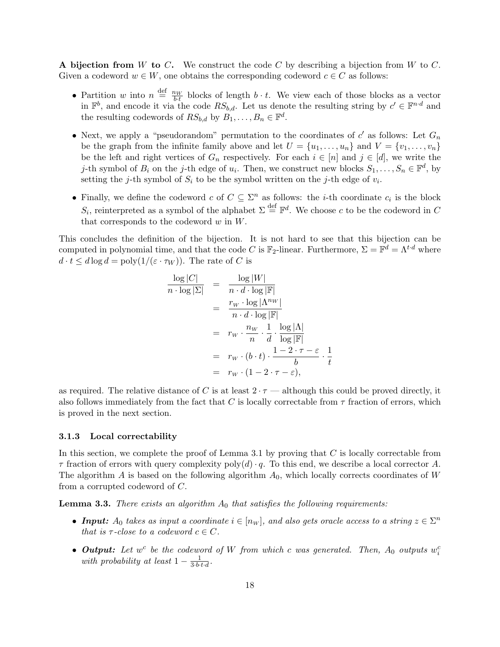A bijection from W to C. We construct the code C by describing a bijection from W to C. Given a codeword  $w \in W$ , one obtains the corresponding codeword  $c \in C$  as follows:

- Partition w into  $n \stackrel{\text{def}}{=} \frac{n_W}{b \cdot t}$  blocks of length  $b \cdot t$ . We view each of those blocks as a vector in  $\mathbb{F}^b$ , and encode it via the code  $RS_{b,d}$ . Let us denote the resulting string by  $c' \in \mathbb{F}^{n \cdot d}$  and the resulting codewords of  $RS_{b,d}$  by  $B_1, \ldots, B_n \in \mathbb{F}^d$ .
- Next, we apply a "pseudorandom" permutation to the coordinates of  $c'$  as follows: Let  $G_n$ be the graph from the infinite family above and let  $U = \{u_1, \ldots, u_n\}$  and  $V = \{v_1, \ldots, v_n\}$ be the left and right vertices of  $G_n$  respectively. For each  $i \in [n]$  and  $j \in [d]$ , we write the j-th symbol of  $B_i$  on the j-th edge of  $u_i$ . Then, we construct new blocks  $S_1, \ldots, S_n \in \mathbb{F}^d$ , by setting the *j*-th symbol of  $S_i$  to be the symbol written on the *j*-th edge of  $v_i$ .
- Finally, we define the codeword  $c$  of  $C \subseteq \Sigma^n$  as follows: the *i*-th coordinate  $c_i$  is the block  $S_i$ , reinterpreted as a symbol of the alphabet  $\Sigma \stackrel{\text{def}}{=} \mathbb{F}^d$ . We choose c to be the codeword in C that corresponds to the codeword  $w$  in  $W$ .

This concludes the definition of the bijection. It is not hard to see that this bijection can be computed in polynomial time, and that the code C is  $\mathbb{F}_2$ -linear. Furthermore,  $\Sigma = \mathbb{F}^d = \Lambda^{t \cdot d}$  where  $d \cdot t \leq d \log d = \text{poly}(1/(\varepsilon \cdot \tau_W)).$  The rate of C is

$$
\frac{\log |C|}{n \cdot \log |\Sigma|} = \frac{\log |W|}{n \cdot d \cdot \log |\mathbb{F}|}
$$
  
\n
$$
= \frac{r_W \cdot \log |\Lambda^{n_W}|}{n \cdot d \cdot \log |\mathbb{F}|}
$$
  
\n
$$
= r_W \cdot \frac{n_W}{n} \cdot \frac{1}{d} \cdot \frac{\log |\Lambda|}{\log |\mathbb{F}|}
$$
  
\n
$$
= r_W \cdot (b \cdot t) \cdot \frac{1 - 2 \cdot \tau - \varepsilon}{b} \cdot \frac{1}{t}
$$
  
\n
$$
= r_W \cdot (1 - 2 \cdot \tau - \varepsilon),
$$

as required. The relative distance of C is at least  $2 \cdot \tau$  — although this could be proved directly, it also follows immediately from the fact that C is locally correctable from  $\tau$  fraction of errors, which is proved in the next section.

#### 3.1.3 Local correctability

In this section, we complete the proof of Lemma 3.1 by proving that  $C$  is locally correctable from  $\tau$  fraction of errors with query complexity  $poly(d) \cdot q$ . To this end, we describe a local corrector A. The algorithm A is based on the following algorithm  $A_0$ , which locally corrects coordinates of W from a corrupted codeword of  $C$ .

**Lemma 3.3.** There exists an algorithm  $A_0$  that satisfies the following requirements:

- Input:  $A_0$  takes as input a coordinate  $i \in [n_W]$ , and also gets oracle access to a string  $z \in \Sigma^n$ that is  $\tau$ -close to a codeword  $c \in C$ .
- **Output:** Let  $w^c$  be the codeword of W from which c was generated. Then,  $A_0$  outputs  $w_i^c$ with probability at least  $1 - \frac{1}{3 \cdot b \cdot t \cdot d}$ .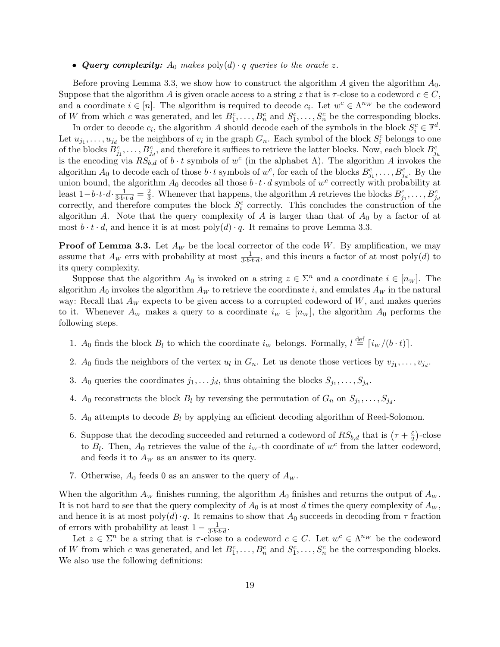#### • Query complexity:  $A_0$  makes  $\text{poly}(d) \cdot q$  queries to the oracle z.

Before proving Lemma 3.3, we show how to construct the algorithm  $A$  given the algorithm  $A_0$ . Suppose that the algorithm A is given oracle access to a string z that is  $\tau$ -close to a codeword  $c \in C$ . and a coordinate  $i \in [n]$ . The algorithm is required to decode  $c_i$ . Let  $w^c \in \Lambda^{n_W}$  be the codeword of W from which c was generated, and let  $B_1^c, \ldots, B_n^c$  and  $S_1^c, \ldots, S_n^c$  be the corresponding blocks.

In order to decode  $c_i$ , the algorithm A should decode each of the symbols in the block  $S_i^c \in \mathbb{F}^d$ . Let  $u_{j_1}, \ldots, u_{j_d}$  be the neighbors of  $v_i$  in the graph  $G_n$ . Each symbol of the block  $S_i^c$  belongs to one of the blocks  $B_{j_1}^c, \ldots, B_{j_d}^c$ , and therefore it suffices to retrieve the latter blocks. Now, each block  $B_{j_h}^c$ is the encoding via  $RS_{b,d}$  of  $b \cdot t$  symbols of  $w^c$  (in the alphabet  $\Lambda$ ). The algorithm A invokes the algorithm  $A_0$  to decode each of those  $b \cdot t$  symbols of  $w^c$ , for each of the blocks  $B_{j_1}^c, \ldots, B_{j_d}^c$ . By the union bound, the algorithm  $A_0$  decodes all those  $b \cdot t \cdot d$  symbols of  $w^c$  correctly with probability at least  $1-b \cdot t \cdot d \cdot \frac{1}{3 \cdot b \cdot t \cdot d} = \frac{2}{3}$  $\frac{2}{3}$ . Whenever that happens, the algorithm A retrieves the blocks  $B_{j_1}^c, \ldots, B_{j_d}^c$ correctly, and therefore computes the block  $S_i^c$  correctly. This concludes the construction of the algorithm A. Note that the query complexity of A is larger than that of  $A_0$  by a factor of at most  $b \cdot t \cdot d$ , and hence it is at most  $\text{poly}(d) \cdot q$ . It remains to prove Lemma 3.3.

**Proof of Lemma 3.3.** Let  $A_W$  be the local corrector of the code W. By amplification, we may assume that  $A_W$  errs with probability at most  $\frac{1}{3 \cdot b \cdot t \cdot d}$ , and this incurs a factor of at most poly $(d)$  to its query complexity.

Suppose that the algorithm  $A_0$  is invoked on a string  $z \in \Sigma^n$  and a coordinate  $i \in [n_w]$ . The algorithm  $A_0$  invokes the algorithm  $A_W$  to retrieve the coordinate i, and emulates  $A_W$  in the natural way: Recall that  $A_W$  expects to be given access to a corrupted codeword of W, and makes queries to it. Whenever  $A_W$  makes a query to a coordinate  $i_W \in [n_W]$ , the algorithm  $A_0$  performs the following steps.

- 1.  $A_0$  finds the block  $B_l$  to which the coordinate  $i_W$  belongs. Formally,  $l \stackrel{\text{def}}{=} \lceil i_W/(b \cdot t) \rceil$ .
- 2.  $A_0$  finds the neighbors of the vertex  $u_l$  in  $G_n$ . Let us denote those vertices by  $v_{j_1}, \ldots, v_{j_d}$ .
- 3.  $A_0$  queries the coordinates  $j_1, \ldots, j_d$ , thus obtaining the blocks  $S_{j_1}, \ldots, S_{j_d}$ .
- 4.  $A_0$  reconstructs the block  $B_l$  by reversing the permutation of  $G_n$  on  $S_{j_1}, \ldots, S_{j_d}$ .
- 5.  $A_0$  attempts to decode  $B_l$  by applying an efficient decoding algorithm of Reed-Solomon.
- 6. Suppose that the decoding succeeded and returned a codeword of  $RS_{b,d}$  that is  $(\tau + \frac{\varepsilon}{2})$  $\frac{\varepsilon}{2}$ )-close to  $B_l$ . Then,  $A_0$  retrieves the value of the  $i_w$ -th coordinate of  $w^c$  from the latter codeword, and feeds it to  $A_W$  as an answer to its query.
- 7. Otherwise,  $A_0$  feeds 0 as an answer to the query of  $A_W$ .

When the algorithm  $A_W$  finishes running, the algorithm  $A_0$  finishes and returns the output of  $A_W$ . It is not hard to see that the query complexity of  $A_0$  is at most d times the query complexity of  $A_W$ , and hence it is at most  $\text{poly}(d) \cdot q$ . It remains to show that  $A_0$  succeeds in decoding from  $\tau$  fraction of errors with probability at least  $1 - \frac{1}{3 \cdot b \cdot t \cdot d}$ .

Let  $z \in \Sigma^n$  be a string that is  $\tau$ -close to a codeword  $c \in C$ . Let  $w^c \in \Lambda^{n_W}$  be the codeword of W from which c was generated, and let  $B_1^c, \ldots, B_n^c$  and  $S_1^c, \ldots, S_n^c$  be the corresponding blocks. We also use the following definitions: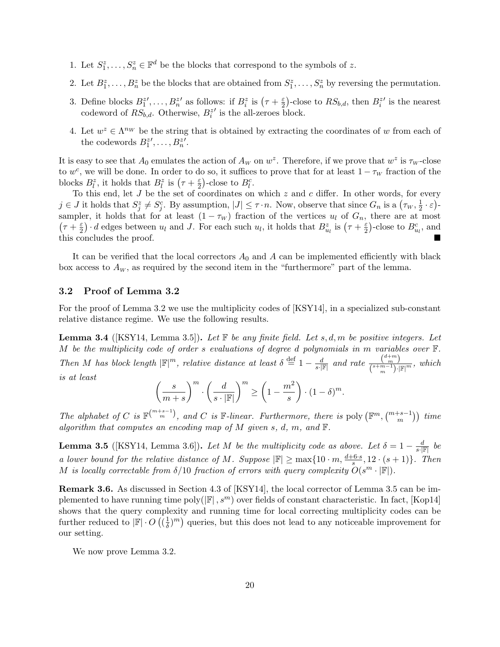- 1. Let  $S_1^z, \ldots, S_n^z \in \mathbb{F}^d$  be the blocks that correspond to the symbols of z.
- 2. Let  $B_1^z, \ldots, B_n^z$  be the blocks that are obtained from  $S_1^z, \ldots, S_n^z$  by reversing the permutation.
- 3. Define blocks  $B_1^{z}, \ldots, B_n^{z}$  as follows: if  $B_i^z$  is  $(\tau + \frac{\varepsilon}{2})$  $\frac{\varepsilon}{2}$ )-close to  $RS_{b,d}$ , then  $B_i^{z'}$  is the nearest codeword of  $RS_{b,d}$ . Otherwise,  $B_i^{z'}$  is the all-zeroes block.
- 4. Let  $w^z \in \Lambda^{n_W}$  be the string that is obtained by extracting the coordinates of w from each of the codewords  $B_1^{z}, \ldots, B_n^{z'}$ .

It is easy to see that  $A_0$  emulates the action of  $A_W$  on  $w^z$ . Therefore, if we prove that  $w^z$  is  $\tau_W$ -close to w<sup>c</sup>, we will be done. In order to do so, it suffices to prove that for at least  $1 - \tau_w$  fraction of the blocks  $B_l^z$ , it holds that  $B_l^z$  is  $(\tau + \frac{\varepsilon}{2})$  $\frac{\varepsilon}{2}$ )-close to  $B_l^c$ .

To this end, let  $J$  be the set of coordinates on which  $z$  and  $c$  differ. In other words, for every  $j \in J$  it holds that  $S_j^z \neq S_j^c$ . By assumption,  $|J| \leq \tau \cdot n$ . Now, observe that since  $G_n$  is a  $(\tau_w, \frac{1}{2})$  $\frac{1}{2} \cdot \varepsilon$ )sampler, it holds that for at least  $(1 - \tau_w)$  fraction of the vertices  $u_l$  of  $G_n$ , there are at most  $(\tau + \frac{\varepsilon}{2})$  $\frac{\varepsilon}{2}$   $\cdot$  d edges between  $u_l$  and J. For each such  $u_l$ , it holds that  $B_{u_l}^z$  is  $(\tau + \frac{\varepsilon}{2})$  $(\frac{\varepsilon}{2})$ -close to  $B_{u_l}^c$ , and this concludes the proof.

It can be verified that the local correctors  $A_0$  and A can be implemented efficiently with black box access to  $A_W$ , as required by the second item in the "furthermore" part of the lemma.

#### 3.2 Proof of Lemma 3.2

For the proof of Lemma 3.2 we use the multiplicity codes of [KSY14], in a specialized sub-constant relative distance regime. We use the following results.

**Lemma 3.4** ([KSY14, Lemma 3.5]). Let  $\mathbb{F}$  be any finite field. Let s, d, m be positive integers. Let M be the multiplicity code of order s evaluations of degree d polynomials in m variables over F. Then M has block length  $\left|\mathbb{F}\right|^m$ , relative distance at least  $\delta \stackrel{\text{def}}{=} 1 - \frac{d}{s \cdot |\mathbb{F}|}$  and rate  $\frac{\binom{d+m}{m}}{\binom{s+m-1}{m}}$  $\frac{\binom{m}{m}}{\binom{s+m-1}{m}\cdot|\mathbb{F}|^m}$ , which is at least

$$
\left(\frac{s}{m+s}\right)^m \cdot \left(\frac{d}{s\cdot |\mathbb{F}|}\right)^m \ge \left(1-\frac{m^2}{s}\right) \cdot (1-\delta)^m.
$$

The alphabet of C is  $\mathbb{F}^{m,s-1}$ , and C is  $\mathbb{F}\text{-linear}$ . Furthermore, there is poly  $(\mathbb{F}^m, \binom{m+s-1}{m})$  time algorithm that computes an encoding map of M given  $s, d, m,$  and  $\mathbb{F}$ .

**Lemma 3.5** ([KSY14, Lemma 3.6]). Let M be the multiplicity code as above. Let  $\delta = 1 - \frac{d}{s \cdot |\mathbb{F}|}$  be a lower bound for the relative distance of M. Suppose  $|\mathbb{F}| \ge \max\{10 \cdot m, \frac{d+6 \cdot s}{s}, 12 \cdot (s+1)\}.$  Then M is locally correctable from  $\delta/10$  fraction of errors with query complexity  $O(s^m \cdot |F|)$ .

Remark 3.6. As discussed in Section 4.3 of [KSY14], the local corrector of Lemma 3.5 can be implemented to have running time poly( $|\mathbb{F}|$ ,  $s^m$ ) over fields of constant characteristic. In fact, [Kop14] shows that the query complexity and running time for local correcting multiplicity codes can be further reduced to  $\left|\mathbb{F}\right| \cdot O\left(\left(\frac{1}{\delta}\right)\right)$  $\frac{1}{\delta})^m$ ) queries, but this does not lead to any noticeable improvement for our setting.

We now prove Lemma 3.2.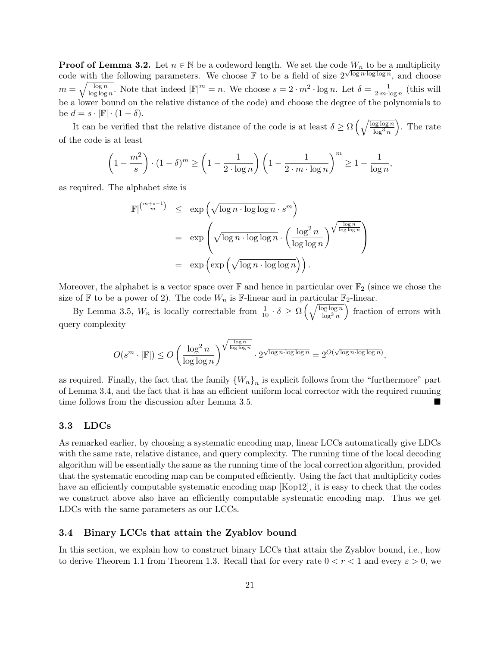**Proof of Lemma 3.2.** Let  $n \in \mathbb{N}$  be a codeword length. We set the code  $W_n$  to be a multiplicity code with the following parameters. We choose  $\mathbb F$  to be a field of size  $2^{\sqrt{\log n \cdot \log \log n}}$ , and choose  $m = \sqrt{\frac{\log n}{\log \log n}}$ . Note that indeed  $\|\mathbb{F}\|^m = n$ . We choose  $s = 2 \cdot m^2 \cdot \log n$ . Let  $\delta = \frac{1}{2 \cdot m \cdot \log n}$  (this will be a lower bound on the relative distance of the code) and choose the degree of the polynomials to be  $d = s \cdot |\mathbb{F}| \cdot (1 - \delta)$ .

It can be verified that the relative distance of the code is at least  $\delta \geq \Omega \left( \sqrt{\frac{\log \log n}{\log^3 n}} \right)$  $\log^3 n$  . The rate of the code is at least

$$
\left(1 - \frac{m^2}{s}\right) \cdot (1 - \delta)^m \ge \left(1 - \frac{1}{2 \cdot \log n}\right) \left(1 - \frac{1}{2 \cdot m \cdot \log n}\right)^m \ge 1 - \frac{1}{\log n},
$$

as required. The alphabet size is

$$
\begin{array}{rcl} \left|{\mathbb{F}}\right|^{(m+s-1)} & \leq & \exp\left(\sqrt{\log n \cdot \log\log n} \cdot s^m\right) \\ \\ & = & \exp\left(\sqrt{\log n \cdot \log\log n} \cdot \left(\frac{\log^2 n}{\log\log n}\right)^{\sqrt{\frac{\log n}{\log\log n}}}\right) \\ \\ & = & \exp\left(\exp\left(\sqrt{\log n \cdot \log\log n}\right)\right). \end{array}
$$

Moreover, the alphabet is a vector space over  $\mathbb F$  and hence in particular over  $\mathbb F_2$  (since we chose the size of  $\mathbb F$  to be a power of 2). The code  $W_n$  is  $\mathbb F$ -linear and in particular  $\mathbb F_2$ -linear.

By Lemma 3.5,  $W_n$  is locally correctable from  $\frac{1}{10} \cdot \delta \ge \Omega \left(\sqrt{\frac{\log \log n}{\log^3 n}}\right)$  $\log^3 n$  fraction of errors with query complexity

$$
O(s^m \cdot |\mathbb{F}|) \leq O\left(\frac{\log^2 n}{\log \log n}\right)^{\sqrt{\frac{\log n}{\log \log n}}} \cdot 2^{\sqrt{\log n \cdot \log \log n}} = 2^{O(\sqrt{\log n \cdot \log \log n})},
$$

as required. Finally, the fact that the family  ${W_n}_n$  is explicit follows from the "furthermore" part of Lemma 3.4, and the fact that it has an efficient uniform local corrector with the required running time follows from the discussion after Lemma 3.5.

#### 3.3 LDCs

As remarked earlier, by choosing a systematic encoding map, linear LCCs automatically give LDCs with the same rate, relative distance, and query complexity. The running time of the local decoding algorithm will be essentially the same as the running time of the local correction algorithm, provided that the systematic encoding map can be computed efficiently. Using the fact that multiplicity codes have an efficiently computable systematic encoding map [Kop12], it is easy to check that the codes we construct above also have an efficiently computable systematic encoding map. Thus we get LDCs with the same parameters as our LCCs.

#### 3.4 Binary LCCs that attain the Zyablov bound

In this section, we explain how to construct binary LCCs that attain the Zyablov bound, i.e., how to derive Theorem 1.1 from Theorem 1.3. Recall that for every rate  $0 < r < 1$  and every  $\varepsilon > 0$ , we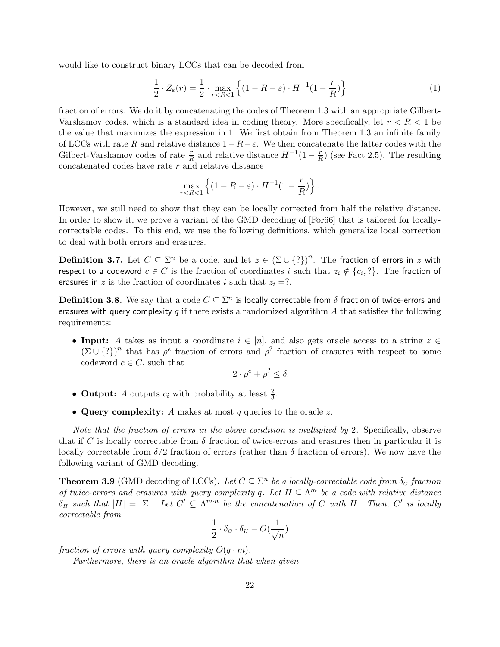would like to construct binary LCCs that can be decoded from

$$
\frac{1}{2} \cdot Z_{\varepsilon}(r) = \frac{1}{2} \cdot \max_{r < R < 1} \left\{ (1 - R - \varepsilon) \cdot H^{-1}(1 - \frac{r}{R}) \right\} \tag{1}
$$

fraction of errors. We do it by concatenating the codes of Theorem 1.3 with an appropriate Gilbert-Varshamov codes, which is a standard idea in coding theory. More specifically, let  $r < R < 1$  be the value that maximizes the expression in 1. We first obtain from Theorem 1.3 an infinite family of LCCs with rate R and relative distance  $1-R-\varepsilon$ . We then concatenate the latter codes with the Gilbert-Varshamov codes of rate  $\frac{r}{R}$  and relative distance  $H^{-1}(1-\frac{r}{R})$  $\frac{r}{R}$ ) (see Fact 2.5). The resulting concatenated codes have rate  $r$  and relative distance

$$
\max_{r < R < 1} \left\{ (1 - R - \varepsilon) \cdot H^{-1} (1 - \frac{r}{R}) \right\}.
$$

However, we still need to show that they can be locally corrected from half the relative distance. In order to show it, we prove a variant of the GMD decoding of [For66] that is tailored for locallycorrectable codes. To this end, we use the following definitions, which generalize local correction to deal with both errors and erasures.

**Definition 3.7.** Let  $C \subseteq \Sigma^n$  be a code, and let  $z \in (\Sigma \cup \{? \})^n$ . The fraction of errors in  $z$  with respect to a codeword  $c \in C$  is the fraction of coordinates  $i$  such that  $z_i \notin \{c_i, ?\}$ . The fraction of erasures in z is the fraction of coordinates i such that  $z_i = ?$ .

 $\bf{Definition 3.8.}$  We say that a code  $C \subseteq \Sigma^n$  is locally correctable from  $\delta$  fraction of twice-errors and erasures with query complexity q if there exists a randomized algorithm A that satisfies the following requirements:

• Input: A takes as input a coordinate  $i \in [n]$ , and also gets oracle access to a string  $z \in$  $(\Sigma \cup \{? \})^n$  that has  $\rho^e$  fraction of errors and  $\rho^?$  fraction of erasures with respect to some codeword  $c \in C$ , such that

$$
2 \cdot \rho^e + \rho^? \le \delta.
$$

- Output: A outputs  $c_i$  with probability at least  $\frac{2}{3}$ .
- Query complexity: A makes at most  $q$  queries to the oracle  $z$ .

Note that the fraction of errors in the above condition is multiplied by 2. Specifically, observe that if C is locally correctable from  $\delta$  fraction of twice-errors and erasures then in particular it is locally correctable from  $\delta/2$  fraction of errors (rather than  $\delta$  fraction of errors). We now have the following variant of GMD decoding.

**Theorem 3.9** (GMD decoding of LCCs). Let  $C \subseteq \Sigma^n$  be a locally-correctable code from  $\delta_C$  fraction of twice-errors and erasures with query complexity q. Let  $H \subseteq \Lambda^m$  be a code with relative distance  $\delta_H$  such that  $|H| = |\Sigma|$ . Let  $C' \subseteq \Lambda^{m,n}$  be the concatenation of C with H. Then, C' is locally correctable from

$$
\frac{1}{2} \cdot \delta_C \cdot \delta_H - O(\frac{1}{\sqrt{n}})
$$

fraction of errors with query complexity  $O(q \cdot m)$ .

Furthermore, there is an oracle algorithm that when given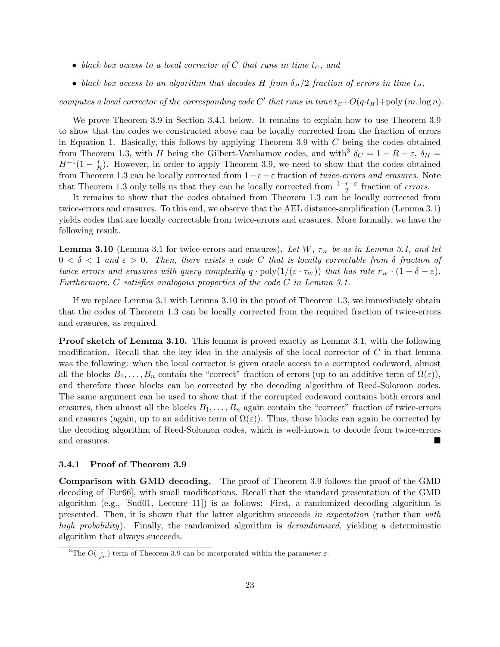- black box access to a local corrector of C that runs in time  $t_c$ , and
- black box access to an algorithm that decodes H from  $\delta_H/2$  fraction of errors in time  $t_H$ ,

computes a local corrector of the corresponding code C' that runs in time  $t_c+O(q\cdot t_H)+\text{poly}(m,\log n)$ .

We prove Theorem 3.9 in Section 3.4.1 below. It remains to explain how to use Theorem 3.9 to show that the codes we constructed above can be locally corrected from the fraction of errors in Equation 1. Basically, this follows by applying Theorem 3.9 with  $C$  being the codes obtained from Theorem 1.3, with H being the Gilbert-Varshamov codes, and with<sup>3</sup>  $\delta_C = 1 - R - \varepsilon$ ,  $\delta_H =$  $H^{-1}(1-\frac{r}{h})$  $\frac{r}{R}$ ). However, in order to apply Theorem 3.9, we need to show that the codes obtained from Theorem 1.3 can be locally corrected from  $1-r-\varepsilon$  fraction of *twice-errors and erasures*. Note that Theorem 1.3 only tells us that they can be locally corrected from  $\frac{1-r-\varepsilon}{2}$  fraction of *errors*.

It remains to show that the codes obtained from Theorem 1.3 can be locally corrected from twice-errors and erasures. To this end, we observe that the AEL distance-amplification (Lemma 3.1) yields codes that are locally correctable from twice-errors and erasures. More formally, we have the following result.

**Lemma 3.10** (Lemma 3.1 for twice-errors and erasures). Let W,  $\tau_W$  be as in Lemma 3.1, and let  $0 < \delta < 1$  and  $\varepsilon > 0$ . Then, there exists a code C that is locally correctable from  $\delta$  fraction of twice-errors and erasures with query complexity  $q \cdot \text{poly}(1/(\varepsilon \cdot \tau_W))$  that has rate  $r_W \cdot (1 - \delta - \varepsilon)$ . Furthermore, C satisfies analogous properties of the code C in Lemma 3.1.

If we replace Lemma 3.1 with Lemma 3.10 in the proof of Theorem 1.3, we immediately obtain that the codes of Theorem 1.3 can be locally corrected from the required fraction of twice-errors and erasures, as required.

Proof sketch of Lemma 3.10. This lemma is proved exactly as Lemma 3.1, with the following modification. Recall that the key idea in the analysis of the local corrector of  $C$  in that lemma was the following: when the local corrector is given oracle access to a corrupted codeword, almost all the blocks  $B_1, \ldots, B_n$  contain the "correct" fraction of errors (up to an additive term of  $\Omega(\varepsilon)$ ), and therefore those blocks can be corrected by the decoding algorithm of Reed-Solomon codes. The same argument can be used to show that if the corrupted codeword contains both errors and erasures, then almost all the blocks  $B_1, \ldots, B_n$  again contain the "correct" fraction of twice-errors and erasures (again, up to an additive term of  $\Omega(\varepsilon)$ ). Thus, those blocks can again be corrected by the decoding algorithm of Reed-Solomon codes, which is well-known to decode from twice-errors and erasures.

#### 3.4.1 Proof of Theorem 3.9

Comparison with GMD decoding. The proof of Theorem 3.9 follows the proof of the GMD decoding of [For66], with small modifications. Recall that the standard presentation of the GMD algorithm (e.g., [Sud01, Lecture 11]) is as follows: First, a randomized decoding algorithm is presented. Then, it is shown that the latter algorithm succeeds in expectation (rather than with high probability). Finally, the randomized algorithm is *derandomized*, yielding a deterministic algorithm that always succeeds.

<sup>&</sup>lt;sup>3</sup>The  $O(\frac{1}{\sqrt{n}})$  term of Theorem 3.9 can be incorporated within the parameter  $\varepsilon$ .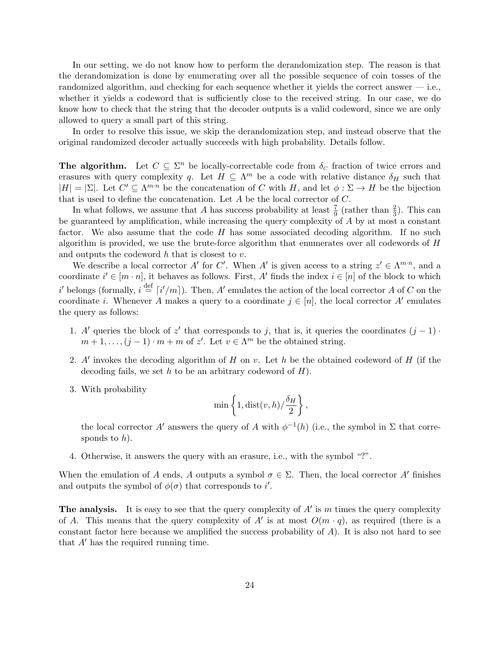In our setting, we do not know how to perform the derandomization step. The reason is that the derandomization is done by enumerating over all the possible sequence of coin tosses of the randomized algorithm, and checking for each sequence whether it yields the correct answer — i.e., whether it yields a codeword that is sufficiently close to the received string. In our case, we do know how to check that the string that the decoder outputs is a valid codeword, since we are only allowed to query a small part of this string.

In order to resolve this issue, we skip the derandomization step, and instead observe that the original randomized decoder actually succeeds with high probability. Details follow.

The algorithm. Let  $C \subseteq \Sigma^n$  be locally-correctable code from  $\delta_C$  fraction of twice errors and erasures with query complexity q. Let  $H \subseteq \Lambda^m$  be a code with relative distance  $\delta_H$  such that  $|H| = |\Sigma|$ . Let  $C' \subseteq \Lambda^{m,n}$  be the concatenation of C with H, and let  $\phi : \Sigma \to H$  be the bijection that is used to define the concatenation. Let  $A$  be the local corrector of  $C$ .

In what follows, we assume that A has success probability at least  $\frac{7}{9}$  (rather than  $\frac{2}{3}$ ). This can be guaranteed by amplification, while increasing the query complexity of A by at most a constant factor. We also assume that the code  $H$  has some associated decoding algorithm. If no such algorithm is provided, we use the brute-force algorithm that enumerates over all codewords of H and outputs the codeword  $h$  that is closest to  $v$ .

We describe a local corrector A' for C'. When A' is given access to a string  $z' \in \Lambda^{m \cdot n}$ , and a coordinate  $i' \in [m \cdot n]$ , it behaves as follows. First, A' finds the index  $i \in [n]$  of the block to which i' belongs (formally,  $i \stackrel{\text{def}}{=} [i'/m]$ ). Then, A' emulates the action of the local corrector A of C on the coordinate *i*. Whenever A makes a query to a coordinate  $j \in [n]$ , the local corrector A' emulates the query as follows:

- 1. A' queries the block of z' that corresponds to j, that is, it queries the coordinates  $(j 1)$ .  $m+1,\ldots,(j-1)\cdot m+m$  of z'. Let  $v\in\Lambda^m$  be the obtained string.
- 2.  $A'$  invokes the decoding algorithm of H on v. Let h be the obtained codeword of H (if the decoding fails, we set h to be an arbitrary codeword of  $H$ ).
- 3. With probability

$$
\min\left\{1,\mathrm{dist}(v,h)/\frac{\delta_H}{2}\right\},
$$

the local corrector A' answers the query of A with  $\phi^{-1}(h)$  (i.e., the symbol in  $\Sigma$  that corresponds to  $h$ ).

4. Otherwise, it answers the query with an erasure, i.e., with the symbol "?".

When the emulation of A ends, A outputs a symbol  $\sigma \in \Sigma$ . Then, the local corrector A' finishes and outputs the symbol of  $\phi(\sigma)$  that corresponds to i'.

The analysis. It is easy to see that the query complexity of  $A'$  is m times the query complexity of A. This means that the query complexity of A' is at most  $O(m \cdot q)$ , as required (there is a constant factor here because we amplified the success probability of  $A$ ). It is also not hard to see that  $A'$  has the required running time.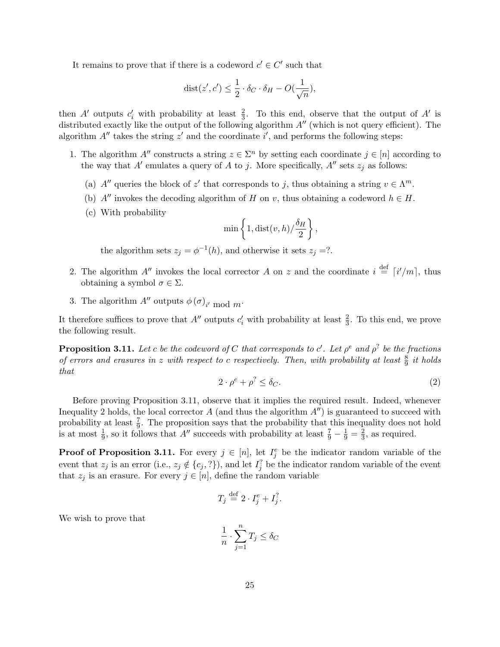It remains to prove that if there is a codeword  $c' \in C'$  such that

$$
dist(z',c') \leq \frac{1}{2} \cdot \delta_C \cdot \delta_H - O(\frac{1}{\sqrt{n}}),
$$

then A' outputs  $c_i'$  with probability at least  $\frac{2}{3}$ . To this end, observe that the output of A' is distributed exactly like the output of the following algorithm  $A''$  (which is not query efficient). The algorithm  $A''$  takes the string  $z'$  and the coordinate i', and performs the following steps:

- 1. The algorithm  $A''$  constructs a string  $z \in \Sigma^n$  by setting each coordinate  $j \in [n]$  according to the way that A' emulates a query of A to j. More specifically, A'' sets  $z_j$  as follows:
	- (a) A'' queries the block of z' that corresponds to j, thus obtaining a string  $v \in \Lambda^m$ .
	- (b) A<sup>n</sup> invokes the decoding algorithm of H on v, thus obtaining a codeword  $h \in H$ .
	- (c) With probability

$$
\min\left\{1,\mathrm{dist}(v,h)/\frac{\delta_H}{2}\right\},\
$$

the algorithm sets  $z_j = \phi^{-1}(h)$ , and otherwise it sets  $z_j = ?$ .

- 2. The algorithm A'' invokes the local corrector A on z and the coordinate  $i \stackrel{\text{def}}{=} [i'/m]$ , thus obtaining a symbol  $\sigma \in \Sigma$ .
- 3. The algorithm  $A''$  outputs  $\phi(\sigma)_{i' \mod m}$ .

It therefore suffices to prove that A'' outputs  $c_i'$  with probability at least  $\frac{2}{3}$ . To this end, we prove the following result.

**Proposition 3.11.** Let c be the codeword of C that corresponds to c'. Let  $\rho^e$  and  $\rho^?$  be the fractions of errors and erasures in z with respect to c respectively. Then, with probability at least  $\frac{8}{9}$  it holds that

$$
2 \cdot \rho^e + \rho^? \le \delta_C. \tag{2}
$$

Before proving Proposition 3.11, observe that it implies the required result. Indeed, whenever Inequality 2 holds, the local corrector  $A$  (and thus the algorithm  $A''$ ) is guaranteed to succeed with probability at least  $\frac{7}{9}$ . The proposition says that the probability that this inequality does not hold is at most  $\frac{1}{9}$ , so it follows that A'' succeeds with probability at least  $\frac{7}{9} - \frac{1}{9} = \frac{2}{3}$  $\frac{2}{3}$ , as required.

**Proof of Proposition 3.11.** For every  $j \in [n]$ , let  $I_j^e$  be the indicator random variable of the event that  $z_j$  is an error (i.e.,  $z_j \notin \{c_j, ?\}$ ), and let  $I_j^?$  be the indicator random variable of the event that  $z_j$  is an erasure. For every  $j \in [n]$ , define the random variable

$$
T_j \stackrel{\text{def}}{=} 2 \cdot I_j^e + I_j^?.
$$

We wish to prove that

$$
\frac{1}{n} \cdot \sum_{j=1}^{n} T_j \le \delta_C
$$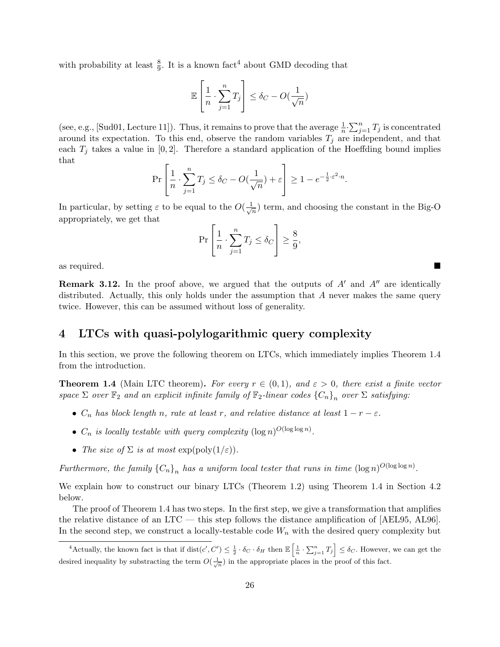with probability at least  $\frac{8}{9}$ . It is a known fact<sup>4</sup> about GMD decoding that

$$
\mathbb{E}\left[\frac{1}{n}\cdot\sum_{j=1}^{n}T_j\right] \leq \delta_C - O(\frac{1}{\sqrt{n}})
$$

(see, e.g., [Sud01, Lecture 11]). Thus, it remains to prove that the average  $\frac{1}{n} \sum_{j=1}^{n} T_j$  is concentrated around its expectation. To this end, observe the random variables  $T_j$  are independent, and that each  $T_i$  takes a value in [0, 2]. Therefore a standard application of the Hoeffding bound implies that

$$
\Pr\left[\frac{1}{n} \cdot \sum_{j=1}^{n} T_j \le \delta_C - O(\frac{1}{\sqrt{n}}) + \varepsilon\right] \ge 1 - e^{-\frac{1}{2}\cdot \varepsilon^2 \cdot n}.
$$

In particular, by setting  $\varepsilon$  to be equal to the  $O(\frac{1}{\sqrt{\varepsilon}})$  $(\frac{1}{n})$  term, and choosing the constant in the Big-O appropriately, we get that

$$
\Pr\left[\frac{1}{n} \cdot \sum_{j=1}^{n} T_j \le \delta_C\right] \ge \frac{8}{9},
$$

as required.

**Remark 3.12.** In the proof above, we argued that the outputs of  $A'$  and  $A''$  are identically distributed. Actually, this only holds under the assumption that A never makes the same query twice. However, this can be assumed without loss of generality.

# 4 LTCs with quasi-polylogarithmic query complexity

In this section, we prove the following theorem on LTCs, which immediately implies Theorem 1.4 from the introduction.

**Theorem 1.4** (Main LTC theorem). For every  $r \in (0,1)$ , and  $\varepsilon > 0$ , there exist a finite vector space  $\Sigma$  over  $\mathbb{F}_2$  and an explicit infinite family of  $\mathbb{F}_2$ -linear codes  $\{C_n\}_n$  over  $\Sigma$  satisfying:

- $C_n$  has block length n, rate at least r, and relative distance at least  $1 r \varepsilon$ .
- $C_n$  is locally testable with query complexity  $(\log n)^{O(\log \log n)}$ .
- The size of  $\Sigma$  is at most  $\exp(\text{poly}(1/\varepsilon)).$

Furthermore, the family  ${C_n}_n$  has a uniform local tester that runs in time  $(\log n)^{O(\log \log n)}$ .

We explain how to construct our binary LTCs (Theorem 1.2) using Theorem 1.4 in Section 4.2 below.

The proof of Theorem 1.4 has two steps. In the first step, we give a transformation that amplifies the relative distance of an LTC — this step follows the distance amplification of [AEL95, AL96]. In the second step, we construct a locally-testable code  $W_n$  with the desired query complexity but

<sup>&</sup>lt;sup>4</sup> Actually, the known fact is that if  $dist(c', C') \leq \frac{1}{2} \cdot \delta_C \cdot \delta_H$  then  $\mathbb{E}\left[\frac{1}{n} \cdot \sum_{j=1}^n T_j\right] \leq \delta_C$ . However, we can get the desired inequality by substracting the term  $O(\frac{1}{\sqrt{n}})$  in the appropriate places in the proof of this fact.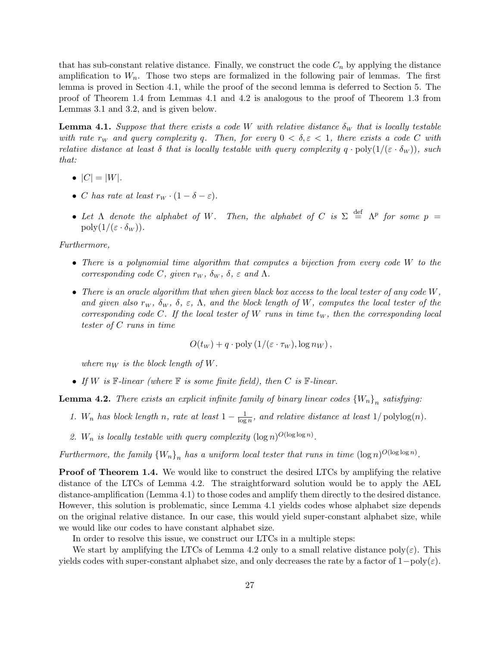that has sub-constant relative distance. Finally, we construct the code  $C_n$  by applying the distance amplification to  $W_n$ . Those two steps are formalized in the following pair of lemmas. The first lemma is proved in Section 4.1, while the proof of the second lemma is deferred to Section 5. The proof of Theorem 1.4 from Lemmas 4.1 and 4.2 is analogous to the proof of Theorem 1.3 from Lemmas 3.1 and 3.2, and is given below.

**Lemma 4.1.** Suppose that there exists a code W with relative distance  $\delta_W$  that is locally testable with rate  $r_W$  and query complexity q. Then, for every  $0 < \delta, \varepsilon < 1$ , there exists a code C with relative distance at least  $\delta$  that is locally testable with query complexity  $q \cdot \text{poly}(1/(\varepsilon \cdot \delta_W))$ , such that:

- $|C| = |W|$ .
- C has rate at least  $r_W \cdot (1 \delta \varepsilon)$ .
- Let  $\Lambda$  denote the alphabet of W. Then, the alphabet of C is  $\Sigma$   $\stackrel{\text{def}}{=}$   $\Lambda^p$  for some  $p =$ poly $(1/(\varepsilon \cdot \delta_W)).$

#### Furthermore,

- There is a polynomial time algorithm that computes a bijection from every code W to the corresponding code C, given  $r_W$ ,  $\delta_W$ ,  $\delta$ ,  $\varepsilon$  and  $\Lambda$ .
- There is an oracle algorithm that when given black box access to the local tester of any code W, and given also  $r_w$ ,  $\delta_w$ ,  $\delta$ ,  $\varepsilon$ ,  $\Lambda$ , and the block length of W, computes the local tester of the corresponding code C. If the local tester of W runs in time  $t<sub>W</sub>$ , then the corresponding local tester of C runs in time

$$
O(t_W) + q \cdot \text{poly} (1/(\varepsilon \cdot \tau_W), \log n_W),
$$

where  $n_W$  is the block length of W.

• If W is  $\mathbb F$ -linear (where  $\mathbb F$  is some finite field), then C is  $\mathbb F$ -linear.

**Lemma 4.2.** There exists an explicit infinite family of binary linear codes  ${W_n}_n$  satisfying:

- 1. W<sub>n</sub> has block length n, rate at least  $1 \frac{1}{\log n}$  $\frac{1}{\log n}$ , and relative distance at least  $1/\text{polylog}(n)$ .
- 2.  $W_n$  is locally testable with query complexity  $(\log n)^{O(\log \log n)}$ .

Furthermore, the family  ${W_n}_n$  has a uniform local tester that runs in time  $(\log n)^{O(\log \log n)}$ .

**Proof of Theorem 1.4.** We would like to construct the desired LTCs by amplifying the relative distance of the LTCs of Lemma 4.2. The straightforward solution would be to apply the AEL distance-amplification (Lemma 4.1) to those codes and amplify them directly to the desired distance. However, this solution is problematic, since Lemma 4.1 yields codes whose alphabet size depends on the original relative distance. In our case, this would yield super-constant alphabet size, while we would like our codes to have constant alphabet size.

In order to resolve this issue, we construct our LTCs in a multiple steps:

We start by amplifying the LTCs of Lemma 4.2 only to a small relative distance poly( $\varepsilon$ ). This yields codes with super-constant alphabet size, and only decreases the rate by a factor of  $1-poly(\varepsilon)$ .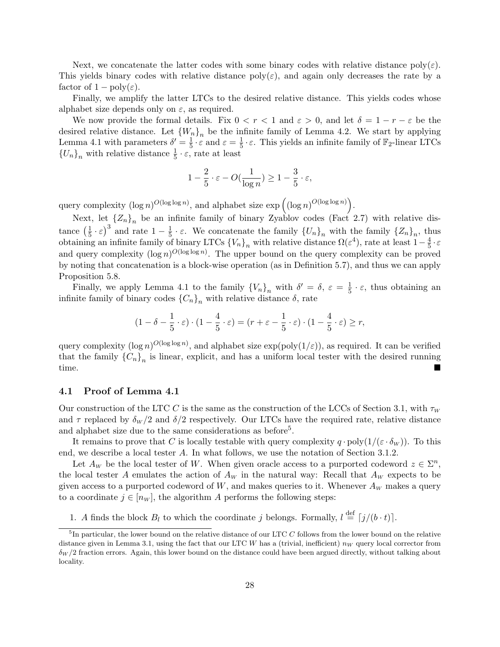Next, we concatenate the latter codes with some binary codes with relative distance  $poly(\varepsilon)$ . This yields binary codes with relative distance  $poly(\varepsilon)$ , and again only decreases the rate by a factor of  $1 - \text{poly}(\varepsilon)$ .

Finally, we amplify the latter LTCs to the desired relative distance. This yields codes whose alphabet size depends only on  $\varepsilon$ , as required.

We now provide the formal details. Fix  $0 < r < 1$  and  $\varepsilon > 0$ , and let  $\delta = 1 - r - \varepsilon$  be the desired relative distance. Let  ${W_n}_n$  be the infinite family of Lemma 4.2. We start by applying Lemma 4.1 with parameters  $\delta' = \frac{1}{5}$  $\frac{1}{5} \cdot \varepsilon$  and  $\varepsilon = \frac{1}{5}$  $\frac{1}{5} \cdot \varepsilon$ . This yields an infinite family of  $\mathbb{F}_2$ -linear LTCs  ${U_n}_n$  with relative distance  $\frac{1}{5} \cdot \varepsilon$ , rate at least

$$
1-\frac{2}{5}\cdot \varepsilon - O(\frac{1}{\log n}) \geq 1-\frac{3}{5}\cdot \varepsilon,
$$

query complexity  $(\log n)^{O(\log \log n)}$ , and alphabet size  $\exp((\log n)^{O(\log \log n)})$ .

Next, let  ${Z_n}_n$  be an infinite family of binary Zyablov codes (Fact 2.7) with relative distance  $\left(\frac{1}{5}\right)$  $\left(\frac{1}{5} \cdot \varepsilon\right)^3$  and rate  $1 - \frac{1}{5}$  $\frac{1}{5} \cdot \varepsilon$ . We concatenate the family  $\{U_n\}_n$  with the family  $\{Z_n\}_n$ , thus obtaining an infinite family of binary LTCs  ${V_n}_n$  with relative distance  $\Omega(\varepsilon^4)$ , rate at least  $1-\frac{4}{5}$  $\frac{4}{5} \cdot \varepsilon$ and query complexity  $(\log n)^{O(\log \log n)}$ . The upper bound on the query complexity can be proved by noting that concatenation is a block-wise operation (as in Definition 5.7), and thus we can apply Proposition 5.8.

Finally, we apply Lemma 4.1 to the family  ${V_n}_n$  with  $\delta' = \delta$ ,  $\varepsilon = \frac{1}{5}$  $\frac{1}{5} \cdot \varepsilon$ , thus obtaining an infinite family of binary codes  ${C_n}_n$  with relative distance  $\delta$ , rate

$$
(1 - \delta - \frac{1}{5} \cdot \varepsilon) \cdot (1 - \frac{4}{5} \cdot \varepsilon) = (r + \varepsilon - \frac{1}{5} \cdot \varepsilon) \cdot (1 - \frac{4}{5} \cdot \varepsilon) \ge r,
$$

query complexity  $(\log n)^{O(\log \log n)}$ , and alphabet size  $\exp(\text{poly}(1/\varepsilon))$ , as required. It can be verified that the family  ${C_n}_n$  is linear, explicit, and has a uniform local tester with the desired running time.

#### 4.1 Proof of Lemma 4.1

Our construction of the LTC C is the same as the construction of the LCCs of Section 3.1, with  $\tau_W$ and  $\tau$  replaced by  $\delta_W/2$  and  $\delta/2$  respectively. Our LTCs have the required rate, relative distance and alphabet size due to the same considerations as before<sup>5</sup>.

It remains to prove that C is locally testable with query complexity  $q \cdot \text{poly}(1/(\varepsilon \cdot \delta_w))$ . To this end, we describe a local tester A. In what follows, we use the notation of Section 3.1.2.

Let  $A_W$  be the local tester of W. When given oracle access to a purported codeword  $z \in \Sigma^n$ , the local tester A emulates the action of  $A_W$  in the natural way: Recall that  $A_W$  expects to be given access to a purported codeword of  $W$ , and makes queries to it. Whenever  $A_W$  makes a query to a coordinate  $j \in [n_W]$ , the algorithm A performs the following steps:

1. A finds the block  $B_l$  to which the coordinate j belongs. Formally,  $l \stackrel{\text{def}}{=} \lceil j/(b \cdot t) \rceil$ .

<sup>&</sup>lt;sup>5</sup>In particular, the lower bound on the relative distance of our LTC C follows from the lower bound on the relative distance given in Lemma 3.1, using the fact that our LTC W has a (trivial, inefficient)  $n<sub>W</sub>$  query local corrector from  $\delta_W/2$  fraction errors. Again, this lower bound on the distance could have been argued directly, without talking about locality.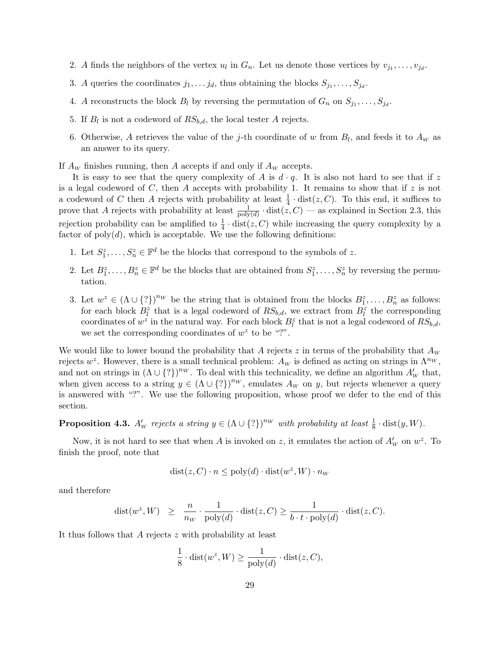- 2. A finds the neighbors of the vertex  $u_l$  in  $G_n$ . Let us denote those vertices by  $v_{j_1}, \ldots, v_{j_d}$ .
- 3. A queries the coordinates  $j_1, \ldots, j_d$ , thus obtaining the blocks  $S_{j_1}, \ldots, S_{j_d}$ .
- 4. A reconstructs the block  $B_l$  by reversing the permutation of  $G_n$  on  $S_{j_1}, \ldots, S_{j_d}$ .
- 5. If  $B_l$  is not a codeword of  $RS_{b,d}$ , the local tester A rejects.
- 6. Otherwise, A retrieves the value of the j-th coordinate of w from  $B_l$ , and feeds it to  $A_W$  as an answer to its query.

If  $A_W$  finishes running, then A accepts if and only if  $A_W$  accepts.

It is easy to see that the query complexity of A is  $d \cdot q$ . It is also not hard to see that if z is a legal codeword of  $C$ , then  $A$  accepts with probability 1. It remains to show that if  $z$  is not a codeword of C then A rejects with probability at least  $\frac{1}{4} \cdot \text{dist}(z, C)$ . To this end, it suffices to prove that A rejects with probability at least  $\frac{1}{\text{poly}(d)} \cdot \text{dist}(z, C)$  — as explained in Section 2.3, this rejection probability can be amplified to  $\frac{1}{4} \cdot \text{dist}(z, C)$  while increasing the query complexity by a factor of  $poly(d)$ , which is acceptable. We use the following definitions:

- 1. Let  $S_1^z, \ldots, S_n^z \in \mathbb{F}^d$  be the blocks that correspond to the symbols of z.
- 2. Let  $B_1^z, \ldots, B_n^z \in \mathbb{F}^d$  be the blocks that are obtained from  $S_1^z, \ldots, S_n^z$  by reversing the permutation.
- 3. Let  $w^z \in (\Lambda \cup \{? \})^{n_W}$  be the string that is obtained from the blocks  $B_1^z, \ldots, B_n^z$  as follows: for each block  $B_l^z$  that is a legal codeword of  $RS_{b,d}$ , we extract from  $B_l^z$  the corresponding coordinates of  $w^z$  in the natural way. For each block  $B_l^z$  that is not a legal codeword of  $RS_{b,d}$ , we set the corresponding coordinates of  $w^z$  to be "?".

We would like to lower bound the probability that A rejects z in terms of the probability that  $A_W$ rejects  $w^z$ . However, there is a small technical problem:  $A_W$  is defined as acting on strings in  $\Lambda^{nw}$ , and not on strings in  $(\Lambda \cup \{? \})^{n_W}$ . To deal with this technicality, we define an algorithm  $A'_W$  that, when given access to a string  $y \in (\Lambda \cup \{? \})^{n_W}$ , emulates  $A_W$  on y, but rejects whenever a query is answered with "?". We use the following proposition, whose proof we defer to the end of this section.

**Proposition 4.3.**  $A'_W$  rejects a string  $y \in (\Lambda \cup \{? \})^{nw}$  with probability at least  $\frac{1}{8} \cdot \text{dist}(y, W)$ .

Now, it is not hard to see that when A is invoked on z, it emulates the action of  $A'_W$  on  $w^z$ . To finish the proof, note that

$$
dist(z, C) \cdot n \leq poly(d) \cdot dist(w^z, W) \cdot n_W
$$

and therefore

$$
\textnormal{dist}(w^z,W) \ \ \geq \ \ \frac{n}{n_W} \cdot \frac{1}{\textnormal{poly}(d)} \cdot \textnormal{dist}(z,C) \geq \frac{1}{b \cdot t \cdot \textnormal{poly}(d)} \cdot \textnormal{dist}(z,C).
$$

It thus follows that A rejects z with probability at least

$$
\frac{1}{8} \cdot \text{dist}(w^z, W) \ge \frac{1}{\text{poly}(d)} \cdot \text{dist}(z, C),
$$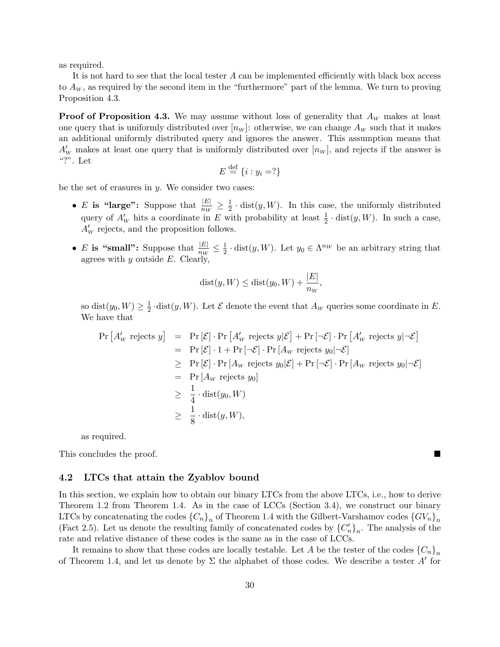as required.

It is not hard to see that the local tester  $A$  can be implemented efficiently with black box access to  $A_W$ , as required by the second item in the "furthermore" part of the lemma. We turn to proving Proposition 4.3.

**Proof of Proposition 4.3.** We may assume without loss of generality that  $A_W$  makes at least one query that is uniformly distributed over  $[n_W]$ : otherwise, we can change  $A_W$  such that it makes an additional uniformly distributed query and ignores the answer. This assumption means that  $A'_W$  makes at least one query that is uniformly distributed over  $[n_W]$ , and rejects if the answer is "?". Let

$$
E \stackrel{\text{def}}{=} \{i : y_i = ?\}
$$

be the set of erasures in  $y$ . We consider two cases:

- *E* is "large": Suppose that  $\frac{|E|}{n_W} \geq \frac{1}{2}$  $\frac{1}{2} \cdot \text{dist}(y, W)$ . In this case, the uniformly distributed query of  $A'_W$  hits a coordinate in E with probability at least  $\frac{1}{2} \cdot \text{dist}(y, W)$ . In such a case,  $A'_W$  rejects, and the proposition follows.
- *E* is "small": Suppose that  $\frac{|E|}{n_W} \leq \frac{1}{2}$  $\frac{1}{2}$  · dist $(y, W)$ . Let  $y_0 \in \Lambda^{nw}$  be an arbitrary string that agrees with  $y$  outside  $E$ . Clearly,

$$
dist(y, W) \leq dist(y_0, W) + \frac{|E|}{n_W},
$$

so dist $(y_0, W) \geq \frac{1}{2}$  $\frac{1}{2}$  dist(y, W). Let  $\mathcal E$  denote the event that  $A_W$  queries some coordinate in E. We have that

$$
\begin{aligned}\n\Pr\left[A'_W \text{ rejects } y\right] &= \Pr\left[\mathcal{E}\right] \cdot \Pr\left[A'_W \text{ rejects } y|\mathcal{E}\right] + \Pr\left[\neg \mathcal{E}\right] \cdot \Pr\left[A'_W \text{ rejects } y|\neg \mathcal{E}\right] \\
&= \Pr\left[\mathcal{E}\right] \cdot 1 + \Pr\left[\neg \mathcal{E}\right] \cdot \Pr\left[A_W \text{ rejects } y_0|\neg \mathcal{E}\right] \\
&\geq \Pr\left[\mathcal{E}\right] \cdot \Pr\left[A_W \text{ rejects } y_0|\mathcal{E}\right] + \Pr\left[\neg \mathcal{E}\right] \cdot \Pr\left[A_W \text{ rejects } y_0|\neg \mathcal{E}\right] \\
&= \Pr\left[A_W \text{ rejects } y_0\right] \\
&\geq \frac{1}{4} \cdot \text{dist}(y_0, W) \\
&\geq \frac{1}{8} \cdot \text{dist}(y, W),\n\end{aligned}
$$

as required.

This concludes the proof.

#### 4.2 LTCs that attain the Zyablov bound

In this section, we explain how to obtain our binary LTCs from the above LTCs, i.e., how to derive Theorem 1.2 from Theorem 1.4. As in the case of LCCs (Section 3.4), we construct our binary LTCs by concatenating the codes  ${C_n}_n$  of Theorem 1.4 with the Gilbert-Varshamov codes  ${GV_n}_n$ (Fact 2.5). Let us denote the resulting family of concatenated codes by  ${C_n'}_n$ . The analysis of the rate and relative distance of these codes is the same as in the case of LCCs.

It remains to show that these codes are locally testable. Let A be the tester of the codes  ${C_n}_n$ of Theorem 1.4, and let us denote by  $\Sigma$  the alphabet of those codes. We describe a tester A' for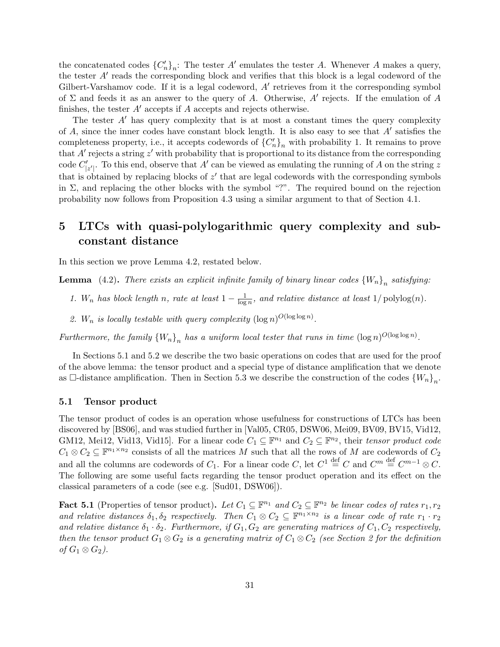the concatenated codes  ${C_n'}_n$ : The tester A' emulates the tester A. Whenever A makes a query, the tester  $A'$  reads the corresponding block and verifies that this block is a legal codeword of the Gilbert-Varshamov code. If it is a legal codeword,  $A'$  retrieves from it the corresponding symbol of  $\Sigma$  and feeds it as an answer to the query of A. Otherwise, A' rejects. If the emulation of A finishes, the tester  $A'$  accepts if  $A$  accepts and rejects otherwise.

The tester  $A'$  has query complexity that is at most a constant times the query complexity of  $A$ , since the inner codes have constant block length. It is also easy to see that  $A'$  satisfies the completeness property, i.e., it accepts codewords of  ${C_n'}_n$  with probability 1. It remains to prove that A' rejects a string  $z'$  with probability that is proportional to its distance from the corresponding code  $C'_{|z'|}$ . To this end, observe that A' can be viewed as emulating the running of A on the string z that is obtained by replacing blocks of  $z'$  that are legal codewords with the corresponding symbols in  $\Sigma$ , and replacing the other blocks with the symbol "?". The required bound on the rejection probability now follows from Proposition 4.3 using a similar argument to that of Section 4.1.

# 5 LTCs with quasi-polylogarithmic query complexity and subconstant distance

In this section we prove Lemma 4.2, restated below.

**Lemma** (4.2). There exists an explicit infinite family of binary linear codes  ${W_n}_n$  satisfying:

- 1. W<sub>n</sub> has block length n, rate at least  $1 \frac{1}{\log n}$  $\frac{1}{\log n}$ , and relative distance at least  $1/\text{polylog}(n)$ .
- 2.  $W_n$  is locally testable with query complexity  $(\log n)^{O(\log \log n)}$ .

Furthermore, the family  ${W_n}_n$  has a uniform local tester that runs in time  $(\log n)^{O(\log \log n)}$ .

In Sections 5.1 and 5.2 we describe the two basic operations on codes that are used for the proof of the above lemma: the tensor product and a special type of distance amplification that we denote as  $\Box$ -distance amplification. Then in Section 5.3 we describe the construction of the codes  ${W_n}_n$ .

#### 5.1 Tensor product

The tensor product of codes is an operation whose usefulness for constructions of LTCs has been discovered by [BS06], and was studied further in [Val05, CR05, DSW06, Mei09, BV09, BV15, Vid12, GM12, Mei12, Vid13, Vid15. For a linear code  $C_1 \subseteq \mathbb{F}^{n_1}$  and  $C_2 \subseteq \mathbb{F}^{n_2}$ , their tensor product code  $C_1 \otimes C_2 \subseteq \mathbb{F}^{n_1 \times n_2}$  consists of all the matrices M such that all the rows of M are codewords of  $C_2$ and all the columns are codewords of  $C_1$ . For a linear code C, let  $C^1 \stackrel{\text{def}}{=} C$  and  $C^m \stackrel{\text{def}}{=} C^{m-1} \otimes C$ . The following are some useful facts regarding the tensor product operation and its effect on the classical parameters of a code (see e.g. [Sud01, DSW06]).

**Fact 5.1** (Properties of tensor product). Let  $C_1 \subseteq \mathbb{F}^{n_1}$  and  $C_2 \subseteq \mathbb{F}^{n_2}$  be linear codes of rates  $r_1, r_2$ and relative distances  $\delta_1, \delta_2$  respectively. Then  $C_1 \otimes C_2 \subseteq \mathbb{F}^{n_1 \times n_2}$  is a linear code of rate  $r_1 \cdot r_2$ and relative distance  $\delta_1 \cdot \delta_2$ . Furthermore, if  $G_1, G_2$  are generating matrices of  $C_1, C_2$  respectively, then the tensor product  $G_1 \otimes G_2$  is a generating matrix of  $C_1 \otimes C_2$  (see Section 2 for the definition of  $G_1 \otimes G_2$ ).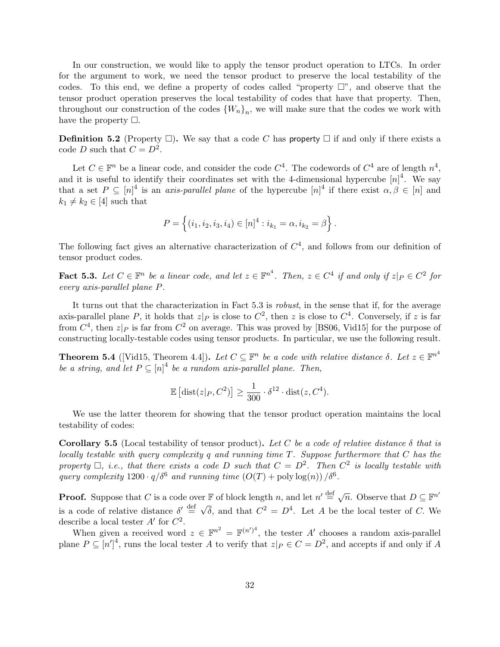In our construction, we would like to apply the tensor product operation to LTCs. In order for the argument to work, we need the tensor product to preserve the local testability of the codes. To this end, we define a property of codes called "property  $\Box$ ", and observe that the tensor product operation preserves the local testability of codes that have that property. Then, throughout our construction of the codes  ${W_n}_n$ , we will make sure that the codes we work with have the property  $\square$ .

**Definition 5.2** (Property  $\square$ ). We say that a code C has property  $\square$  if and only if there exists a code D such that  $C = D^2$ .

Let  $C \in \mathbb{F}^n$  be a linear code, and consider the code  $C^4$ . The codewords of  $C^4$  are of length  $n^4$ , and it is useful to identify their coordinates set with the 4-dimensional hypercube  $[n]^4$ . We say that a set  $P \subseteq [n]^4$  is an *axis-parallel plane* of the hypercube  $[n]^4$  if there exist  $\alpha, \beta \in [n]$  and  $k_1 \neq k_2 \in [4]$  such that

$$
P = \left\{ (i_1, i_2, i_3, i_4) \in [n]^4 : i_{k_1} = \alpha, i_{k_2} = \beta \right\}.
$$

The following fact gives an alternative characterization of  $C<sup>4</sup>$ , and follows from our definition of tensor product codes.

**Fact 5.3.** Let  $C \in \mathbb{F}^n$  be a linear code, and let  $z \in \mathbb{F}^{n^4}$ . Then,  $z \in C^4$  if and only if  $z|_P \in C^2$  for every axis-parallel plane P.

It turns out that the characterization in Fact 5.3 is robust, in the sense that if, for the average axis-parallel plane P, it holds that  $z|_P$  is close to  $C^2$ , then z is close to  $C^4$ . Conversely, if z is far from  $C^4$ , then  $z|_P$  is far from  $C^2$  on average. This was proved by [BS06, Vid15] for the purpose of constructing locally-testable codes using tensor products. In particular, we use the following result.

**Theorem 5.4** ([Vid15, Theorem 4.4]). Let  $C \subseteq \mathbb{F}^n$  be a code with relative distance  $\delta$ . Let  $z \in \mathbb{F}^{n^4}$ be a string, and let  $P \subseteq [n]^4$  be a random axis-parallel plane. Then,

$$
\mathbb{E}\left[\text{dist}(z|_P, C^2)\right] \ge \frac{1}{300} \cdot \delta^{12} \cdot \text{dist}(z, C^4).
$$

We use the latter theorem for showing that the tensor product operation maintains the local testability of codes:

Corollary 5.5 (Local testability of tensor product). Let C be a code of relative distance  $\delta$  that is locally testable with query complexity q and running time  $T$ . Suppose furthermore that  $C$  has the property  $\Box$ , i.e., that there exists a code D such that  $C = D^2$ . Then  $C^2$  is locally testable with query complexity  $1200 \cdot q/\delta^6$  and running time  $(O(T) + \text{poly}\log(n))/\delta^6$ .

**Proof.** Suppose that C is a code over  $\mathbb F$  of block length n, and let  $n' \stackrel{\text{def}}{=} \sqrt{n}$ . Observe that  $D \subseteq \mathbb F^{n'}$ is a code of relative distance  $\delta' \stackrel{\text{def}}{=} \sqrt{\frac{\delta}{\delta}}$  $\overline{\delta}$ , and that  $C^2 = D^4$ . Let A be the local tester of C. We describe a local tester  $A'$  for  $C^2$ .

When given a received word  $z \in \mathbb{F}^{n^2} = \mathbb{F}^{(n')^4}$ , the tester A' chooses a random axis-parallel plane  $P \subseteq [n']^4$ , runs the local tester A to verify that  $z|_P \in C = D^2$ , and accepts if and only if A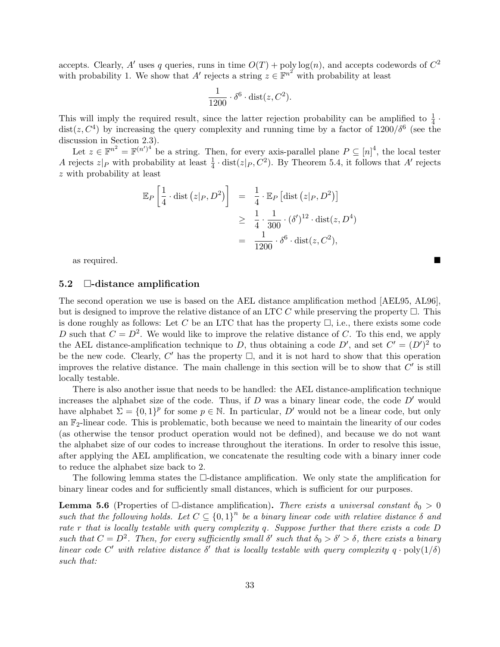accepts. Clearly, A' uses q queries, runs in time  $O(T) + \text{poly}\log(n)$ , and accepts codewords of  $C^2$ with probability 1. We show that A' rejects a string  $z \in \mathbb{F}^{n^2}$  with probability at least

$$
\frac{1}{1200} \cdot \delta^6 \cdot \text{dist}(z, C^2).
$$

This will imply the required result, since the latter rejection probability can be amplified to  $\frac{1}{4}$ .  $dist(z, C<sup>4</sup>)$  by increasing the query complexity and running time by a factor of 1200/ $\delta^6$  (see the discussion in Section 2.3).

Let  $z \in \mathbb{F}^{n^2} = \mathbb{F}^{(n')^4}$  be a string. Then, for every axis-parallel plane  $P \subseteq [n]^4$ , the local tester A rejects  $z|_P$  with probability at least  $\frac{1}{4} \cdot \text{dist}(z|_P, C^2)$ . By Theorem 5.4, it follows that A' rejects z with probability at least

$$
\mathbb{E}_{P}\left[\frac{1}{4} \cdot \text{dist}\left(z|_{P}, D^{2}\right)\right] = \frac{1}{4} \cdot \mathbb{E}_{P}\left[\text{dist}\left(z|_{P}, D^{2}\right)\right]
$$

$$
\geq \frac{1}{4} \cdot \frac{1}{300} \cdot (\delta')^{12} \cdot \text{dist}(z, D^{4})
$$

$$
= \frac{1}{1200} \cdot \delta^{6} \cdot \text{dist}(z, C^{2}),
$$

as required.

#### $5.2$   $\Box$ -distance amplification

The second operation we use is based on the AEL distance amplification method [AEL95, AL96], but is designed to improve the relative distance of an LTC C while preserving the property  $\Box$ . This is done roughly as follows: Let C be an LTC that has the property  $\Box$ , i.e., there exists some code D such that  $C = D^2$ . We would like to improve the relative distance of C. To this end, we apply the AEL distance-amplification technique to D, thus obtaining a code D', and set  $C' = (D')^2$  to be the new code. Clearly,  $C'$  has the property  $\Box$ , and it is not hard to show that this operation improves the relative distance. The main challenge in this section will be to show that  $C'$  is still locally testable.

There is also another issue that needs to be handled: the AEL distance-amplification technique increases the alphabet size of the code. Thus, if  $D$  was a binary linear code, the code  $D'$  would have alphabet  $\Sigma = \{0,1\}^p$  for some  $p \in \mathbb{N}$ . In particular, D' would not be a linear code, but only an  $\mathbb{F}_2$ -linear code. This is problematic, both because we need to maintain the linearity of our codes (as otherwise the tensor product operation would not be defined), and because we do not want the alphabet size of our codes to increase throughout the iterations. In order to resolve this issue, after applying the AEL amplification, we concatenate the resulting code with a binary inner code to reduce the alphabet size back to 2.

The following lemma states the  $\Box$ -distance amplification. We only state the amplification for binary linear codes and for sufficiently small distances, which is sufficient for our purposes.

**Lemma 5.6** (Properties of  $\Box$ -distance amplification). There exists a universal constant  $\delta_0 > 0$ such that the following holds. Let  $C \subseteq \{0,1\}^n$  be a binary linear code with relative distance  $\delta$  and rate r that is locally testable with query complexity q. Suppose further that there exists a code D such that  $C = D^2$ . Then, for every sufficiently small  $\delta'$  such that  $\delta_0 > \delta' > \delta$ , there exists a binary linear code C' with relative distance  $\delta'$  that is locally testable with query complexity  $q \cdot \text{poly}(1/\delta)$ such that: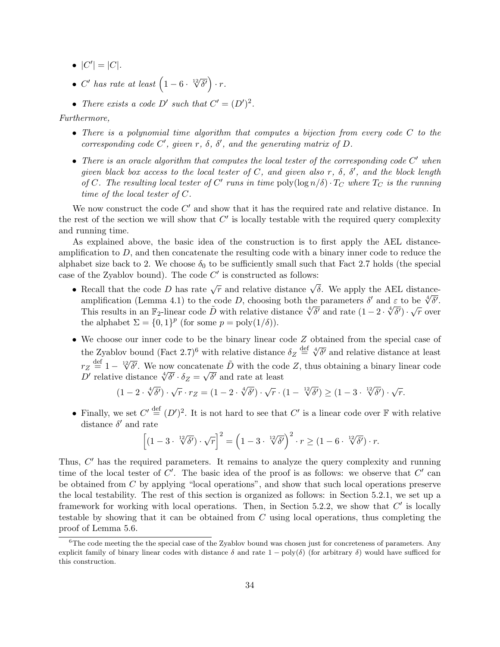- $|C'| = |C|$ .
- C' has rate at least  $(1-6 \cdot \sqrt[12]{\delta'} ) \cdot r$ .
- There exists a code D' such that  $C' = (D')^2$ .

Furthermore,

- There is a polynomial time algorithm that computes a bijection from every code C to the corresponding code C', given r,  $\delta$ ,  $\delta'$ , and the generating matrix of D.
- There is an oracle algorithm that computes the local tester of the corresponding code  $C'$  when given black box access to the local tester of C, and given also r,  $\delta$ ,  $\delta'$ , and the block length of C. The resulting local tester of C' runs in time  $\text{poly}(\log n/\delta) \cdot T_C$  where  $T_C$  is the running time of the local tester of C.

We now construct the code  $C'$  and show that it has the required rate and relative distance. In the rest of the section we will show that  $C'$  is locally testable with the required query complexity and running time.

As explained above, the basic idea of the construction is to first apply the AEL distanceamplification to  $D$ , and then concatenate the resulting code with a binary inner code to reduce the alphabet size back to 2. We choose  $\delta_0$  to be sufficiently small such that Fact 2.7 holds (the special case of the Zyablov bound). The code  $C'$  is constructed as follows:

- Recall that the code D has rate  $\sqrt{r}$  and relative distance  $\sqrt{\delta}$ . We apply the AEL distance-Recall that the code D has rate  $\sqrt{r}$  and relative distance  $\sqrt{v}$ . We apply the AEL distance-<br>amplification (Lemma 4.1) to the code D, choosing both the parameters  $\delta'$  and  $\varepsilon$  to be  $\sqrt[4]{\delta'}$ . amplification (Lemma 4.1) to the code D, choosing both the parameters  $\delta$  and  $\varepsilon$  to be  $\sqrt{\delta'}$ .<br>This results in an  $\mathbb{F}_2$ -linear code  $\tilde{D}$  with relative distance  $\sqrt[4]{\delta'}$  and rate  $(1 - 2 \cdot \sqrt[4]{\delta'}) \cdot \sqrt{r}$  ove the alphabet  $\Sigma = \{0,1\}^p$  (for some  $p = \text{poly}(1/\delta)$ ).
- We choose our inner code to be the binary linear code Z obtained from the special case of the Zyablov bound (Fact 2.7)<sup>6</sup> with relative distance  $\delta_Z \stackrel{\text{def}}{=} \sqrt[4]{\delta'}$  and relative distance at least  $r_Z \stackrel{\text{def}}{=} 1 - \sqrt[12]{\delta'}$ . We now concatenate  $\tilde{D}$  with the code Z, thus obtaining a binary linear code  $r_Z = 1 - \sqrt{\sigma}$ . We now concatenate D with the coc<br>D' relative distance  $\sqrt[4]{\delta'} \cdot \delta_Z = \sqrt{\delta'}$  and rate at least

$$
(1-2\cdot\sqrt[4]{\delta'})\cdot\sqrt{r}\cdot r_Z=(1-2\cdot\sqrt[4]{\delta'})\cdot\sqrt{r}\cdot(1-\sqrt[12]{\delta'})\geq(1-3\cdot\sqrt[12]{\delta'})\cdot\sqrt{r}.
$$

• Finally, we set  $C' \stackrel{\text{def}}{=} (D')^2$ . It is not hard to see that  $C'$  is a linear code over F with relative distance  $\delta'$  and rate

$$
\left[ (1 - 3 \cdot \sqrt[12]{\delta'}) \cdot \sqrt{r} \right]^2 = \left( 1 - 3 \cdot \sqrt[12]{\delta'} \right)^2 \cdot r \ge (1 - 6 \cdot \sqrt[12]{\delta'}) \cdot r.
$$

Thus,  $C'$  has the required parameters. It remains to analyze the query complexity and running time of the local tester of  $C'$ . The basic idea of the proof is as follows: we observe that  $C'$  can be obtained from C by applying "local operations", and show that such local operations preserve the local testability. The rest of this section is organized as follows: in Section 5.2.1, we set up a framework for working with local operations. Then, in Section 5.2.2, we show that  $C'$  is locally testable by showing that it can be obtained from  $C$  using local operations, thus completing the proof of Lemma 5.6.

 $6$ The code meeting the the special case of the Zyablov bound was chosen just for concreteness of parameters. Any explicit family of binary linear codes with distance  $\delta$  and rate  $1 - \text{poly}(\delta)$  (for arbitrary  $\delta$ ) would have sufficed for this construction.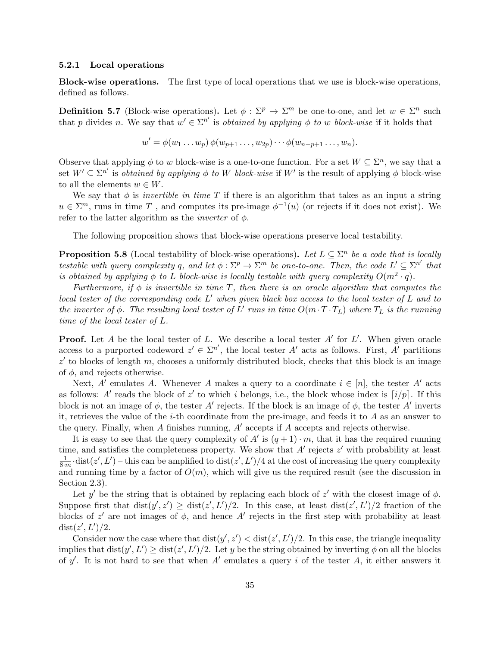#### 5.2.1 Local operations

Block-wise operations. The first type of local operations that we use is block-wise operations, defined as follows.

**Definition 5.7** (Block-wise operations). Let  $\phi : \Sigma^p \to \Sigma^m$  be one-to-one, and let  $w \in \Sigma^n$  such that p divides n. We say that  $w' \in \Sigma^{n'}$  is obtained by applying  $\phi$  to w block-wise if it holds that

$$
w' = \phi(w_1 \dots w_p) \phi(w_{p+1} \dots, w_{2p}) \dots \phi(w_{n-p+1} \dots, w_n).
$$

Observe that applying  $\phi$  to w block-wise is a one-to-one function. For a set  $W \subseteq \Sigma^n$ , we say that a set  $W' \subseteq \Sigma^{n'}$  is *obtained by applying*  $\phi$  to W *block-wise* if W' is the result of applying  $\phi$  block-wise to all the elements  $w \in W$ .

We say that  $\phi$  is *invertible in time T* if there is an algorithm that takes as an input a string  $u \in \Sigma^m$ , runs in time T, and computes its pre-image  $\phi^{-1}(u)$  (or rejects if it does not exist). We refer to the latter algorithm as the *inverter* of  $\phi$ .

The following proposition shows that block-wise operations preserve local testability.

**Proposition 5.8** (Local testability of block-wise operations). Let  $L \subseteq \Sigma^n$  be a code that is locally testable with query complexity q, and let  $\phi : \Sigma^p \to \Sigma^m$  be one-to-one. Then, the code  $L' \subseteq \Sigma^{n'}$  that is obtained by applying  $\phi$  to L block-wise is locally testable with query complexity  $O(m^2 \cdot q)$ .

Furthermore, if  $\phi$  is invertible in time T, then there is an oracle algorithm that computes the local tester of the corresponding code  $L'$  when given black box access to the local tester of  $L$  and to the inverter of  $\phi$ . The resulting local tester of L' runs in time  $O(m \cdot T \cdot T_L)$  where  $T_L$  is the running time of the local tester of L.

**Proof.** Let A be the local tester of L. We describe a local tester  $A'$  for  $L'$ . When given oracle access to a purported codeword  $z' \in \Sigma^{n'}$ , the local tester A' acts as follows. First, A' partitions  $z'$  to blocks of length m, chooses a uniformly distributed block, checks that this block is an image of  $\phi$ , and rejects otherwise.

Next, A' emulates A. Whenever A makes a query to a coordinate  $i \in [n]$ , the tester A' acts as follows: A' reads the block of z' to which i belongs, i.e., the block whose index is  $[i/p]$ . If this block is not an image of  $\phi$ , the tester A' rejects. If the block is an image of  $\phi$ , the tester A' inverts it, retrieves the value of the  $i$ -th coordinate from the pre-image, and feeds it to  $A$  as an answer to the query. Finally, when A finishes running,  $A'$  accepts if A accepts and rejects otherwise.

It is easy to see that the query complexity of A' is  $(q + 1) \cdot m$ , that it has the required running time, and satisfies the completeness property. We show that  $A'$  rejects  $z'$  with probability at least  $\frac{1}{8\cdot m} \cdot \text{dist}(z', L') - \text{this can be amplified to dist}(z', L')/4$  at the cost of increasing the query complexity and running time by a factor of  $O(m)$ , which will give us the required result (see the discussion in Section 2.3).

Let y' be the string that is obtained by replacing each block of  $z'$  with the closest image of  $\phi$ . Suppose first that  $dist(y', z') \geq dist(z', L')/2$ . In this case, at least  $dist(z', L')/2$  fraction of the blocks of  $z'$  are not images of  $\phi$ , and hence A' rejects in the first step with probability at least  $dist(z', L')/2$ .

Consider now the case where that  $dist(y', z') < dist(z', L')/2$ . In this case, the triangle inequality implies that  $dist(y', L') \geq dist(z', L')/2$ . Let y be the string obtained by inverting  $\phi$  on all the blocks of y'. It is not hard to see that when  $A'$  emulates a query i of the tester A, it either answers it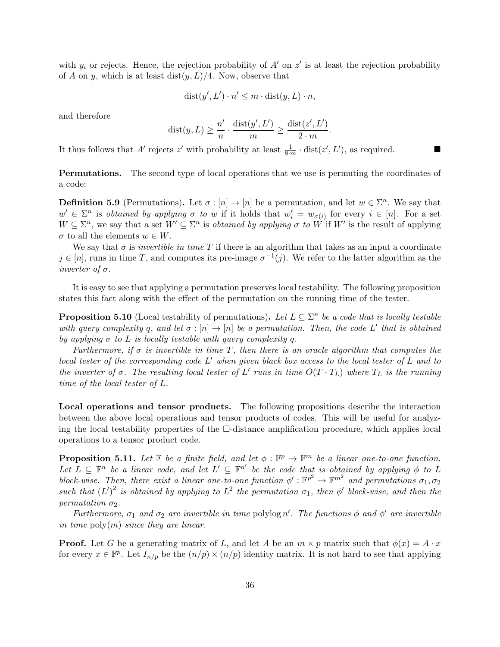with  $y_i$  or rejects. Hence, the rejection probability of  $A'$  on  $z'$  is at least the rejection probability of A on y, which is at least  $dist(y, L)/4$ . Now, observe that

$$
dist(y', L') \cdot n' \le m \cdot dist(y, L) \cdot n,
$$

and therefore

$$
dist(y, L) \ge \frac{n'}{n} \cdot \frac{dist(y', L')}{m} \ge \frac{dist(z', L')}{2 \cdot m}.
$$

It thus follows that A' rejects z' with probability at least  $\frac{1}{8\cdot m} \cdot \text{dist}(z', L')$ , as required.

Permutations. The second type of local operations that we use is permuting the coordinates of a code:

**Definition 5.9** (Permutations). Let  $\sigma : [n] \to [n]$  be a permutation, and let  $w \in \Sigma^n$ . We say that  $w' \in \Sigma^n$  is obtained by applying  $\sigma$  to w if it holds that  $w'_i = w_{\sigma(i)}$  for every  $i \in [n]$ . For a set  $W \subseteq \Sigma^n$ , we say that a set  $W' \subseteq \Sigma^n$  is *obtained by applying*  $\sigma$  to W if W' is the result of applying  $\sigma$  to all the elements  $w \in W$ .

We say that  $\sigma$  is *invertible in time T* if there is an algorithm that takes as an input a coordinate  $j \in [n]$ , runs in time T, and computes its pre-image  $\sigma^{-1}(j)$ . We refer to the latter algorithm as the *inverter of*  $\sigma$ *.* 

It is easy to see that applying a permutation preserves local testability. The following proposition states this fact along with the effect of the permutation on the running time of the tester.

**Proposition 5.10** (Local testability of permutations). Let  $L \subseteq \Sigma^n$  be a code that is locally testable with query complexity q, and let  $\sigma : [n] \to [n]$  be a permutation. Then, the code L' that is obtained by applying  $\sigma$  to L is locally testable with query complexity q.

Furthermore, if  $\sigma$  is invertible in time T, then there is an oracle algorithm that computes the  $local$  tester of the corresponding code  $L'$  when given black box access to the local tester of  $L$  and to the inverter of  $\sigma$ . The resulting local tester of L' runs in time  $O(T \cdot T_L)$  where  $T_L$  is the running time of the local tester of L.

Local operations and tensor products. The following propositions describe the interaction between the above local operations and tensor products of codes. This will be useful for analyzing the local testability properties of the  $\Box$ -distance amplification procedure, which applies local operations to a tensor product code.

**Proposition 5.11.** Let  $\mathbb{F}$  be a finite field, and let  $\phi : \mathbb{F}^p \to \mathbb{F}^m$  be a linear one-to-one function. Let  $L \subseteq \mathbb{F}^n$  be a linear code, and let  $L' \subseteq \mathbb{F}^{n'}$  be the code that is obtained by applying  $\phi$  to L block-wise. Then, there exist a linear one-to-one function  $\phi': \mathbb{F}^{p^2} \to \mathbb{F}^{m^2}$  and permutations  $\sigma_1, \sigma_2$ such that  $(L')^2$  is obtained by applying to  $L^2$  the permutation  $\sigma_1$ , then  $\phi'$  block-wise, and then the permutation  $\sigma_2$ .

Furthermore,  $\sigma_1$  and  $\sigma_2$  are invertible in time polylog n'. The functions  $\phi$  and  $\phi'$  are invertible in time  $\text{poly}(m)$  since they are linear.

**Proof.** Let G be a generating matrix of L, and let A be an  $m \times p$  matrix such that  $\phi(x) = A \cdot x$ for every  $x \in \mathbb{F}^p$ . Let  $I_{n/p}$  be the  $(n/p) \times (n/p)$  identity matrix. It is not hard to see that applying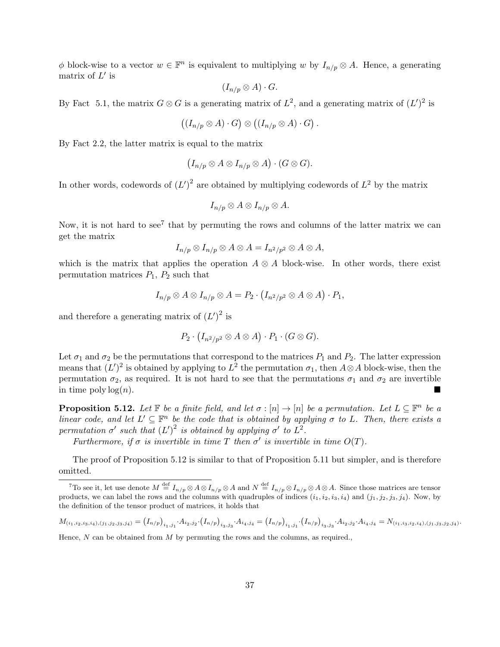$\phi$  block-wise to a vector  $w \in \mathbb{F}^n$  is equivalent to multiplying w by  $I_{n/p} \otimes A$ . Hence, a generating matrix of  $L'$  is

$$
(I_{n/p}\otimes A)\cdot G.
$$

By Fact 5.1, the matrix  $G \otimes G$  is a generating matrix of  $L^2$ , and a generating matrix of  $(L')^2$  is

$$
((I_{n/p} \otimes A) \cdot G) \otimes ((I_{n/p} \otimes A) \cdot G).
$$

By Fact 2.2, the latter matrix is equal to the matrix

$$
(I_{n/p}\otimes A\otimes I_{n/p}\otimes A)\cdot (G\otimes G).
$$

In other words, codewords of  $(L')^2$  are obtained by multiplying codewords of  $L^2$  by the matrix

$$
I_{n/p} \otimes A \otimes I_{n/p} \otimes A.
$$

Now, it is not hard to see<sup>7</sup> that by permuting the rows and columns of the latter matrix we can get the matrix

$$
I_{n/p} \otimes I_{n/p} \otimes A \otimes A = I_{n^2/p^2} \otimes A \otimes A,
$$

which is the matrix that applies the operation  $A \otimes A$  block-wise. In other words, there exist permutation matrices  $P_1$ ,  $P_2$  such that

$$
I_{n/p} \otimes A \otimes I_{n/p} \otimes A = P_2 \cdot (I_{n^2/p^2} \otimes A \otimes A) \cdot P_1,
$$

and therefore a generating matrix of  $(L')^2$  is

$$
P_2 \cdot (I_{n^2/p^2} \otimes A \otimes A) \cdot P_1 \cdot (G \otimes G).
$$

Let  $\sigma_1$  and  $\sigma_2$  be the permutations that correspond to the matrices  $P_1$  and  $P_2$ . The latter expression means that  $(L')^2$  is obtained by applying to  $L^2$  the permutation  $\sigma_1$ , then  $A \otimes A$  block-wise, then the permutation  $\sigma_2$ , as required. It is not hard to see that the permutations  $\sigma_1$  and  $\sigma_2$  are invertible in time poly  $log(n)$ .

**Proposition 5.12.** Let  $\mathbb F$  be a finite field, and let  $\sigma : [n] \to [n]$  be a permutation. Let  $L \subseteq \mathbb F^n$  be a linear code, and let  $L' \subseteq \mathbb{F}^n$  be the code that is obtained by applying  $\sigma$  to L. Then, there exists a permutation  $\sigma'$  such that  $(L')^2$  is obtained by applying  $\sigma'$  to  $L^2$ .

Furthermore, if  $\sigma$  is invertible in time T then  $\sigma'$  is invertible in time  $O(T)$ .

The proof of Proposition 5.12 is similar to that of Proposition 5.11 but simpler, and is therefore omitted.

 $M_{(i_1,i_2,i_3,i_4),(j_1,j_2,j_3,j_4)} = (I_{n/p})_{i_1,j_1} \cdot A_{i_2,j_2} \cdot (I_{n/p})_{i_3,j_3} \cdot A_{i_4,j_4} = (I_{n/p})_{i_1,j_1} \cdot (I_{n/p})_{i_3,j_3} \cdot A_{i_2,j_2} \cdot A_{i_4,j_4} = N_{(i_1,i_3,i_2,i_4),(j_1,j_3,j_2,j_4)}$ 

Hence,  $N$  can be obtained from  $M$  by permuting the rows and the columns, as required.

<sup>&</sup>lt;sup>7</sup>To see it, let use denote  $M \stackrel{\text{def}}{=} I_{n/p} \otimes A \otimes I_{n/p} \otimes A$  and  $N \stackrel{\text{def}}{=} I_{n/p} \otimes I_{n/p} \otimes A \otimes A$ . Since those matrices are tensor products, we can label the rows and the columns with quadruples of indices  $(i_1, i_2, i_3, i_4)$  and  $(j_1, j_2, j_3, j_4)$ . Now, by the definition of the tensor product of matrices, it holds that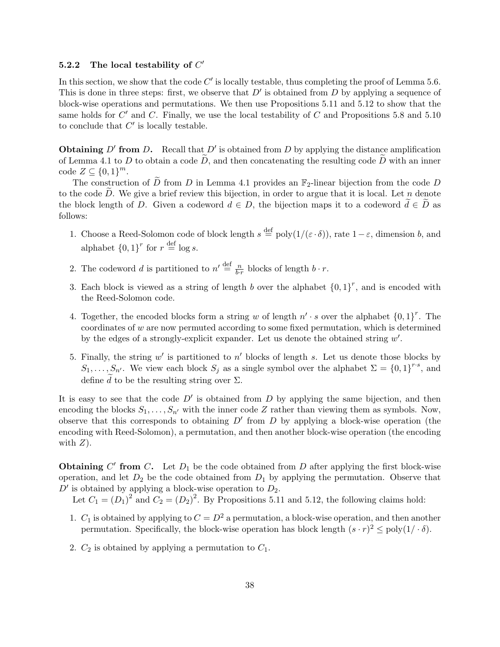## 5.2.2 The local testability of  $C'$

In this section, we show that the code  $C'$  is locally testable, thus completing the proof of Lemma 5.6. This is done in three steps: first, we observe that  $D'$  is obtained from  $D$  by applying a sequence of block-wise operations and permutations. We then use Propositions 5.11 and 5.12 to show that the same holds for  $C'$  and  $C$ . Finally, we use the local testability of  $C$  and Propositions 5.8 and 5.10 to conclude that  $C'$  is locally testable.

**Obtaining**  $D'$  from  $D$ . Recall that  $D'$  is obtained from  $D$  by applying the distance amplification of Lemma 4.1 to D to obtain a code  $\ddot{D}$ , and then concatenating the resulting code  $\ddot{D}$  with an inner code  $Z \subseteq \{0,1\}^m$ .

The construction of D from D in Lemma 4.1 provides an  $\mathbb{F}_2$ -linear bijection from the code D to the code D. We give a brief review this bijection, in order to argue that it is local. Let n denote the block length of D. Given a codeword  $d \in D$ , the bijection maps it to a codeword  $\tilde{d} \in \tilde{D}$  as follows:

- 1. Choose a Reed-Solomon code of block length  $s \stackrel{\text{def}}{=} \text{poly}(1/(\varepsilon \cdot \delta))$ , rate  $1 \varepsilon$ , dimension b, and alphabet  $\{0,1\}^r$  for  $r \stackrel{\text{def}}{=} \log s$ .
- 2. The codeword d is partitioned to  $n' \stackrel{\text{def}}{=} \frac{n}{b \cdot r}$  blocks of length  $b \cdot r$ .
- 3. Each block is viewed as a string of length b over the alphabet  $\{0,1\}^r$ , and is encoded with the Reed-Solomon code.
- 4. Together, the encoded blocks form a string w of length  $n' \cdot s$  over the alphabet  $\{0,1\}^r$ . The coordinates of  $w$  are now permuted according to some fixed permutation, which is determined by the edges of a strongly-explicit expander. Let us denote the obtained string  $w'$ .
- 5. Finally, the string  $w'$  is partitioned to  $n'$  blocks of length s. Let us denote those blocks by  $S_1, \ldots, S_{n'}$ . We view each block  $S_j$  as a single symbol over the alphabet  $\Sigma = \{0,1\}^{r \cdot s}$ , and define d to be the resulting string over  $\Sigma$ .

It is easy to see that the code  $D'$  is obtained from  $D$  by applying the same bijection, and then encoding the blocks  $S_1, \ldots, S_{n'}$  with the inner code Z rather than viewing them as symbols. Now, observe that this corresponds to obtaining  $D'$  from  $D$  by applying a block-wise operation (the encoding with Reed-Solomon), a permutation, and then another block-wise operation (the encoding with  $Z$ ).

**Obtaining** C' from C. Let  $D_1$  be the code obtained from D after applying the first block-wise operation, and let  $D_2$  be the code obtained from  $D_1$  by applying the permutation. Observe that  $D'$  is obtained by applying a block-wise operation to  $D_2$ .

Let  $C_1 = (D_1)^2$  and  $C_2 = (D_2)^2$ . By Propositions 5.11 and 5.12, the following claims hold:

- 1.  $C_1$  is obtained by applying to  $C = D^2$  a permutation, a block-wise operation, and then another permutation. Specifically, the block-wise operation has block length  $(s \cdot r)^2 \leq \text{poly}(1/\cdot \delta)$ .
- 2.  $C_2$  is obtained by applying a permutation to  $C_1$ .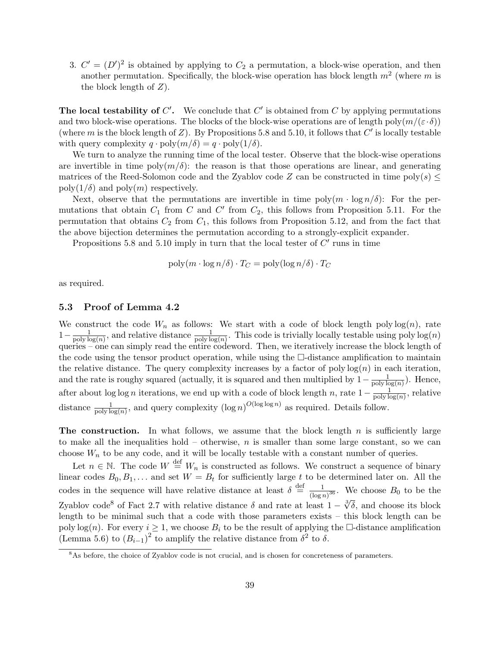3.  $C' = (D')^2$  is obtained by applying to  $C_2$  a permutation, a block-wise operation, and then another permutation. Specifically, the block-wise operation has block length  $m^2$  (where m is the block length of  $Z$ ).

The local testability of  $C'$ . We conclude that  $C'$  is obtained from  $C$  by applying permutations and two block-wise operations. The blocks of the block-wise operations are of length poly $(m/(\varepsilon\cdot\delta))$ (where m is the block length of  $Z$ ). By Propositions 5.8 and 5.10, it follows that  $C'$  is locally testable with query complexity  $q \cdot \text{poly}(m/\delta) = q \cdot \text{poly}(1/\delta)$ .

We turn to analyze the running time of the local tester. Observe that the block-wise operations are invertible in time  $poly(m/\delta)$ : the reason is that those operations are linear, and generating matrices of the Reed-Solomon code and the Zyablov code Z can be constructed in time poly(s)  $\leq$  $poly(1/\delta)$  and  $poly(m)$  respectively.

Next, observe that the permutations are invertible in time poly $(m \cdot \log n/\delta)$ : For the permutations that obtain  $C_1$  from  $C$  and  $C'$  from  $C_2$ , this follows from Proposition 5.11. For the permutation that obtains  $C_2$  from  $C_1$ , this follows from Proposition 5.12, and from the fact that the above bijection determines the permutation according to a strongly-explicit expander.

Propositions 5.8 and 5.10 imply in turn that the local tester of  $C'$  runs in time

$$
poly(m \cdot \log n/\delta) \cdot T_C = poly(\log n/\delta) \cdot T_C
$$

as required.

#### 5.3 Proof of Lemma 4.2

We construct the code  $W_n$  as follows: We start with a code of block length poly  $log(n)$ , rate  $1-\frac{1}{\text{poly }k}$  $\frac{1}{\text{poly}\log(n)}$ , and relative distance  $\frac{1}{\text{poly}\log(n)}$ . This code is trivially locally testable using poly  $\log(n)$ queries – one can simply read the entire codeword. Then, we iteratively increase the block length of the code using the tensor product operation, while using the  $\Box$ -distance amplification to maintain the relative distance. The query complexity increases by a factor of poly  $log(n)$  in each iteration, and the rate is roughy squared (actually, it is squared and then multiplied by  $1-\frac{1}{\text{poly }k}$  $\frac{1}{\text{poly}\log(n)}$ . Hence, after about log log *n* iterations, we end up with a code of block length *n*, rate  $1-\frac{1}{\text{poly }k}$  $\frac{1}{\text{poly}\log(n)}$ , relative distance  $\frac{1}{\text{poly}\log(n)}$ , and query complexity  $(\log n)^{O(\log \log n)}$  as required. Details follow.

**The construction.** In what follows, we assume that the block length  $n$  is sufficiently large to make all the inequalities hold – otherwise,  $n$  is smaller than some large constant, so we can choose  $W_n$  to be any code, and it will be locally testable with a constant number of queries.

Let  $n \in \mathbb{N}$ . The code  $W \stackrel{\text{def}}{=} W_n$  is constructed as follows. We construct a sequence of binary linear codes  $B_0, B_1, \ldots$  and set  $W = B_t$  for sufficiently large t to be determined later on. All the codes in the sequence will have relative distance at least  $\delta \stackrel{\text{def}}{=} \frac{1}{4\pi\epsilon_0}$  $\frac{1}{(\log n)^{36}}$ . We choose  $B_0$  to be the Zyablov code<sup>8</sup> of Fact 2.7 with relative distance  $\delta$  and rate at least  $1 - \sqrt[3]{\delta}$ , and choose its block length to be minimal such that a code with those parameters exists – this block length can be poly  $\log(n)$ . For every  $i \geq 1$ , we choose  $B_i$  to be the result of applying the  $\Box$ -distance amplification (Lemma 5.6) to  $(B_{i-1})^2$  to amplify the relative distance from  $\delta^2$  to  $\delta$ .

<sup>8</sup>As before, the choice of Zyablov code is not crucial, and is chosen for concreteness of parameters.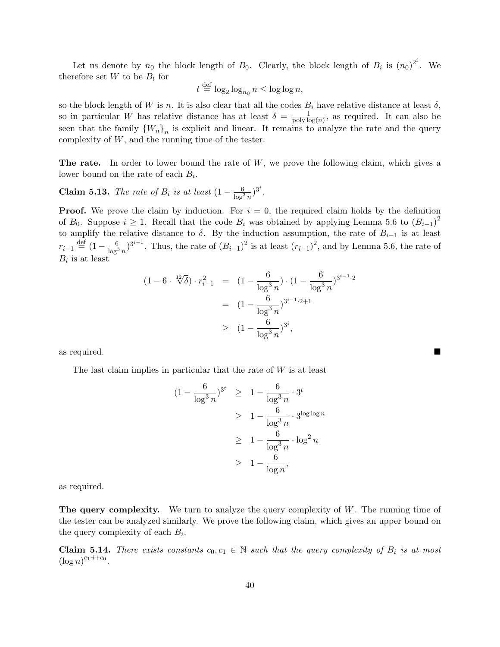Let us denote by  $n_0$  the block length of  $B_0$ . Clearly, the block length of  $B_i$  is  $(n_0)^{2^i}$ . We therefore set  $W$  to be  $B_t$  for

$$
t \stackrel{\text{def}}{=} \log_2 \log_{n_0} n \le \log \log n,
$$

so the block length of W is n. It is also clear that all the codes  $B_i$  have relative distance at least  $\delta$ , so in particular W has relative distance has at least  $\delta = \frac{1}{\text{poly }k}$  $\frac{1}{\text{poly log}(n)}$ , as required. It can also be seen that the family  ${W_n}_n$  is explicit and linear. It remains to analyze the rate and the query complexity of  $W$ , and the running time of the tester.

**The rate.** In order to lower bound the rate of  $W$ , we prove the following claim, which gives a lower bound on the rate of each  $B_i$ .

**Claim 5.13.** The rate of  $B_i$  is at least  $(1 - \frac{6}{\log^3 n})^{3^i}$ .

**Proof.** We prove the claim by induction. For  $i = 0$ , the required claim holds by the definition of  $B_0$ . Suppose  $i \geq 1$ . Recall that the code  $B_i$  was obtained by applying Lemma 5.6 to  $(B_{i-1})^2$ to amplify the relative distance to  $\delta$ . By the induction assumption, the rate of  $B_{i-1}$  is at least  $r_{i-1} \stackrel{\text{def}}{=} (1 - \frac{6}{\log^3 n})^{3^{i-1}}$ . Thus, the rate of  $(B_{i-1})^2$  is at least  $(r_{i-1})^2$ , and by Lemma 5.6, the rate of  $B_i$  is at least

$$
(1 - 6 \cdot \sqrt[12]{\delta}) \cdot r_{i-1}^2 = (1 - \frac{6}{\log^3 n}) \cdot (1 - \frac{6}{\log^3 n})^{3^{i-1} \cdot 2}
$$

$$
= (1 - \frac{6}{\log^3 n})^{3^{i-1} \cdot 2 + 1}
$$

$$
\geq (1 - \frac{6}{\log^3 n})^{3^i},
$$

as required.

The last claim implies in particular that the rate of W is at least

$$
(1 - \frac{6}{\log^3 n})^{3^t} \ge 1 - \frac{6}{\log^3 n} \cdot 3^t
$$
  
\n
$$
\ge 1 - \frac{6}{\log^3 n} \cdot 3^{\log \log n}
$$
  
\n
$$
\ge 1 - \frac{6}{\log^3 n} \cdot \log^2 n
$$
  
\n
$$
\ge 1 - \frac{6}{\log n},
$$

as required.

**The query complexity.** We turn to analyze the query complexity of  $W$ . The running time of the tester can be analyzed similarly. We prove the following claim, which gives an upper bound on the query complexity of each  $B_i$ .

**Claim 5.14.** There exists constants  $c_0, c_1 \in \mathbb{N}$  such that the query complexity of  $B_i$  is at most  $(\log n)^{c_1 \cdot i + c_0}.$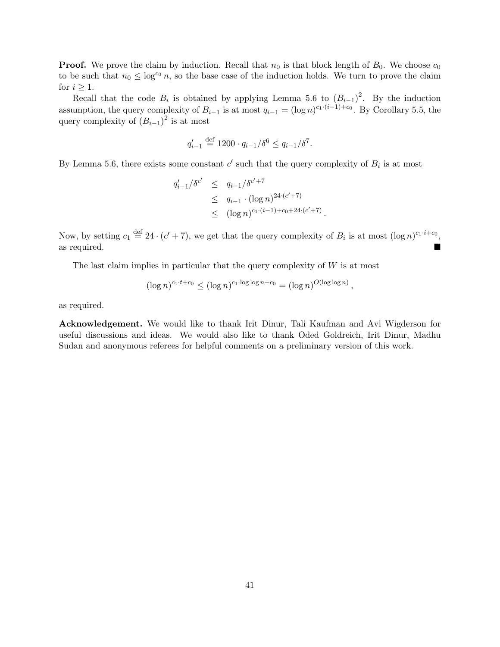**Proof.** We prove the claim by induction. Recall that  $n_0$  is that block length of  $B_0$ . We choose  $c_0$ to be such that  $n_0 \leq \log^{c_0} n$ , so the base case of the induction holds. We turn to prove the claim for  $i \geq 1$ .

Recall that the code  $B_i$  is obtained by applying Lemma 5.6 to  $(B_{i-1})^2$ . By the induction assumption, the query complexity of  $B_{i-1}$  is at most  $q_{i-1} = (\log n)^{c_1 \cdot (i-1) + c_0}$ . By Corollary 5.5, the query complexity of  $(B_{i-1})^2$  is at most

$$
q'_{i-1} \stackrel{\text{def}}{=} 1200 \cdot q_{i-1}/\delta^6 \le q_{i-1}/\delta^7.
$$

By Lemma 5.6, there exists some constant  $c'$  such that the query complexity of  $B_i$  is at most

$$
q'_{i-1}/\delta^{c'} \leq q_{i-1}/\delta^{c'+7}
$$
  
\n
$$
\leq q_{i-1} \cdot (\log n)^{24 \cdot (c'+7)}
$$
  
\n
$$
\leq (\log n)^{c_1 \cdot (i-1) + c_0 + 24 \cdot (c'+7)}.
$$

Now, by setting  $c_1 \stackrel{\text{def}}{=} 24 \cdot (c' + 7)$ , we get that the query complexity of  $B_i$  is at most  $(\log n)^{c_1 \cdot i + c_0}$ , as required.

The last claim implies in particular that the query complexity of  $W$  is at most

$$
(\log n)^{c_1 \cdot t + c_0} \le (\log n)^{c_1 \cdot \log \log n + c_0} = (\log n)^{O(\log \log n)},
$$

as required.

Acknowledgement. We would like to thank Irit Dinur, Tali Kaufman and Avi Wigderson for useful discussions and ideas. We would also like to thank Oded Goldreich, Irit Dinur, Madhu Sudan and anonymous referees for helpful comments on a preliminary version of this work.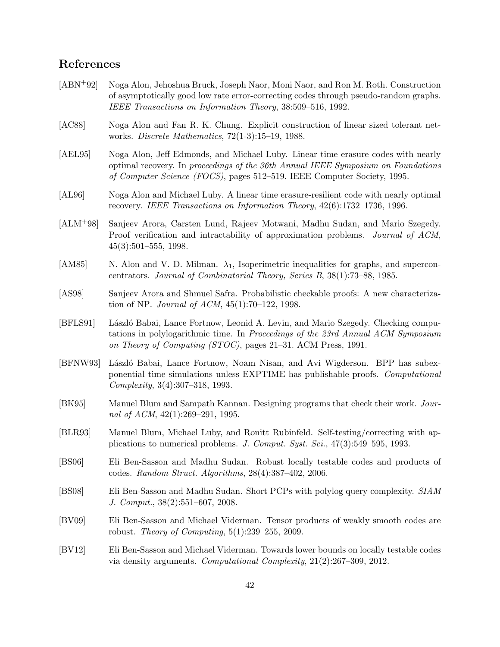# References

- [ABN+92] Noga Alon, Jehoshua Bruck, Joseph Naor, Moni Naor, and Ron M. Roth. Construction of asymptotically good low rate error-correcting codes through pseudo-random graphs. IEEE Transactions on Information Theory, 38:509–516, 1992.
- [AC88] Noga Alon and Fan R. K. Chung. Explicit construction of linear sized tolerant networks. Discrete Mathematics, 72(1-3):15–19, 1988.
- [AEL95] Noga Alon, Jeff Edmonds, and Michael Luby. Linear time erasure codes with nearly optimal recovery. In proceedings of the 36th Annual IEEE Symposium on Foundations of Computer Science (FOCS), pages 512–519. IEEE Computer Society, 1995.
- [AL96] Noga Alon and Michael Luby. A linear time erasure-resilient code with nearly optimal recovery. IEEE Transactions on Information Theory, 42(6):1732–1736, 1996.
- [ALM+98] Sanjeev Arora, Carsten Lund, Rajeev Motwani, Madhu Sudan, and Mario Szegedy. Proof verification and intractability of approximation problems. Journal of ACM, 45(3):501–555, 1998.
- [AM85] N. Alon and V. D. Milman.  $\lambda_1$ , Isoperimetric inequalities for graphs, and superconcentrators. Journal of Combinatorial Theory, Series B, 38(1):73–88, 1985.
- [AS98] Sanjeev Arora and Shmuel Safra. Probabilistic checkable proofs: A new characterization of NP. Journal of ACM, 45(1):70–122, 1998.
- [BFLS91] László Babai, Lance Fortnow, Leonid A. Levin, and Mario Szegedy. Checking computations in polylogarithmic time. In Proceedings of the 23rd Annual ACM Symposium on Theory of Computing (STOC), pages 21–31. ACM Press, 1991.
- [BFNW93] László Babai, Lance Fortnow, Noam Nisan, and Avi Wigderson. BPP has subexponential time simulations unless EXPTIME has publishable proofs. Computational Complexity, 3(4):307–318, 1993.
- [BK95] Manuel Blum and Sampath Kannan. Designing programs that check their work. Journal of ACM, 42(1):269–291, 1995.
- [BLR93] Manuel Blum, Michael Luby, and Ronitt Rubinfeld. Self-testing/correcting with applications to numerical problems. J. Comput. Syst. Sci., 47(3):549–595, 1993.
- [BS06] Eli Ben-Sasson and Madhu Sudan. Robust locally testable codes and products of codes. Random Struct. Algorithms, 28(4):387–402, 2006.
- [BS08] Eli Ben-Sasson and Madhu Sudan. Short PCPs with polylog query complexity. SIAM J. Comput., 38(2):551–607, 2008.
- [BV09] Eli Ben-Sasson and Michael Viderman. Tensor products of weakly smooth codes are robust. Theory of Computing,  $5(1):239-255$ , 2009.
- [BV12] Eli Ben-Sasson and Michael Viderman. Towards lower bounds on locally testable codes via density arguments. Computational Complexity, 21(2):267–309, 2012.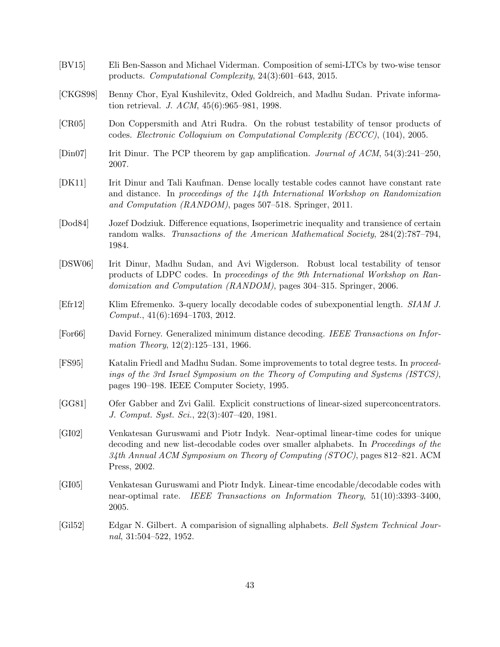| [BV15]          | Eli Ben-Sasson and Michael Viderman. Composition of semi-LTCs by two-wise tensor<br>products. Computational Complexity, 24(3):601-643, 2015.                                                                                                                                 |
|-----------------|------------------------------------------------------------------------------------------------------------------------------------------------------------------------------------------------------------------------------------------------------------------------------|
| [CKGS98]        | Benny Chor, Eyal Kushilevitz, Oded Goldreich, and Madhu Sudan. Private informa-<br>tion retrieval. J. $ACM$ , $45(6):965-981$ , 1998.                                                                                                                                        |
| [CR05]          | Don Coppersmith and Atri Rudra. On the robust testability of tensor products of<br>codes. Electronic Colloquium on Computational Complexity (ECCC), (104), 2005.                                                                                                             |
| [Din07]         | Irit Dinur. The PCP theorem by gap amplification. Journal of ACM, $54(3):241-250$ ,<br>2007.                                                                                                                                                                                 |
| [DK11]          | Irit Dinur and Tali Kaufman. Dense locally testable codes cannot have constant rate<br>and distance. In proceedings of the 14th International Workshop on Randomization<br>and Computation (RANDOM), pages 507-518. Springer, 2011.                                          |
| $[{\rm Dod84}]$ | Jozef Dodziuk. Difference equations, Isoperimetric inequality and transience of certain<br>random walks. Transactions of the American Mathematical Society, 284(2):787-794,<br>1984.                                                                                         |
| [DSW06]         | Irit Dinur, Madhu Sudan, and Avi Wigderson. Robust local testability of tensor<br>products of LDPC codes. In proceedings of the 9th International Workshop on Ran-<br>domization and Computation (RANDOM), pages 304-315. Springer, 2006.                                    |
| [Efr12]         | Klim Efremenko. 3-query locally decodable codes of subexponential length. SIAM J.<br>$Comput., 41(6):1694-1703, 2012.$                                                                                                                                                       |
| [For 66]        | David Forney. Generalized minimum distance decoding. IEEE Transactions on Infor-<br>mation Theory, $12(2):125-131$ , 1966.                                                                                                                                                   |
| [FS95]          | Katalin Friedl and Madhu Sudan. Some improvements to total degree tests. In proceed-<br>ings of the 3rd Israel Symposium on the Theory of Computing and Systems (ISTCS),<br>pages 190–198. IEEE Computer Society, 1995.                                                      |
| [GG81]          | Ofer Gabber and Zvi Galil. Explicit constructions of linear-sized superconcentrators.<br>J. Comput. Syst. Sci., 22(3):407-420, 1981.                                                                                                                                         |
| [GI02]          | Venkatesan Guruswami and Piotr Indyk. Near-optimal linear-time codes for unique<br>decoding and new list-decodable codes over smaller alphabets. In <i>Proceedings of the</i><br>34th Annual ACM Symposium on Theory of Computing (STOC), pages 812-821. ACM<br>Press, 2002. |
| [GI05]          | Venkatesan Guruswami and Piotr Indyk. Linear-time encodable/decodable codes with<br>IEEE Transactions on Information Theory, 51(10):3393-3400,<br>near-optimal rate.<br>2005.                                                                                                |
| [Gil52]         | Edgar N. Gilbert. A comparision of signalling alphabets. Bell System Technical Jour-<br>nal, 31:504-522, 1952.                                                                                                                                                               |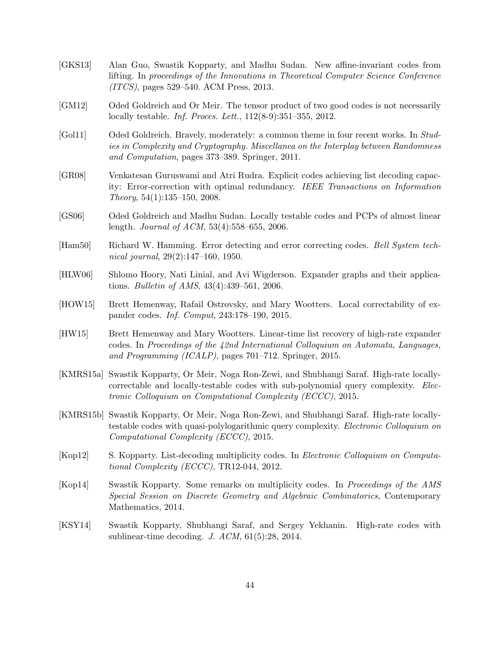- [GKS13] Alan Guo, Swastik Kopparty, and Madhu Sudan. New affine-invariant codes from lifting. In proceedings of the Innovations in Theoretical Computer Science Conference (ITCS), pages 529–540. ACM Press, 2013.
- [GM12] Oded Goldreich and Or Meir. The tensor product of two good codes is not necessarily locally testable. Inf. Proces. Lett., 112(8-9):351–355, 2012.
- [Gol11] Oded Goldreich. Bravely, moderately: a common theme in four recent works. In Studies in Complexity and Cryptography. Miscellanea on the Interplay between Randomness and Computation, pages 373–389. Springer, 2011.
- [GR08] Venkatesan Guruswami and Atri Rudra. Explicit codes achieving list decoding capacity: Error-correction with optimal redundancy. IEEE Transactions on Information Theory, 54(1):135–150, 2008.
- [GS06] Oded Goldreich and Madhu Sudan. Locally testable codes and PCPs of almost linear length. Journal of ACM, 53(4):558–655, 2006.
- [Ham50] Richard W. Hamming. Error detecting and error correcting codes. Bell System technical journal, 29(2):147–160, 1950.
- [HLW06] Shlomo Hoory, Nati Linial, and Avi Wigderson. Expander graphs and their applications. Bulletin of AMS, 43(4):439–561, 2006.
- [HOW15] Brett Hemenway, Rafail Ostrovsky, and Mary Wootters. Local correctability of expander codes. Inf. Comput, 243:178–190, 2015.
- [HW15] Brett Hemenway and Mary Wootters. Linear-time list recovery of high-rate expander codes. In Proceedings of the 42nd International Colloquium on Automata, Languages, and Programming (ICALP), pages 701–712. Springer, 2015.
- [KMRS15a] Swastik Kopparty, Or Meir, Noga Ron-Zewi, and Shubhangi Saraf. High-rate locallycorrectable and locally-testable codes with sub-polynomial query complexity. Electronic Colloquium on Computational Complexity (ECCC), 2015.
- [KMRS15b] Swastik Kopparty, Or Meir, Noga Ron-Zewi, and Shubhangi Saraf. High-rate locallytestable codes with quasi-polylogarithmic query complexity. Electronic Colloquium on Computational Complexity (ECCC), 2015.
- [Kop12] S. Kopparty. List-decoding multiplicity codes. In Electronic Colloquium on Computational Complexity (ECCC), TR12-044, 2012.
- [Kop14] Swastik Kopparty. Some remarks on multiplicity codes. In Proceedings of the AMS Special Session on Discrete Geometry and Algebraic Combinatorics, Contemporary Mathematics, 2014.
- [KSY14] Swastik Kopparty, Shubhangi Saraf, and Sergey Yekhanin. High-rate codes with sublinear-time decoding. J.  $ACM$ ,  $61(5):28$ ,  $2014$ .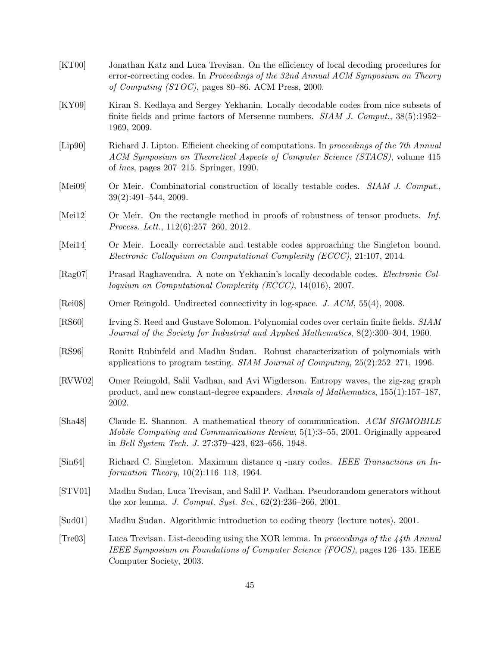| [KT00]                  | Jonathan Katz and Luca Trevisan. On the efficiency of local decoding procedures for<br>error-correcting codes. In Proceedings of the 32nd Annual ACM Symposium on Theory<br>of Computing (STOC), pages $80-86$ . ACM Press, 2000. |
|-------------------------|-----------------------------------------------------------------------------------------------------------------------------------------------------------------------------------------------------------------------------------|
| [KY09]                  | Kiran S. Kedlaya and Sergey Yekhanin. Locally decodable codes from nice subsets of<br>finite fields and prime factors of Mersenne numbers. $SIAM J. Comput.$ , $38(5):1952-$<br>1969, 2009.                                       |
| [Lip90]                 | Richard J. Lipton. Efficient checking of computations. In proceedings of the 7th Annual<br>ACM Symposium on Theoretical Aspects of Computer Science (STACS), volume 415<br>of $lncs$ , pages 207-215. Springer, 1990.             |
| [Mei09]                 | Or Meir. Combinatorial construction of locally testable codes. SIAM J. Comput.,<br>$39(2):491-544, 2009.$                                                                                                                         |
| [Mei12]                 | Or Meir. On the rectangle method in proofs of robustness of tensor products. Inf.<br>Process. Lett., 112(6):257-260, 2012.                                                                                                        |
| [Mei14]                 | Or Meir. Locally correctable and testable codes approaching the Singleton bound.<br>Electronic Colloquium on Computational Complexity (ECCC), 21:107, 2014.                                                                       |
| [Rag07]                 | Prasad Raghavendra. A note on Yekhanin's locally decodable codes. Electronic Col-<br>loquium on Computational Complexity (ECCC), $14(016)$ , 2007.                                                                                |
| [Rei08]                 | Omer Reingold. Undirected connectivity in log-space. J. ACM, 55(4), 2008.                                                                                                                                                         |
| [RS60]                  | Irving S. Reed and Gustave Solomon. Polynomial codes over certain finite fields. SIAM<br>Journal of the Society for Industrial and Applied Mathematics, 8(2):300-304, 1960.                                                       |
| [RS96]                  | Ronitt Rubinfeld and Madhu Sudan. Robust characterization of polynomials with<br>applications to program testing. SIAM Journal of Computing, $25(2):252-271$ , 1996.                                                              |
| $[\mathrm{RVW}02]$      | Omer Reingold, Salil Vadhan, and Avi Wigderson. Entropy waves, the zig-zag graph<br>product, and new constant-degree expanders. Annals of Mathematics, 155(1):157–187,<br>2002.                                                   |
| [Sha48]                 | Claude E. Shannon. A mathematical theory of communication. ACM SIGMOBILE<br>Mobile Computing and Communications Review, 5(1):3-55, 2001. Originally appeared<br>in <i>Bell System Tech. J.</i> 27:379-423, 623-656, 1948.         |
| $\lceil \sin 64 \rceil$ | Richard C. Singleton. Maximum distance q -nary codes. IEEE Transactions on In-<br>formation Theory, $10(2):116-118$ , 1964.                                                                                                       |
| [STV01]                 | Madhu Sudan, Luca Trevisan, and Salil P. Vadhan. Pseudorandom generators without<br>the xor lemma. J. Comput. Syst. Sci., $62(2):236-266$ , 2001.                                                                                 |
| [Sud01]                 | Madhu Sudan. Algorithmic introduction to coding theory (lecture notes), 2001.                                                                                                                                                     |
| [The 03]                | Luca Trevisan. List-decoding using the XOR lemma. In <i>proceedings of the 44th Annual</i><br>IEEE Symposium on Foundations of Computer Science (FOCS), pages 126–135. IEEE<br>Computer Society, 2003.                            |